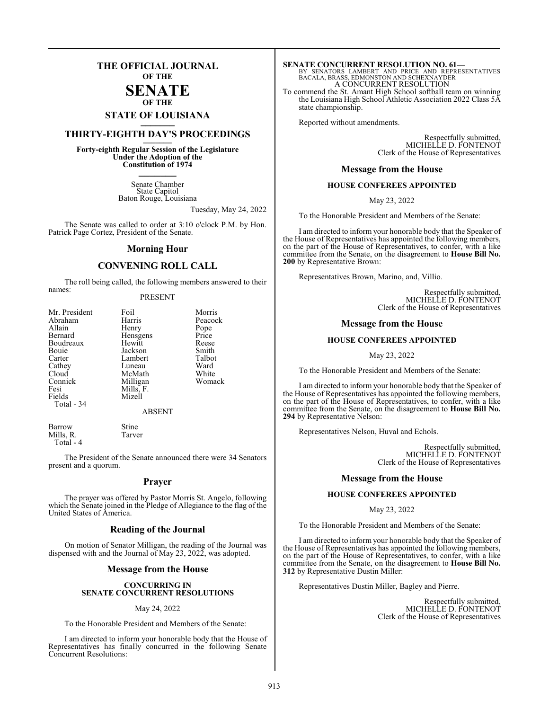## **THE OFFICIAL JOURNAL OF THE**

## **SENATE OF THE**

## **STATE OF LOUISIANA \_\_\_\_\_\_\_**

## **THIRTY-EIGHTH DAY'S PROCEEDINGS \_\_\_\_\_\_\_**

**Forty-eighth Regular Session of the Legislature Under the Adoption of the Constitution of 1974 \_\_\_\_\_\_\_**

> Senate Chamber State Capitol Baton Rouge, Louisiana

> > Tuesday, May 24, 2022

The Senate was called to order at 3:10 o'clock P.M. by Hon. Patrick Page Cortez, President of the Senate.

## **Morning Hour**

## **CONVENING ROLL CALL**

The roll being called, the following members answered to their names:

## PRESENT

| Foil      | Morris   |
|-----------|----------|
| Harris    | Peacock  |
| Henry     | Pope     |
| Hensgens  | Price    |
| Hewitt    | Reese    |
| Jackson   | Smith    |
| Lambert   | Talbot   |
| Luneau    | Ward     |
| McMath    | White    |
|           | Womack   |
| Mills, F. |          |
| Mizell    |          |
|           |          |
| ABSENT    |          |
|           | Milligan |

Barrow Stine<br>Mills, R. Tarver Mills, R. Total - 4

The President of the Senate announced there were 34 Senators present and a quorum.

## **Prayer**

The prayer was offered by Pastor Morris St. Angelo, following which the Senate joined in the Pledge of Allegiance to the flag of the United States of America.

## **Reading of the Journal**

On motion of Senator Milligan, the reading of the Journal was dispensed with and the Journal of May 23, 2022, was adopted.

## **Message from the House**

## **CONCURRING IN SENATE CONCURRENT RESOLUTIONS**

## May 24, 2022

To the Honorable President and Members of the Senate:

I am directed to inform your honorable body that the House of Representatives has finally concurred in the following Senate Concurrent Resolutions:

## **SENATE CONCURRENT RESOLUTION NO. 61—**<br>BY SENATORS LAMBERT AND PRICE AND REPRESENTATIVES<br>BACALA, BRASS, EDMONSTON AND SCHEXNAYDER A CONCURRENT RESOLUTION

To commend the St. Amant High School softball team on winning the Louisiana High School Athletic Association 2022 Class 5A state championship.

Reported without amendments.

Respectfully submitted, MICHELLE D. FONTENOT Clerk of the House of Representatives

## **Message from the House**

## **HOUSE CONFEREES APPOINTED**

May 23, 2022

To the Honorable President and Members of the Senate:

I am directed to inform your honorable body that the Speaker of the House of Representatives has appointed the following members, on the part of the House of Representatives, to confer, with a like committee from the Senate, on the disagreement to **House Bill No. 200** by Representative Brown:

Representatives Brown, Marino, and, Villio.

Respectfully submitted, MICHELLE D. FONTENOT Clerk of the House of Representatives

## **Message from the House**

## **HOUSE CONFEREES APPOINTED**

May 23, 2022

To the Honorable President and Members of the Senate:

I am directed to inform your honorable body that the Speaker of the House of Representatives has appointed the following members, on the part of the House of Representatives, to confer, with a like committee from the Senate, on the disagreement to **House Bill No. 294** by Representative Nelson:

Representatives Nelson, Huval and Echols.

Respectfully submitted, MICHELLE D. FONTENOT Clerk of the House of Representatives

## **Message from the House**

## **HOUSE CONFEREES APPOINTED**

## May 23, 2022

To the Honorable President and Members of the Senate:

I am directed to inform your honorable body that the Speaker of the House of Representatives has appointed the following members, on the part of the House of Representatives, to confer, with a like committee from the Senate, on the disagreement to **House Bill No. 312** by Representative Dustin Miller:

Representatives Dustin Miller, Bagley and Pierre.

Respectfully submitted, MICHELLE D. FONTENOT Clerk of the House of Representatives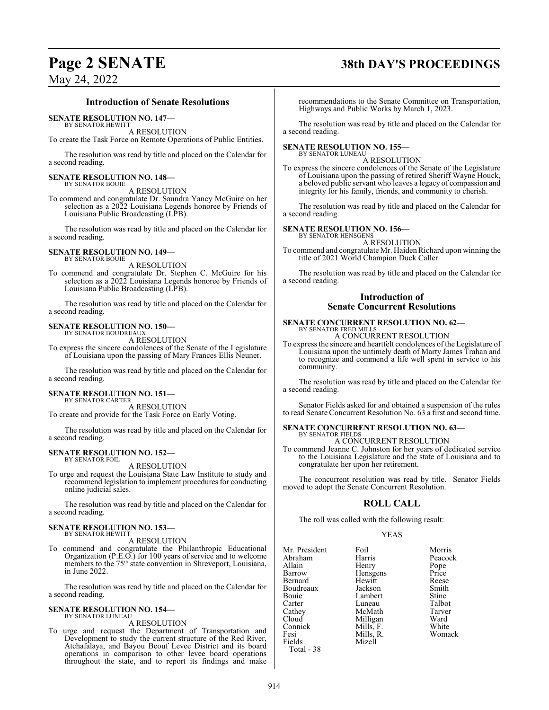## **Page 2 SENATE 38th DAY'S PROCEEDINGS**

May 24, 2022

## **Introduction of Senate Resolutions**

**SENATE RESOLUTION NO. 147—**

BY SENATOR HEWITT A RESOLUTION

To create the Task Force on Remote Operations of Public Entities.

The resolution was read by title and placed on the Calendar for a second reading.

### **SENATE RESOLUTION NO. 148—** BY SENATOR BOUIE

A RESOLUTION

To commend and congratulate Dr. Saundra Yancy McGuire on her selection as a 2022 Louisiana Legends honoree by Friends of Louisiana Public Broadcasting (LPB).

The resolution was read by title and placed on the Calendar for a second reading.

#### **SENATE RESOLUTION NO. 149—** BY SENATOR BOUIE

A RESOLUTION

To commend and congratulate Dr. Stephen C. McGuire for his selection as a 2022 Louisiana Legends honoree by Friends of Louisiana Public Broadcasting (LPB).

The resolution was read by title and placed on the Calendar for a second reading.

## **SENATE RESOLUTION NO. 150—**

BY SENATOR BOUDREAUX A RESOLUTION

To express the sincere condolences of the Senate of the Legislature of Louisiana upon the passing of Mary Frances Ellis Neuner.

The resolution was read by title and placed on the Calendar for a second reading.

## **SENATE RESOLUTION NO. 151—**

BY SENATOR CARTER A RESOLUTION

To create and provide for the Task Force on Early Voting.

The resolution was read by title and placed on the Calendar for a second reading.

#### **SENATE RESOLUTION NO. 152—** BY SENATOR FOIL

A RESOLUTION

To urge and request the Louisiana State Law Institute to study and recommend legislation to implement procedures for conducting online judicial sales.

The resolution was read by title and placed on the Calendar for a second reading.

### **SENATE RESOLUTION NO. 153—** BY SENATOR HEWITT

A RESOLUTION

To commend and congratulate the Philanthropic Educational Organization (P.E.O.) for 100 years of service and to welcome members to the 75<sup>th</sup> state convention in Shreveport, Louisiana, in June 2022.

The resolution was read by title and placed on the Calendar for a second reading.

### **SENATE RESOLUTION NO. 154—** BY SENATOR LUNEAU

A RESOLUTION

To urge and request the Department of Transportation and Development to study the current structure of the Red River, Atchafalaya, and Bayou Beouf Levee District and its board operations in comparison to other levee board operations throughout the state, and to report its findings and make

recommendations to the Senate Committee on Transportation, Highways and Public Works by March 1, 2023.

The resolution was read by title and placed on the Calendar for a second reading.

### **SENATE RESOLUTION NO. 155—** BY SENATOR LUNEAU

A RESOLUTION

To express the sincere condolences of the Senate of the Legislature of Louisiana upon the passing of retired Sheriff Wayne Houck, a beloved public servant who leaves a legacy of compassion and integrity for his family, friends, and community to cherish.

The resolution was read by title and placed on the Calendar for a second reading.

## **SENATE RESOLUTION NO. 156—**

BY SENATOR HENSGENS

A RESOLUTION To commend and congratulate Mr. Haiden Richard upon winning the title of 2021 World Champion Duck Caller.

The resolution was read by title and placed on the Calendar for a second reading.

## **Introduction of Senate Concurrent Resolutions**

## **SENATE CONCURRENT RESOLUTION NO. 62—** BY SENATOR FRED MILLS

A CONCURRENT RESOLUTION

To express the sincere and heartfelt condolences of the Legislature of Louisiana upon the untimely death of Marty James Trahan and to recognize and commend a life well spent in service to his community.

The resolution was read by title and placed on the Calendar for a second reading.

Senator Fields asked for and obtained a suspension of the rules to read Senate Concurrent Resolution No. 63 a first and second time.

#### **SENATE CONCURRENT RESOLUTION NO. 63—** BY SENATOR FIELDS

A CONCURRENT RESOLUTION

To commend Jeanne C. Johnston for her years of dedicated service to the Louisiana Legislature and the state of Louisiana and to congratulate her upon her retirement.

The concurrent resolution was read by title. Senator Fields moved to adopt the Senate Concurrent Resolution.

## **ROLL CALL**

The roll was called with the following result:

Mills, R.<br>Mizell

## YEAS

Mr. President Foil Morris<br>Abraham Harris Peacock Abraham Harris Peacock<br>Allain Henry Pope Allain Henry Pope Bernard Hewitt Reese<br>Boudreaux Jackson Smith Boudreaux Jackson Smith Bouie Lambert Stine<br>Carter Luneau Talbot Carter Luneau Talbot Cathey McMath Tarve<br>Cloud Milligan Ward Cloud Milligan Ward<br>
Connick Mills, F. White Connick Mills, F. White<br>
Fesi Mills, R. Womack Fields Total - 38

Hensgens Price<br>Hewitt Reese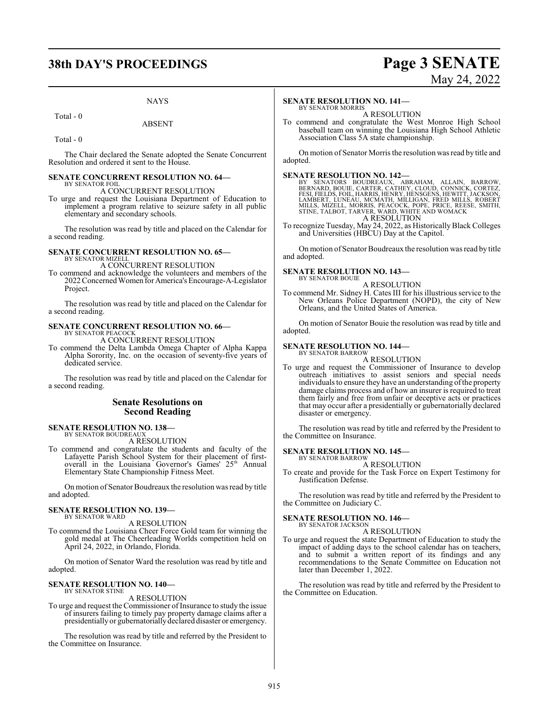## **38th DAY'S PROCEEDINGS Page 3 SENATE**

## NAYS

Total - 0

ABSENT

Total - 0

The Chair declared the Senate adopted the Senate Concurrent Resolution and ordered it sent to the House.

#### **SENATE CONCURRENT RESOLUTION NO. 64—** BY SENATOR FOIL

A CONCURRENT RESOLUTION

To urge and request the Louisiana Department of Education to implement a program relative to seizure safety in all public elementary and secondary schools.

The resolution was read by title and placed on the Calendar for a second reading.

#### **SENATE CONCURRENT RESOLUTION NO. 65—** BY SENATOR MIZELL

A CONCURRENT RESOLUTION

To commend and acknowledge the volunteers and members of the 2022 Concerned Women for America's Encourage-A-Legislator Project.

The resolution was read by title and placed on the Calendar for a second reading.

## **SENATE CONCURRENT RESOLUTION NO. 66—**

BY SENATOR PEACOCK A CONCURRENT RESOLUTION

To commend the Delta Lambda Omega Chapter of Alpha Kappa Alpha Sorority, Inc. on the occasion of seventy-five years of dedicated service.

The resolution was read by title and placed on the Calendar for a second reading.

## **Senate Resolutions on Second Reading**

**SENATE RESOLUTION NO. 138—** BY SENATOR BOUDREAUX

A RESOLUTION

To commend and congratulate the students and faculty of the Lafayette Parish School System for their placement of firstoverall in the Louisiana Governor's Games' 25<sup>th</sup> Annual Elementary State Championship Fitness Meet.

On motion of Senator Boudreaux the resolution was read by title and adopted.

#### **SENATE RESOLUTION NO. 139—** BY SENATOR WARD

A RESOLUTION

To commend the Louisiana Cheer Force Gold team for winning the gold medal at The Cheerleading Worlds competition held on April 24, 2022, in Orlando, Florida.

On motion of Senator Ward the resolution was read by title and adopted.

### **SENATE RESOLUTION NO. 140—** BY SENATOR STINE

A RESOLUTION

To urge and request the Commissioner of Insurance to study the issue of insurers failing to timely pay property damage claims after a presidentially or gubernatorially declared disaster or emergency.

The resolution was read by title and referred by the President to the Committee on Insurance.

## **SENATE RESOLUTION NO. 141—**

BY SENATOR MORRIS A RESOLUTION

To commend and congratulate the West Monroe High School baseball team on winning the Louisiana High School Athletic Association Class 5A state championship.

On motion of Senator Morris the resolution was read by title and adopted.

SENATE RESOLUTION NO. 142—<br>
BY SENATORS BOUDREAUX, ABRAHAM, ALLAIN, BARROW,<br>
BERNARD, BOULE, CARTER, CATHEY, CLOUD, CONNICK, CORTEZ,<br>
FESI, FIELDS, FOIL, HARRIS, HENRY, HENSGENS, HEWITT, JACKSON,<br>
LAMBERT, LUNEAU, MCMATH,

To recognize Tuesday, May 24, 2022, as HistoricallyBlack Colleges and Universities (HBCU) Day at the Capitol.

On motion of Senator Boudreaux the resolution was read by title and adopted.

## **SENATE RESOLUTION NO. 143—**

BY SENATOR BOUIE A RESOLUTION

To commend Mr. Sidney H. Cates III for his illustrious service to the New Orleans Police Department (NOPD), the city of New Orleans, and the United States of America.

On motion of Senator Bouie the resolution was read by title and adopted.

#### **SENATE RESOLUTION NO. 144—** BY SENATOR BARROW

A RESOLUTION

To urge and request the Commissioner of Insurance to develop outreach initiatives to assist seniors and special needs individuals to ensure they have an understanding of the property damage claims process and of how an insurer is required to treat them fairly and free from unfair or deceptive acts or practices that may occur after a presidentially or gubernatorially declared disaster or emergency.

The resolution was read by title and referred by the President to the Committee on Insurance.

## **SENATE RESOLUTION NO. 145—**

BY SENATOR BARROW A RESOLUTION

To create and provide for the Task Force on Expert Testimony for Justification Defense.

The resolution was read by title and referred by the President to the Committee on Judiciary C.

#### **SENATE RESOLUTION NO. 146—** BY SENATOR JACKSON

A RESOLUTION

To urge and request the state Department of Education to study the impact of adding days to the school calendar has on teachers, and to submit a written report of its findings and any recommendations to the Senate Committee on Education not later than December 1, 2022.

The resolution was read by title and referred by the President to the Committee on Education.

# May 24, 2022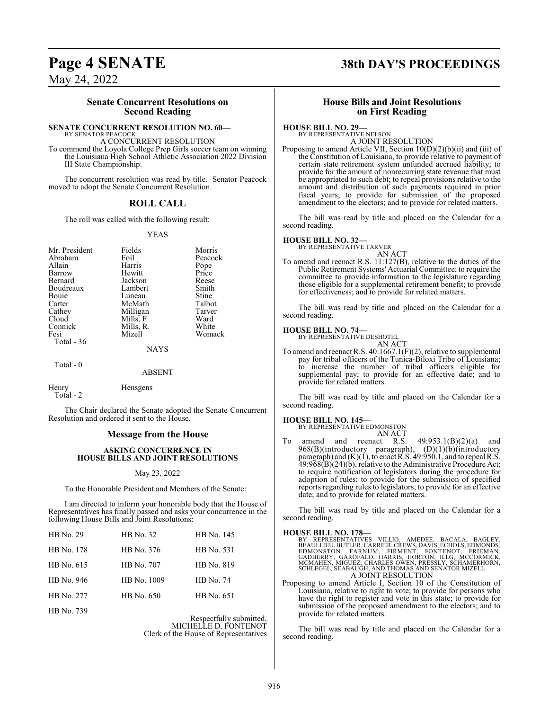## **Page 4 SENATE 38th DAY'S PROCEEDINGS**

May 24, 2022

## **Senate Concurrent Resolutions on Second Reading**

#### **SENATE CONCURRENT RESOLUTION NO. 60—** BY SENATOR PEACOCK

A CONCURRENT RESOLUTION

To commend the Loyola College Prep Girls soccer team on winning the Louisiana High School Athletic Association 2022 Division III State Championship.

The concurrent resolution was read by title. Senator Peacock moved to adopt the Senate Concurrent Resolution.

## **ROLL CALL**

The roll was called with the following result:

## YEAS

| Mr. President | Fields      | Morris  |
|---------------|-------------|---------|
| Abraham       | Foil        | Peacock |
|               |             |         |
| Allain        | Harris      | Pope    |
| Barrow        | Hewitt      | Price   |
| Bernard       | Jackson     | Reese   |
| Boudreaux     | Lambert     | Smith   |
| Bouie         | Luneau      | Stine   |
| Carter        | McMath      | Talbot  |
| Cathey        | Milligan    | Tarver  |
| Cloud         | Mills, F.   | Ward    |
| Connick       | Mills, R.   | White   |
| Fesi          | Mizell      | Womack  |
| Total $-36$   |             |         |
|               | <b>NAYS</b> |         |
| Total - 0     |             |         |

### ABSENT

Henry Hensgens Total - 2

The Chair declared the Senate adopted the Senate Concurrent Resolution and ordered it sent to the House.

## **Message from the House**

## **ASKING CONCURRENCE IN HOUSE BILLS AND JOINT RESOLUTIONS**

## May 23, 2022

To the Honorable President and Members of the Senate:

I am directed to inform your honorable body that the House of Representatives has finally passed and asks your concurrence in the following House Bills and Joint Resolutions:

| <b>HB</b> No. 29 | <b>HB</b> No. 32 | HB No. 145       |
|------------------|------------------|------------------|
| HB No. 178       | HB No. 376       | HB No. 531       |
| HB No. 615       | HB No. 707       | HB No. 819       |
| HB No. 946       | HB No. 1009      | <b>HB</b> No. 74 |
| HB No. 277       | HB No. 650       | HB No. 651       |
| HB No. 739       |                  |                  |

Respectfully submitted, MICHELLE D. FONTENOT Clerk of the House of Representatives

## **House Bills and Joint Resolutions on First Reading**

## **HOUSE BILL NO. 29—**

BY REPRESENTATIVE NELSON A JOINT RESOLUTION

Proposing to amend Article VII, Section 10(D)(2)(b)(ii) and (iii) of the Constitution of Louisiana, to provide relative to payment of certain state retirement system unfunded accrued liability; to provide for the amount of nonrecurring state revenue that must be appropriated to such debt; to repeal provisions relative to the amount and distribution of such payments required in prior fiscal years; to provide for submission of the proposed amendment to the electors; and to provide for related matters.

The bill was read by title and placed on the Calendar for a second reading.

## **HOUSE BILL NO. 32—** BY REPRESENTATIVE TARVER

AN ACT To amend and reenact R.S. 11:127(B), relative to the duties of the Public Retirement Systems' Actuarial Committee; to require the committee to provide information to the legislature regarding those eligible for a supplemental retirement benefit; to provide for effectiveness; and to provide for related matters.

The bill was read by title and placed on the Calendar for a second reading.

## **HOUSE BILL NO. 74—** BY REPRESENTATIVE DESHOTEL

AN ACT

To amend and reenact R.S. 40:1667.1(F)(2), relative to supplemental pay for tribal officers of the Tunica-Biloxi Tribe of Louisiana; to increase the number of tribal officers eligible for supplemental pay; to provide for an effective date; and to provide for related matters.

The bill was read by title and placed on the Calendar for a second reading.

## **HOUSE BILL NO. 145—**

BY REPRESENTATIVE EDMONSTON

AN ACT<br>reenact R.S. To amend and reenact R.S.  $49:953.1(B)(2)(a)$  and 968(B)(introductory paragraph), (D)(1)(b)(introductory paragraph) and (K)(1), to enact R.S. 49:950.1, and to repeal R.S. 49:968(B)(24)(b), relative to the Administrative Procedure Act; to require notification of legislators during the procedure for adoption of rules; to provide for the submission of specified reports regarding rules to legislators; to provide for an effective date; and to provide for related matters.

The bill was read by title and placed on the Calendar for a second reading.

**HOUSE BILL NO. 178—**<br>BY REPRESENTATIVES VILLIO, AMEDEE, BACALA, BAGLEY, BEAULLIEU, BUTLER, CARRIER, CREWS, DAVIS, ECHOLS, EDMONDS,<br>EDMONSTON, FARNUM, FIRMENT, FONTENOT, FRIEMAN,<br>GADBERRY, GAROFALO, HARRIS, HORTON, ILLG, M

Proposing to amend Article I, Section 10 of the Constitution of Louisiana, relative to right to vote; to provide for persons who have the right to register and vote in this state; to provide for submission of the proposed amendment to the electors; and to provide for related matters.

The bill was read by title and placed on the Calendar for a second reading.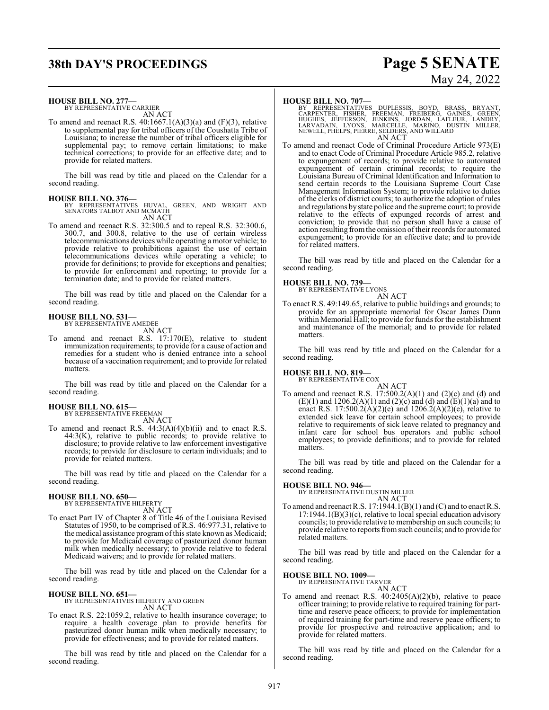## **38th DAY'S PROCEEDINGS Page 5 SENATE**

# May 24, 2022

**HOUSE BILL NO. 277—**

BY REPRESENTATIVE CARRIER AN ACT

To amend and reenact R.S.  $40:1667.1(A)(3)(a)$  and  $(F)(3)$ , relative to supplemental pay for tribal officers of the Coushatta Tribe of Louisiana; to increase the number of tribal officers eligible for supplemental pay; to remove certain limitations; to make technical corrections; to provide for an effective date; and to provide for related matters.

The bill was read by title and placed on the Calendar for a second reading.

### **HOUSE BILL NO. 376—**

BY REPRESENTATIVES HUVAL, GREEN, AND WRIGHT AND SENATORS TALBOT AND MCMATH AN ACT

To amend and reenact R.S. 32:300.5 and to repeal R.S. 32:300.6, 300.7, and 300.8, relative to the use of certain wireless telecommunications devices while operating a motor vehicle; to provide relative to prohibitions against the use of certain telecommunications devices while operating a vehicle; to provide for definitions; to provide for exceptions and penalties; to provide for enforcement and reporting; to provide for a termination date; and to provide for related matters.

The bill was read by title and placed on the Calendar for a second reading.

### **HOUSE BILL NO. 531—** BY REPRESENTATIVE AMEDEE

AN ACT

To amend and reenact R.S. 17:170(E), relative to student immunization requirements; to provide for a cause of action and remedies for a student who is denied entrance into a school because of a vaccination requirement; and to provide for related matters.

The bill was read by title and placed on the Calendar for a second reading.

#### **HOUSE BILL NO. 615—** BY REPRESENTATIVE FREEMAN

AN ACT

To amend and reenact R.S.  $44:3(A)(4)(b)(ii)$  and to enact R.S. 44:3(K), relative to public records; to provide relative to disclosure; to provide relative to law enforcement investigative records; to provide for disclosure to certain individuals; and to provide for related matters.

The bill was read by title and placed on the Calendar for a second reading.

## **HOUSE BILL NO. 650—**

BY REPRESENTATIVE HILFERTY AN ACT

To enact Part IV of Chapter 8 of Title 46 of the Louisiana Revised Statutes of 1950, to be comprised of R.S. 46:977.31, relative to the medical assistance programofthis state known as Medicaid; to provide for Medicaid coverage of pasteurized donor human milk when medically necessary; to provide relative to federal Medicaid waivers; and to provide for related matters.

The bill was read by title and placed on the Calendar for a second reading.

## **HOUSE BILL NO. 651—**

BY REPRESENTATIVES HILFERTY AND GREEN AN ACT

To enact R.S. 22:1059.2, relative to health insurance coverage; to require a health coverage plan to provide benefits for pasteurized donor human milk when medically necessary; to provide for effectiveness; and to provide for related matters.

The bill was read by title and placed on the Calendar for a second reading.

## **HOUSE BILL NO. 707—**

BY REPRESENTATIVES DUPLESSIS, BOYD, BRASS, BRYANT,<br>CARPENTER, FISHER, FREEMAN, FREIBERG, GAINES, GREEN,<br>HUGHES, JEFFERSON, JENKINS, JORDAN, LAFLEUR, LANDRY,<br>LARVADAIN, LYONS, MARCELLE, MARINO, DUSTIN MILLER,<br>NEWELL,PHELPS, AN ACT

To amend and reenact Code of Criminal Procedure Article 973(E) and to enact Code of Criminal Procedure Article 985.2, relative to expungement of records; to provide relative to automated expungement of certain criminal records; to require the Louisiana Bureau of Criminal Identification and Information to send certain records to the Louisiana Supreme Court Case Management Information System; to provide relative to duties of the clerks of district courts; to authorize the adoption of rules and regulations by state police and the supreme court; to provide relative to the effects of expunged records of arrest and conviction; to provide that no person shall have a cause of action resulting fromthe omission oftheir records for automated expungement; to provide for an effective date; and to provide for related matters.

The bill was read by title and placed on the Calendar for a second reading.

## **HOUSE BILL NO. 739—**

BY REPRESENTATIVE LYONS AN ACT

To enact R.S. 49:149.65, relative to public buildings and grounds; to provide for an appropriate memorial for Oscar James Dunn within Memorial Hall; to provide for funds for the establishment and maintenance of the memorial; and to provide for related matters.

The bill was read by title and placed on the Calendar for a second reading.

**HOUSE BILL NO. 819—** BY REPRESENTATIVE COX AN ACT

To amend and reenact R.S. 17:500.2(A)(1) and (2)(c) and (d) and  $(E)(1)$  and  $1206.2(A)(1)$  and  $(2)(c)$  and  $(d)$  and  $(E)(1)(a)$  and to enact R.S. 17:500.2( $\hat{A}$ )(2)(e) and 1206.2( $A$ )(2)(e), relative to extended sick leave for certain school employees; to provide relative to requirements of sick leave related to pregnancy and infant care for school bus operators and public school employees; to provide definitions; and to provide for related matters.

The bill was read by title and placed on the Calendar for a second reading.

## **HOUSE BILL NO. 946—**

BY REPRESENTATIVE DUSTIN MILLER AN ACT

To amend and reenact R.S. 17:1944.1(B)(1) and (C) and to enact R.S. 17:1944.1(B)(3)(c), relative to local special education advisory councils; to provide relative to membership on such councils; to provide relative to reports fromsuch councils; and to provide for related matters.

The bill was read by title and placed on the Calendar for a second reading.

## **HOUSE BILL NO. 1009—**

BY REPRESENTATIVE TARVER AN ACT

To amend and reenact R.S. 40:2405(A)(2)(b), relative to peace officer training; to provide relative to required training for parttime and reserve peace officers; to provide for implementation of required training for part-time and reserve peace officers; to provide for prospective and retroactive application; and to provide for related matters.

The bill was read by title and placed on the Calendar for a second reading.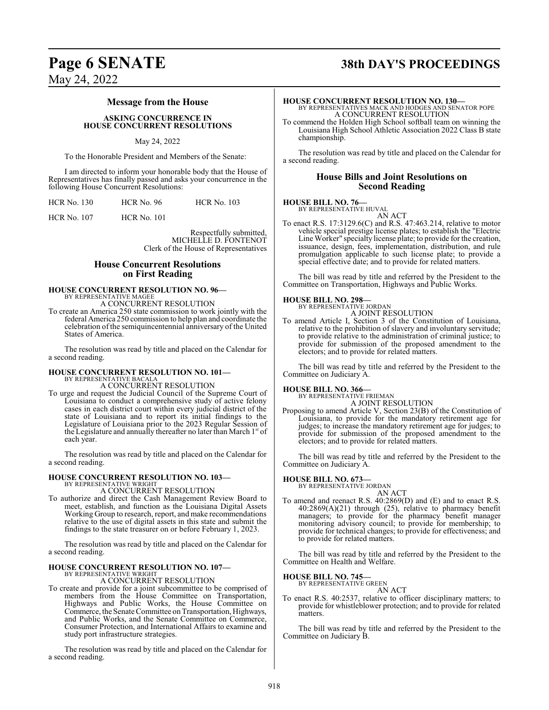## **Page 6 SENATE 38th DAY'S PROCEEDINGS**

May 24, 2022

## **Message from the House**

## **ASKING CONCURRENCE IN HOUSE CONCURRENT RESOLUTIONS**

## May 24, 2022

To the Honorable President and Members of the Senate:

I am directed to inform your honorable body that the House of Representatives has finally passed and asks your concurrence in the following House Concurrent Resolutions:

| <b>HCR No. 130</b> | <b>HCR No. 96</b> | <b>HCR No. 103</b> |
|--------------------|-------------------|--------------------|
|--------------------|-------------------|--------------------|

HCR No. 107 HCR No. 101

Respectfully submitted, MICHELLE D. FONTENOT Clerk of the House of Representatives

## **House Concurrent Resolutions on First Reading**

### **HOUSE CONCURRENT RESOLUTION NO. 96—** BY REPRESENTATIVE MAGEE

A CONCURRENT RESOLUTION

To create an America 250 state commission to work jointly with the federal America 250 commission to help plan and coordinate the celebration of the semiquincentennial anniversary of the United States of America.

The resolution was read by title and placed on the Calendar for a second reading.

## **HOUSE CONCURRENT RESOLUTION NO. 101—** BY REPRESENTATIVE BACALA

A CONCURRENT RESOLUTION

To urge and request the Judicial Council of the Supreme Court of Louisiana to conduct a comprehensive study of active felony cases in each district court within every judicial district of the state of Louisiana and to report its initial findings to the Legislature of Louisiana prior to the 2023 Regular Session of the Legislature and annually thereafter no later than March 1st of each year.

The resolution was read by title and placed on the Calendar for a second reading.

## **HOUSE CONCURRENT RESOLUTION NO. 103—** BY REPRESENTATIVE WRIGHT A CONCURRENT RESOLUTION

To authorize and direct the Cash Management Review Board to meet, establish, and function as the Louisiana Digital Assets Working Group to research, report, and make recommendations relative to the use of digital assets in this state and submit the findings to the state treasurer on or before February 1, 2023.

The resolution was read by title and placed on the Calendar for a second reading.

### **HOUSE CONCURRENT RESOLUTION NO. 107—** BY REPRESENTATIVE WRIGHT

A CONCURRENT RESOLUTION

To create and provide for a joint subcommittee to be comprised of members from the House Committee on Transportation, Highways and Public Works, the House Committee on Commerce, the Senate Committee on Transportation, Highways, and Public Works, and the Senate Committee on Commerce, Consumer Protection, and International Affairs to examine and study port infrastructure strategies.

The resolution was read by title and placed on the Calendar for a second reading.

## **HOUSE CONCURRENT RESOLUTION NO. 130—**

BY REPRESENTATIVES MACK AND HODGES AND SENATOR POPE A CONCURRENT RESOLUTION

To commend the Holden High School softball team on winning the Louisiana High School Athletic Association 2022 Class B state championship.

The resolution was read by title and placed on the Calendar for a second reading.

## **House Bills and Joint Resolutions on Second Reading**

## **HOUSE BILL NO. 76—** BY REPRESENTATIVE HUVAL

AN ACT

To enact R.S. 17:3129.6(C) and R.S. 47:463.214, relative to motor vehicle special prestige license plates; to establish the "Electric Line Worker" specialty license plate; to provide for the creation, issuance, design, fees, implementation, distribution, and rule promulgation applicable to such license plate; to provide a special effective date; and to provide for related matters.

The bill was read by title and referred by the President to the Committee on Transportation, Highways and Public Works.

## **HOUSE BILL NO. 298—** BY REPRESENTATIVE JORDAN

A JOINT RESOLUTION

To amend Article I, Section 3 of the Constitution of Louisiana, relative to the prohibition of slavery and involuntary servitude; to provide relative to the administration of criminal justice; to provide for submission of the proposed amendment to the electors; and to provide for related matters.

The bill was read by title and referred by the President to the Committee on Judiciary A.

## **HOUSE BILL NO. 366—**

BY REPRESENTATIVE FRIEMAN A JOINT RESOLUTION

Proposing to amend Article V, Section 23(B) of the Constitution of Louisiana, to provide for the mandatory retirement age for judges; to increase the mandatory retirement age for judges; to provide for submission of the proposed amendment to the electors; and to provide for related matters.

The bill was read by title and referred by the President to the Committee on Judiciary A.

## **HOUSE BILL NO. 673—** BY REPRESENTATIVE JORDAN

AN ACT To amend and reenact R.S. 40:2869(D) and (E) and to enact R.S. 40:2869(A)(21) through (25), relative to pharmacy benefit managers; to provide for the pharmacy benefit manager monitoring advisory council; to provide for membership; to provide for technical changes; to provide for effectiveness; and to provide for related matters.

The bill was read by title and referred by the President to the Committee on Health and Welfare.

## **HOUSE BILL NO. 745—**

BY REPRESENTATIVE GREEN AN ACT

To enact R.S. 40:2537, relative to officer disciplinary matters; to provide for whistleblower protection; and to provide for related matters.

The bill was read by title and referred by the President to the Committee on Judiciary B.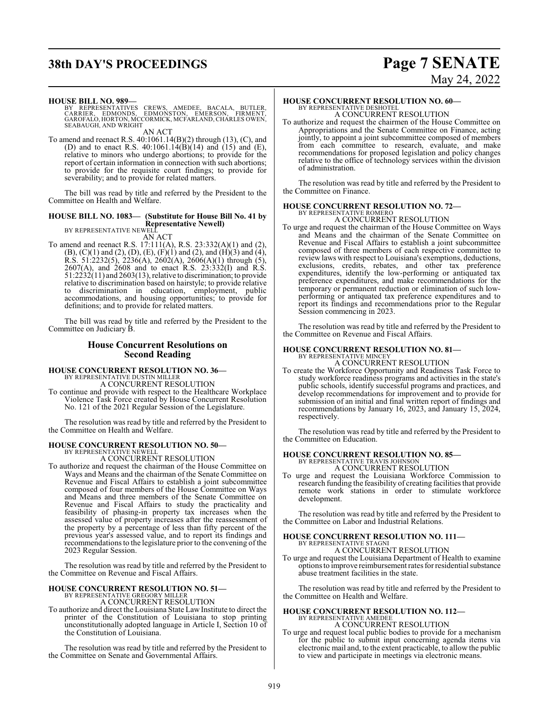## **38th DAY'S PROCEEDINGS Page 7 SENATE**

# May 24, 2022

### **HOUSE BILL NO. 989—**

BY REPRESENTATIVES CREWS, AMEDEE, BACALA, BUTLER,<br>CARRIER, EDMONDS, EDMONSTON, EMERSON, FIRMENT,<br>GAROFALO,HORTON,MCCORMICK,MCFARLAND,CHARLESOWEN,<br>SEABAUGH,ANDWRIGHT AN ACT

To amend and reenact R.S. 40:1061.14(B)(2) through (13), (C), and (D) and to enact R.S.  $40:1061.14(B)(14)$  and  $(15)$  and  $(E)$ , relative to minors who undergo abortions; to provide for the report of certain information in connection with such abortions; to provide for the requisite court findings; to provide for severability; and to provide for related matters.

The bill was read by title and referred by the President to the Committee on Health and Welfare.

## **HOUSE BILL NO. 1083— (Substitute for House Bill No. 41 by Representative Newell)** BY REPRESENTATIVE NEWELL

AN ACT

To amend and reenact R.S. 17:111(A), R.S. 23:332(A)(1) and (2),  $(B)$ ,  $(C)(1)$  and  $(2)$ ,  $(D)$ ,  $(E)$ ,  $(F)(1)$  and  $(2)$ , and  $(H)(3)$  and  $(4)$ , R.S. 51:2232(5), 2236(A), 2602(A), 2606(A)(1) through (5), 2607(A), and 2608 and to enact R.S. 23:332(I) and R.S. 51:2232(11) and 2603(13), relative to discrimination; to provide relative to discrimination based on hairstyle; to provide relative to discrimination in education, employment, public accommodations, and housing opportunities; to provide for definitions; and to provide for related matters.

The bill was read by title and referred by the President to the Committee on Judiciary B.

## **House Concurrent Resolutions on Second Reading**

## **HOUSE CONCURRENT RESOLUTION NO. 36—** BY REPRESENTATIVE DUSTIN MILLER

A CONCURRENT RESOLUTION

To continue and provide with respect to the Healthcare Workplace Violence Task Force created by House Concurrent Resolution No. 121 of the 2021 Regular Session of the Legislature.

The resolution was read by title and referred by the President to the Committee on Health and Welfare.

## **HOUSE CONCURRENT RESOLUTION NO. 50—**

BY REPRESENTATIVE NEWELL A CONCURRENT RESOLUTION

To authorize and request the chairman of the House Committee on Ways and Means and the chairman of the Senate Committee on Revenue and Fiscal Affairs to establish a joint subcommittee composed of four members of the House Committee on Ways and Means and three members of the Senate Committee on Revenue and Fiscal Affairs to study the practicality and feasibility of phasing-in property tax increases when the assessed value of property increases after the reassessment of the property by a percentage of less than fifty percent of the previous year's assessed value, and to report its findings and recommendations to the legislature prior to the convening of the 2023 Regular Session.

The resolution was read by title and referred by the President to the Committee on Revenue and Fiscal Affairs.

## **HOUSE CONCURRENT RESOLUTION NO. 51—** BY REPRESENTATIVE GREGORY MILLER

A CONCURRENT RESOLUTION

To authorize and direct the Louisiana State Law Institute to direct the printer of the Constitution of Louisiana to stop printing unconstitutionally adopted language in Article I, Section 10 of the Constitution of Louisiana.

The resolution was read by title and referred by the President to the Committee on Senate and Governmental Affairs.

## **HOUSE CONCURRENT RESOLUTION NO. 60—**

BY REPRESENTATIVE DESHOTEL A CONCURRENT RESOLUTION

To authorize and request the chairmen of the House Committee on Appropriations and the Senate Committee on Finance, acting jointly, to appoint a joint subcommittee composed of members from each committee to research, evaluate, and make recommendations for proposed legislation and policy changes relative to the office of technology services within the division of administration.

The resolution was read by title and referred by the President to the Committee on Finance.

## **HOUSE CONCURRENT RESOLUTION NO. 72—** BY REPRESENTATIVE ROMERO

- A CONCURRENT RESOLUTION
- To urge and request the chairman of the House Committee on Ways and Means and the chairman of the Senate Committee on Revenue and Fiscal Affairs to establish a joint subcommittee composed of three members of each respective committee to review laws with respect to Louisiana's exemptions, deductions, exclusions, credits, rebates, and other tax preference expenditures, identify the low-performing or antiquated tax preference expenditures, and make recommendations for the temporary or permanent reduction or elimination of such lowperforming or antiquated tax preference expenditures and to report its findings and recommendations prior to the Regular Session commencing in 2023.

The resolution was read by title and referred by the President to the Committee on Revenue and Fiscal Affairs.

## **HOUSE CONCURRENT RESOLUTION NO. 81—**

BY REPRESENTATIVE MINCEY A CONCURRENT RESOLUTION

To create the Workforce Opportunity and Readiness Task Force to study workforce readiness programs and activities in the state's public schools, identify successful programs and practices, and develop recommendations for improvement and to provide for submission of an initial and final written report of findings and recommendations by January 16, 2023, and January 15, 2024, respectively.

The resolution was read by title and referred by the President to the Committee on Education.

#### **HOUSE CONCURRENT RESOLUTION NO. 85—** BY REPRESENTATIVE TRAVIS JOHNSON A CONCURRENT RESOLUTION

To urge and request the Louisiana Workforce Commission to research funding the feasibility of creating facilities that provide remote work stations in order to stimulate workforce development.

The resolution was read by title and referred by the President to the Committee on Labor and Industrial Relations.

## **HOUSE CONCURRENT RESOLUTION NO. 111—** BY REPRESENTATIVE STAGNI A CONCURRENT RESOLUTION

To urge and request the Louisiana Department of Health to examine options to improve reimbursement rates for residential substance abuse treatment facilities in the state.

The resolution was read by title and referred by the President to the Committee on Health and Welfare.

## **HOUSE CONCURRENT RESOLUTION NO. 112—** BY REPRESENTATIVE AMEDEE A CONCURRENT RESOLUTION

To urge and request local public bodies to provide for a mechanism for the public to submit input concerning agenda items via electronic mail and, to the extent practicable, to allow the public to view and participate in meetings via electronic means.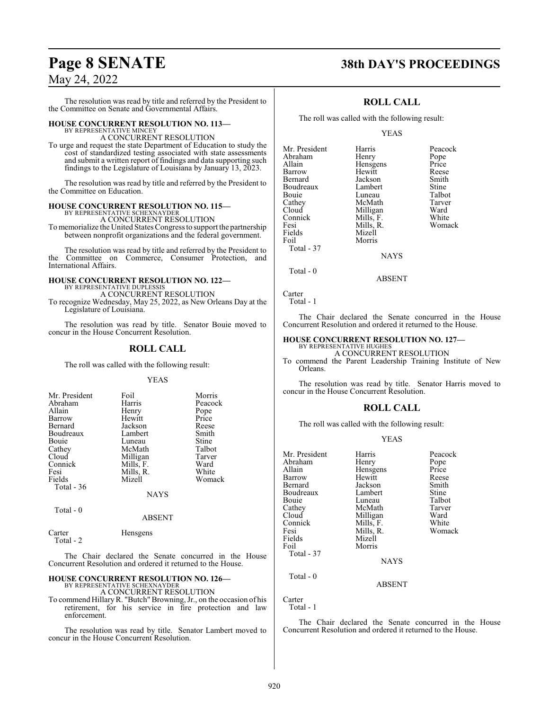The resolution was read by title and referred by the President to the Committee on Senate and Governmental Affairs.

## **HOUSE CONCURRENT RESOLUTION NO. 113—**

BY REPRESENTATIVE MINCEY A CONCURRENT RESOLUTION

To urge and request the state Department of Education to study the cost of standardized testing associated with state assessments and submit a written report of findings and data supporting such findings to the Legislature of Louisiana by January 13, 2023.

The resolution was read by title and referred by the President to the Committee on Education.

#### **HOUSE CONCURRENT RESOLUTION NO. 115—** BY REPRESENTATIVE SCHEXNAYDER

A CONCURRENT RESOLUTION

To memorialize the United States Congress to support the partnership between nonprofit organizations and the federal government.

The resolution was read by title and referred by the President to the Committee on Commerce, Consumer Protection, and International Affairs.

## **HOUSE CONCURRENT RESOLUTION NO. 122—** BY REPRESENTATIVE DUPLESSIS

A CONCURRENT RESOLUTION

To recognize Wednesday, May 25, 2022, as New Orleans Day at the Legislature of Louisiana.

The resolution was read by title. Senator Bouie moved to concur in the House Concurrent Resolution.

## **ROLL CALL**

The roll was called with the following result:

## YEAS

| Mr. President | Foil      | Morris  |
|---------------|-----------|---------|
| Abraham       | Harris    | Peacock |
| Allain        | Henry     | Pope    |
| Barrow        | Hewitt    | Price   |
| Bernard       | Jackson   | Reese   |
| Boudreaux     | Lambert   | Smith   |
| Bouie         | Luneau    | Stine   |
| Cathey        | McMath    | Talbot  |
| Cloud         | Milligan  | Tarver  |
| Connick       | Mills, F. | Ward    |
| Fesi          | Mills, R. | White   |
| Fields        | Mizell    | Womack  |
| Total - 36    |           |         |
|               | NAYS      |         |

Total - 0

## Carter Hensgens

Total - 2

The Chair declared the Senate concurred in the House Concurrent Resolution and ordered it returned to the House.

ABSENT

## **HOUSE CONCURRENT RESOLUTION NO. 126—**

BY REPRESENTATIVE SCHEXNAYDER A CONCURRENT RESOLUTION

To commend HillaryR. "Butch"Browning, Jr., on the occasion of his retirement, for his service in fire protection and law enforcement.

The resolution was read by title. Senator Lambert moved to concur in the House Concurrent Resolution.

## **Page 8 SENATE 38th DAY'S PROCEEDINGS**

## **ROLL CALL**

The roll was called with the following result:

## YEAS

| Mr. President | Harris    | Peacock |
|---------------|-----------|---------|
| Abraham       | Henry     | Pope    |
| Allain        | Hensgens  | Price   |
| Barrow        | Hewitt    | Reese   |
| Bernard       | Jackson   | Smith   |
| Boudreaux     | Lambert   | Stine   |
| Bouie         | Luneau    | Talbot  |
| Cathey        | McMath    | Tarver  |
| Cloud         | Milligan  | Ward    |
| Connick       | Mills, F. | White   |
| Fesi          | Mills, R. | Womack  |
| Fields        | Mizell    |         |
| Foil          | Morris    |         |
| Total - 37    |           |         |
|               | NAYS      |         |

Carter Total - 1

Total - 0

The Chair declared the Senate concurred in the House Concurrent Resolution and ordered it returned to the House.

ABSENT

## **HOUSE CONCURRENT RESOLUTION NO. 127—**

BY REPRESENTATIVE HUGHES A CONCURRENT RESOLUTION

To commend the Parent Leadership Training Institute of New Orleans.

The resolution was read by title. Senator Harris moved to concur in the House Concurrent Resolution.

## **ROLL CALL**

The roll was called with the following result:

## YEAS

| Mr. President<br>Abraham<br>Allain<br>Barrow<br>Bernard<br>Boudreaux<br>Bouie<br>Cathey<br>Cloud<br>Connick<br>Fesi<br>Fields<br>Foil<br>Total - 37 | Harris<br>Henry<br>Hensgens<br>Hewitt<br>Jackson<br>Lambert<br>Luneau<br>McMath<br>Milligan<br>Mills, F.<br>Mills, R.<br>Mizell<br>Morris<br><b>NAYS</b> | Peacock<br>Pope<br>Price<br>Reese<br>Smith<br>Stine<br>Talbot<br>Tarver<br>Ward<br>White<br>Womack |
|-----------------------------------------------------------------------------------------------------------------------------------------------------|----------------------------------------------------------------------------------------------------------------------------------------------------------|----------------------------------------------------------------------------------------------------|
| Total $-0$                                                                                                                                          |                                                                                                                                                          |                                                                                                    |

ABSENT

Carter Total - 1

The Chair declared the Senate concurred in the House Concurrent Resolution and ordered it returned to the House.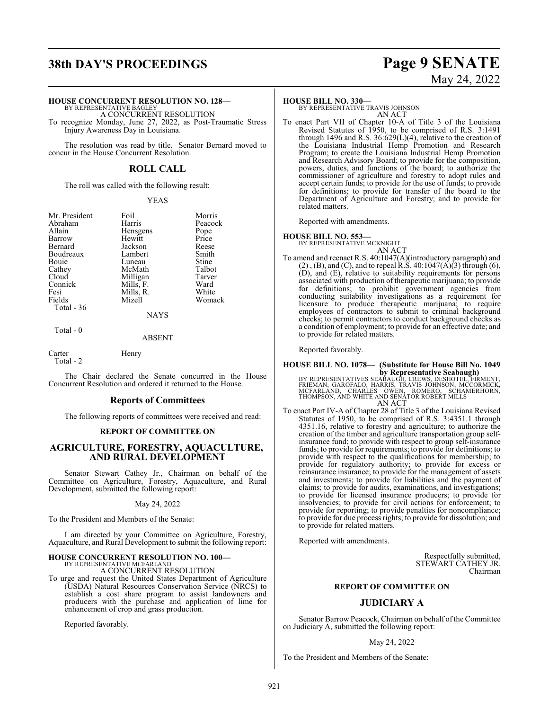## **38th DAY'S PROCEEDINGS Page 9 SENATE**

## **HOUSE CONCURRENT RESOLUTION NO. 128—**

BY REPRESENTATIVE BAGLEY A CONCURRENT RESOLUTION

To recognize Monday, June 27, 2022, as Post-Traumatic Stress Injury Awareness Day in Louisiana.

The resolution was read by title. Senator Bernard moved to concur in the House Concurrent Resolution.

## **ROLL CALL**

The roll was called with the following result:

### YEAS

| Mr. President | Foil        | Morris  |
|---------------|-------------|---------|
| Abraham       | Harris      | Peacock |
| Allain        | Hensgens    | Pope    |
| Barrow        | Hewitt      | Price   |
| Bernard       | Jackson     | Reese   |
| Boudreaux     | Lambert     | Smith   |
| Bouie         | Luneau      | Stine   |
| Cathey        | McMath      | Talbot  |
| Cloud         | Milligan    | Tarver  |
| Connick       | Mills, F.   | Ward    |
| Fesi          | Mills, R.   | White   |
| Fields        | Mizell      | Womack  |
| Total - 36    |             |         |
|               | <b>NAYS</b> |         |

Total - 0

## ABSENT

Carter Henry Total - 2

The Chair declared the Senate concurred in the House Concurrent Resolution and ordered it returned to the House.

## **Reports of Committees**

The following reports of committees were received and read:

## **REPORT OF COMMITTEE ON**

## **AGRICULTURE, FORESTRY, AQUACULTURE, AND RURAL DEVELOPMENT**

Senator Stewart Cathey Jr., Chairman on behalf of the Committee on Agriculture, Forestry, Aquaculture, and Rural Development, submitted the following report:

## May 24, 2022

To the President and Members of the Senate:

I am directed by your Committee on Agriculture, Forestry, Aquaculture, and Rural Development to submit the following report:

# **HOUSE CONCURRENT RESOLUTION NO. 100—** BY REPRESENTATIVE MCFARLAND A CONCURRENT RESOLUTION

To urge and request the United States Department of Agriculture (USDA) Natural Resources Conservation Service (NRCS) to establish a cost share program to assist landowners and producers with the purchase and application of lime for enhancement of crop and grass production.

Reported favorably.

## **HOUSE BILL NO. 330—**

BY REPRESENTATIVE TRAVIS JOHNSON AN ACT

To enact Part VII of Chapter 10-A of Title 3 of the Louisiana Revised Statutes of 1950, to be comprised of R.S. 3:1491 through 1496 and R.S. 36:629(L)(4), relative to the creation of the Louisiana Industrial Hemp Promotion and Research Program; to create the Louisiana Industrial Hemp Promotion and Research Advisory Board; to provide for the composition, powers, duties, and functions of the board; to authorize the commissioner of agriculture and forestry to adopt rules and accept certain funds; to provide for the use of funds; to provide for definitions; to provide for transfer of the board to the Department of Agriculture and Forestry; and to provide for related matters.

Reported with amendments.

## **HOUSE BILL NO. 553—**

BY REPRESENTATIVE MCKNIGHT

- AN ACT
- To amend and reenact R.S. 40:1047(A)(introductory paragraph) and  $(2)$ ,  $(B)$ , and  $(C)$ , and to repeal R.S. 40:1047 $(A)$  $(3)$  through  $(6)$ , (D), and (E), relative to suitability requirements for persons associated with production of therapeutic marijuana; to provide for definitions; to prohibit government agencies from conducting suitability investigations as a requirement for licensure to produce therapeutic marijuana; to require employees of contractors to submit to criminal background checks; to permit contractors to conduct background checks as a condition of employment; to provide for an effective date; and to provide for related matters.

Reported favorably.

## **HOUSE BILL NO. 1078— (Substitute for House Bill No. 1049**

**by Representative Seabaugh)**<br>BY REPRESENTATIVES SEABAUGH, CREWS, DESHOTEL, FIRMENT,<br>FRIEMAN, GAROFALO, HARRIS, TRAVIS JOHNSON, MCCORMICK,<br>MCFARLAND, CHARLES OWEN, ROMERO, SCHAMERHORN,<br>THOMPSON, AND WHITE AND SENATOR ROBER AN ACT

To enact Part IV-A of Chapter 28 of Title 3 of the Louisiana Revised Statutes of 1950, to be comprised of R.S. 3:4351.1 through 4351.16, relative to forestry and agriculture; to authorize the creation of the timber and agriculture transportation group selfinsurance fund; to provide with respect to group self-insurance funds; to provide for requirements; to provide for definitions; to provide with respect to the qualifications for membership; to provide for regulatory authority; to provide for excess or reinsurance insurance; to provide for the management of assets and investments; to provide for liabilities and the payment of claims; to provide for audits, examinations, and investigations; to provide for licensed insurance producers; to provide for insolvencies; to provide for civil actions for enforcement; to provide for reporting; to provide penalties for noncompliance; to provide for due process rights; to provide for dissolution; and to provide for related matters.

Reported with amendments.

Respectfully submitted, STEWART CATHEY JR. Chairman

## **REPORT OF COMMITTEE ON**

## **JUDICIARY A**

Senator Barrow Peacock, Chairman on behalf of the Committee on Judiciary A, submitted the following report:

### May 24, 2022

To the President and Members of the Senate:

# May 24, 2022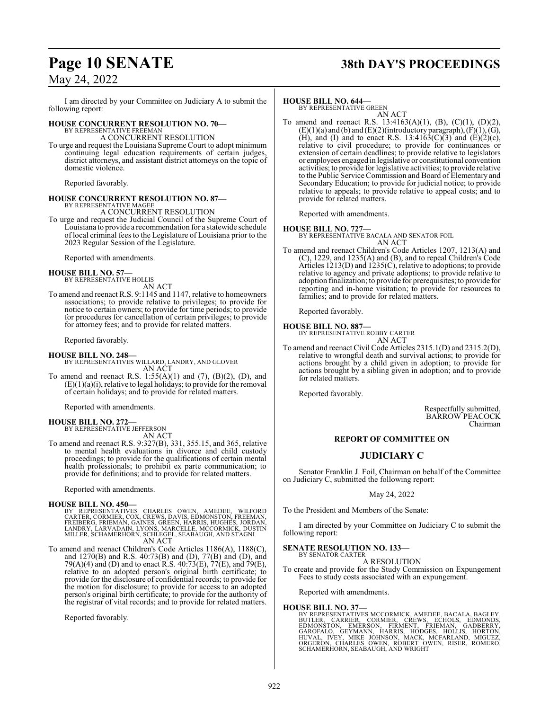## **Page 10 SENATE 38th DAY'S PROCEEDINGS**

## May 24, 2022

I am directed by your Committee on Judiciary A to submit the following report:

# **HOUSE CONCURRENT RESOLUTION NO. 70—**<br>BY REPRESENTATIVE FREEMAN<br>A CONCURRENT RESOLUTION

To urge and request the Louisiana Supreme Court to adopt minimum continuing legal education requirements of certain judges, district attorneys, and assistant district attorneys on the topic of domestic violence.

Reported favorably.

## **HOUSE CONCURRENT RESOLUTION NO. 87—** BY REPRESENTATIVE MAGEE

A CONCURRENT RESOLUTION

To urge and request the Judicial Council of the Supreme Court of Louisiana to provide a recommendation for a statewide schedule of local criminal fees to the Legislature of Louisiana prior to the 2023 Regular Session of the Legislature.

Reported with amendments.

## **HOUSE BILL NO. 57—** BY REPRESENTATIVE HOLLIS

AN ACT

To amend and reenact R.S. 9:1145 and 1147, relative to homeowners associations; to provide relative to privileges; to provide for notice to certain owners; to provide for time periods; to provide for procedures for cancellation of certain privileges; to provide for attorney fees; and to provide for related matters.

Reported favorably.

## **HOUSE BILL NO. 248—**

BY REPRESENTATIVES WILLARD, LANDRY, AND GLOVER AN ACT

To amend and reenact R.S. 1:55(A)(1) and (7), (B)(2), (D), and  $(E)(1)(a)(i)$ , relative to legal holidays; to provide for the removal of certain holidays; and to provide for related matters.

Reported with amendments.

## **HOUSE BILL NO. 272—** BY REPRESENTATIVE JEFFERSON

AN ACT

To amend and reenact R.S. 9:327(B), 331, 355.15, and 365, relative to mental health evaluations in divorce and child custody proceedings; to provide for the qualifications of certain mental health professionals; to prohibit ex parte communication; to provide for definitions; and to provide for related matters.

Reported with amendments.

## **HOUSE BILL NO. 450—**

- BY REPRESENTATIVES CHARLES OWEN, AMEDEE, WILFORD<br>CARTER, CORMIER, COX, CREWS, DAVIS, EDMONSTON, FREEMAN,<br>FREIBERG, FRIEMAN, GAINES, GREEN, HARRIS, HUGHES, JORDAN,<br>LANDRY, LARVADAIN, LYONS, MARCELLE, MCCORMICK, DUSTIN MILLER, SCHAMERHORN, SCHLEGEL, SEABAUGH, AND STAGNI AN ACT
- To amend and reenact Children's Code Articles 1186(A), 1188(C), and 1270(B) and R.S. 40:73(B) and (D), 77(B) and (D), and 79(A)(4) and (D) and to enact R.S. 40:73(E), 77(E), and 79(E), relative to an adopted person's original birth certificate; to provide for the disclosure of confidential records; to provide for the motion for disclosure; to provide for access to an adopted person's original birth certificate; to provide for the authority of the registrar of vital records; and to provide for related matters.

Reported favorably.

## **HOUSE BILL NO. 644—**

BY REPRESENTATIVE GREEN AN ACT

To amend and reenact R.S. 13:4163(A)(1), (B), (C)(1), (D)(2),  $(E)(1)(a)$  and  $(b)$  and  $(E)(2)($ introductory paragraph), $(F)(1), (G)$ , (H), and (I) and to enact R.S. 13:4163(C)(3) and (E)(2)(c), relative to civil procedure; to provide for continuances or extension of certain deadlines; to provide relative to legislators or employees engaged in legislative or constitutional convention activities; to provide for legislative activities; to provide relative to the Public Service Commission and Board of Elementary and Secondary Education; to provide for judicial notice; to provide relative to appeals; to provide relative to appeal costs; and to provide for related matters.

Reported with amendments.

## **HOUSE BILL NO. 727—**

BY REPRESENTATIVE BACALA AND SENATOR FOIL AN ACT

To amend and reenact Children's Code Articles 1207, 1213(A) and (C), 1229, and 1235(A) and (B), and to repeal Children's Code Articles 1213(D) and 1235(C), relative to adoptions; to provide relative to agency and private adoptions; to provide relative to adoption finalization; to provide for prerequisites; to provide for reporting and in-home visitation; to provide for resources to families; and to provide for related matters.

Reported favorably.

## **HOUSE BILL NO. 887—**

BY REPRESENTATIVE ROBBY CARTER AN ACT

To amend and reenact Civil Code Articles 2315.1(D) and 2315.2(D), relative to wrongful death and survival actions; to provide for actions brought by a child given in adoption; to provide for actions brought by a sibling given in adoption; and to provide for related matters.

Reported favorably.

Respectfully submitted, BARROW PEACOCK Chairman

## **REPORT OF COMMITTEE ON**

## **JUDICIARY C**

Senator Franklin J. Foil, Chairman on behalf of the Committee on Judiciary C, submitted the following report:

## May 24, 2022

To the President and Members of the Senate:

I am directed by your Committee on Judiciary C to submit the following report:

#### **SENATE RESOLUTION NO. 133—** BY SENATOR CARTER

A RESOLUTION

To create and provide for the Study Commission on Expungement Fees to study costs associated with an expungement.

Reported with amendments.

## **HOUSE BILL NO. 37—**

BY REPRESENTATIVES MCCORMICK, AMEDEE, BACALA, BAGLEY,<br>BUTLER, CARRIER, CORMIER, CREWS, ECHOLS, EDMONSTON, EMERSON, FIRMENT, FRIEMAN, GADBERRY,<br>GAROFALO, GEYMANN, HARRIS, HODGES, HOLLIS, HORTON,<br>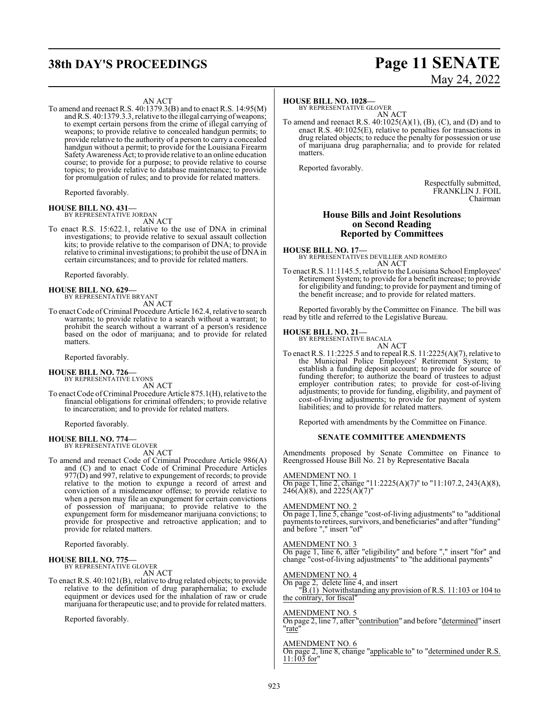## **38th DAY'S PROCEEDINGS Page 11 SENATE**

## AN ACT

To amend and reenact R.S. 40:1379.3(B) and to enact R.S. 14:95(M) and R.S. 40:1379.3.3, relative to the illegal carrying of weapons; to exempt certain persons from the crime of illegal carrying of weapons; to provide relative to concealed handgun permits; to provide relative to the authority of a person to carry a concealed handgun without a permit; to provide for the Louisiana Firearm Safety Awareness Act; to provide relative to an online education course; to provide for a purpose; to provide relative to course topics; to provide relative to database maintenance; to provide for promulgation of rules; and to provide for related matters.

Reported favorably.

## **HOUSE BILL NO. 431—**

BY REPRESENTATIVE JORDAN AN ACT

To enact R.S. 15:622.1, relative to the use of DNA in criminal investigations; to provide relative to sexual assault collection kits; to provide relative to the comparison of DNA; to provide relative to criminal investigations; to prohibit the use of DNA in certain circumstances; and to provide for related matters.

Reported favorably.

**HOUSE BILL NO. 629—** BY REPRESENTATIVE BRYANT

AN ACT

To enact Code of Criminal Procedure Article 162.4, relative to search warrants; to provide relative to a search without a warrant; to prohibit the search without a warrant of a person's residence based on the odor of marijuana; and to provide for related matters.

Reported favorably.

## **HOUSE BILL NO. 726—** BY REPRESENTATIVE LYONS

AN ACT

To enact Code ofCriminal Procedure Article 875.1(H), relative to the financial obligations for criminal offenders; to provide relative to incarceration; and to provide for related matters.

Reported favorably.

**HOUSE BILL NO. 774—** BY REPRESENTATIVE GLOVER AN ACT

To amend and reenact Code of Criminal Procedure Article 986(A)

and (C) and to enact Code of Criminal Procedure Articles  $977(D)$  and 997, relative to expungement of records; to provide relative to the motion to expunge a record of arrest and conviction of a misdemeanor offense; to provide relative to when a person may file an expungement for certain convictions of possession of marijuana; to provide relative to the expungement form for misdemeanor marijuana convictions; to provide for prospective and retroactive application; and to provide for related matters.

Reported favorably.

**HOUSE BILL NO. 775—** BY REPRESENTATIVE GLOVER

AN ACT

To enact R.S. 40:1021(B), relative to drug related objects; to provide relative to the definition of drug paraphernalia; to exclude equipment or devices used for the inhalation of raw or crude marijuana for therapeutic use; and to provide for related matters.

Reported favorably.

# May 24, 2022

## **HOUSE BILL NO. 1028—**

BY REPRESENTATIVE GLOVER AN ACT

To amend and reenact R.S.  $40:1025(A)(1)$ ,  $(B)$ ,  $(C)$ , and  $(D)$  and to enact R.S. 40:1025(E), relative to penalties for transactions in drug related objects; to reduce the penalty for possession or use of marijuana drug paraphernalia; and to provide for related matters.

Reported favorably.

Respectfully submitted, FRANKLIN J. FOIL Chairman

## **House Bills and Joint Resolutions on Second Reading Reported by Committees**

**HOUSE BILL NO. 17—** BY REPRESENTATIVES DEVILLIER AND ROMERO AN ACT

To enact R.S. 11:1145.5, relative to the Louisiana School Employees' Retirement System; to provide for a benefit increase; to provide for eligibility and funding; to provide for payment and timing of the benefit increase; and to provide for related matters.

Reported favorably by the Committee on Finance. The bill was read by title and referred to the Legislative Bureau.

## **HOUSE BILL NO. 21—** BY REPRESENTATIVE BACALA

AN ACT

To enact R.S. 11:2225.5 and to repeal R.S. 11:2225(A)(7), relative to the Municipal Police Employees' Retirement System; to establish a funding deposit account; to provide for source of funding therefor; to authorize the board of trustees to adjust employer contribution rates; to provide for cost-of-living adjustments; to provide for funding, eligibility, and payment of cost-of-living adjustments; to provide for payment of system liabilities; and to provide for related matters.

Reported with amendments by the Committee on Finance.

## **SENATE COMMITTEE AMENDMENTS**

Amendments proposed by Senate Committee on Finance to Reengrossed House Bill No. 21 by Representative Bacala

### AMENDMENT NO. 1

On page 1, line 2, change "11:2225(A)(7)" to "11:107.2, 243(A)(8),  $246(A)(8)$ , and  $2225(A)(7)$ "

## AMENDMENT NO. 2

On page 1, line 5, change "cost-of-living adjustments" to "additional payments to retirees, survivors, and beneficiaries" and after "funding" and before "," insert "of"

### AMENDMENT NO. 3

On page 1, line 6, after "eligibility" and before "," insert "for" and change "cost-of-living adjustments" to "the additional payments"

## AMENDMENT NO. 4

On page 2, delete line 4, and insert  $\overline{B}(1)$  Notwithstanding any provision of R.S. 11:103 or 104 to

## the contrary, for fiscal" AMENDMENT NO. 5

On page 2, line 7, after "contribution" and before "determined" insert "rate"

## AMENDMENT NO. 6

On page 2, line 8, change "applicable to" to "determined under R.S.  $11:103$  for"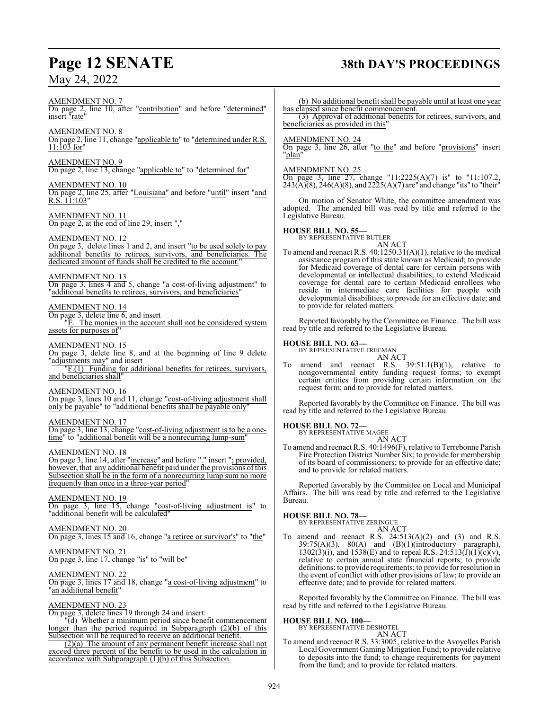**Page 12 SENATE 38th DAY'S PROCEEDINGS** AMENDMENT NO. 7 On page 2, line 10, after "contribution" and before "determined" insert "rate" AMENDMENT NO. 8 On page 2, line 11, change "applicable to" to "determined under R.S.  $11:103$  for" AMENDMENT NO. 9 On page 2, line 13, change "applicable to" to "determined for" AMENDMENT NO. 10 On page 2, line 25, after "Louisiana" and before "until" insert "and <u>R.S. 11:103</u>" AMENDMENT NO. 11 On page 2, at the end of line 29, insert "," AMENDMENT NO. 12 On page 3, delete lines 1 and 2, and insert "to be used solely to pay additional benefits to retirees, survivors, and beneficiaries. The dedicated amount of funds shall be credited to the account." AMENDMENT NO. 13 On page 3, lines 4 and 5, change "a cost-of-living adjustment" to "additional benefits to retirees, survivors, and beneficiaries" AMENDMENT NO. 14 On page 3, delete line 6, and insert<br>"E. The monies in the accoun The monies in the account shall not be considered system assets for purposes of AMENDMENT NO. 15 On page 3, delete line 8, and at the beginning of line 9 delete "adjustments may" and insert "F.(1) Funding for additional benefits for retirees, survivors, and beneficiaries shall" AMENDMENT NO. 16 On page 3, lines 10 and 11, change "cost-of-living adjustment shall only be payable" to "additional benefits shall be payable only" AMENDMENT NO. 17 On page 3, line 13, change "cost-of-living adjustment is to be a onetime" to "additional benefit will be a nonrecurring lump-sum" AMENDMENT NO. 18 On page 3, line 14, after "increase" and before "." insert "; provided, however, that any additional benefit paid under the provisions of this Subsection shall be in the form of a nonrecurring lump sum no more frequently than once in a three-year period" AMENDMENT NO. 19 On page 3, line 15, change "cost-of-living adjustment is" to "additional benefit will be calculated" AMENDMENT NO. 20 On page 3, lines 15 and 16, change "a retiree or survivor's" to "the" AMENDMENT NO. 21 On page 3, line 17, change "is" to "will be" AMENDMENT NO. 22

On page 3, lines 17 and 18, change "a cost-of-living adjustment" to "an additional benefit"

## AMENDMENT NO. 23

On page 3, delete lines 19 through 24 and insert:

"(d) Whether a minimum period since benefit commencement longer than the period required in Subparagraph (2)(b) of this Subsection will be required to receive an additional benefit.

(2)(a) The amount of any permanent benefit increase shall not exceed three percent of the benefit to be used in the calculation in accordance with Subparagraph (1)(b) of this Subsection.

(b) No additional benefit shall be payable until at least one year has elapsed since benefit commencement.

(3) Approval of additional benefits for retirees, survivors, and beneficiaries as provided in this

## AMENDMENT NO. 24

On page 3, line 26, after "to the" and before "provisions" insert "plan"

### AMENDMENT NO. 25

On page 3, line 27, change "11:2225(A)(7) is" to "11:107.2,  $243(A)\overline{(8)}$ ,  $246(A)(8)$ , and  $2225(A)(7)$  are" and change "its" to "their"

On motion of Senator White, the committee amendment was adopted. The amended bill was read by title and referred to the Legislative Bureau.

## **HOUSE BILL NO. 55—** BY REPRESENTATIVE BUTLER

AN ACT To amend and reenact R.S. 40:1250.31(A)(1), relative to the medical assistance program of this state known as Medicaid; to provide for Medicaid coverage of dental care for certain persons with developmental or intellectual disabilities; to extend Medicaid coverage for dental care to certain Medicaid enrollees who reside in intermediate care facilities for people with developmental disabilities; to provide for an effective date; and to provide for related matters.

Reported favorably by the Committee on Finance. The bill was read by title and referred to the Legislative Bureau.

## **HOUSE BILL NO. 63—**

BY REPRESENTATIVE FREEMAN AN ACT

To amend and reenact R.S.  $39:51.1(B)(1)$ , relative to nongovernmental entity funding request forms; to exempt certain entities from providing certain information on the request form; and to provide for related matters.

Reported favorably by the Committee on Finance. The bill was read by title and referred to the Legislative Bureau.

## **HOUSE BILL NO. 72—** BY REPRESENTATIVE MAGEE AN ACT

To amend and reenact R.S. 40:1496(F), relative to Terrebonne Parish Fire Protection District Number Six; to provide for membership of its board of commissioners; to provide for an effective date; and to provide for related matters.

Reported favorably by the Committee on Local and Municipal Affairs. The bill was read by title and referred to the Legislative Bureau.

## **HOUSE BILL NO. 78—**

BY REPRESENTATIVE ZERINGUE AN ACT

To amend and reenact R.S.  $24:513(A)(2)$  and  $(3)$  and R.S.  $39:75(A)(3)$ ,  $80(A)$  and  $(B)(1)(introductory)$  paragraph),  $1302(3)(i)$ , and  $1538(E)$  and to repeal R.S.  $24:513(J)(1)(c)(v)$ , relative to certain annual state financial reports; to provide definitions; to provide requirements; to provide for resolution in the event of conflict with other provisions of law; to provide an effective date; and to provide for related matters.

Reported favorably by the Committee on Finance. The bill was read by title and referred to the Legislative Bureau.

**HOUSE BILL NO. 100—** BY REPRESENTATIVE DESHOTEL

- AN ACT
- To amend and reenact R.S. 33:3005, relative to the Avoyelles Parish Local Government Gaming Mitigation Fund; to provide relative to deposits into the fund; to change requirements for payment from the fund; and to provide for related matters.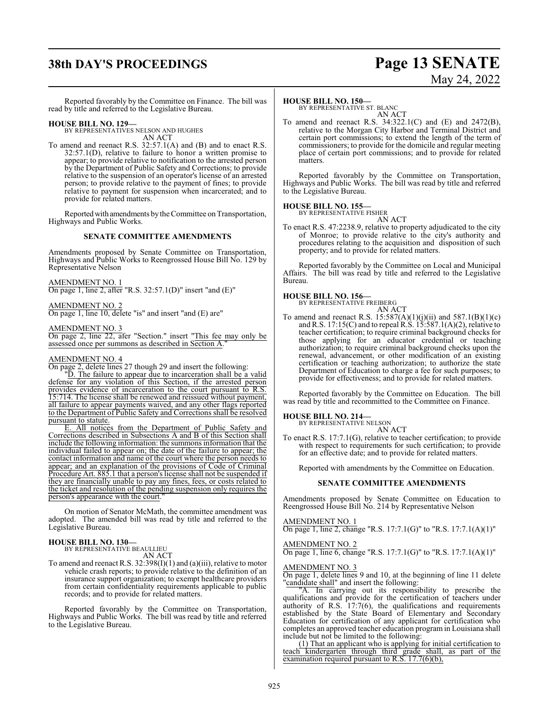## **38th DAY'S PROCEEDINGS Page 13 SENATE**

# May 24, 2022

Reported favorably by the Committee on Finance. The bill was read by title and referred to the Legislative Bureau.

### **HOUSE BILL NO. 129—**

BY REPRESENTATIVES NELSON AND HUGHES AN ACT

To amend and reenact R.S. 32:57.1(A) and (B) and to enact R.S.  $32:57.1(D)$ , relative to failure to honor a written promise to appear; to provide relative to notification to the arrested person by the Department of Public Safety and Corrections; to provide relative to the suspension of an operator's license of an arrested person; to provide relative to the payment of fines; to provide relative to payment for suspension when incarcerated; and to provide for related matters.

Reported with amendments by the Committee on Transportation, Highways and Public Works.

## **SENATE COMMITTEE AMENDMENTS**

Amendments proposed by Senate Committee on Transportation, Highways and Public Works to Reengrossed House Bill No. 129 by Representative Nelson

AMENDMENT NO. 1

On page 1, line 2, after "R.S. 32:57.1(D)" insert "and (E)"

## AMENDMENT NO. 2

On page 1, line 10, delete "is" and insert "and (E) are"

### AMENDMENT NO. 3

On page 2, line 22, afer "Section." insert "This fee may only be assessed once per summons as described in Section A."

## AMENDMENT NO. 4

On page 2, delete lines 27 though 29 and insert the following:

"D. The failure to appear due to incarceration shall be a valid defense for any violation of this Section, if the arrested person provides evidence of incarceration to the court pursuant to R.S. 15:714. The license shall be renewed and reissued without payment, all failure to appear payments waived, and any other flags reported to the Department of Public Safety and Corrections shall be resolved pursuant to statute.

E. All notices from the Department of Public Safety and Corrections described in Subsections A and B of this Section shall include the following information: the summons information that the individual failed to appear on; the date of the failure to appear; the contact information and name of the court where the person needs to appear; and an explanation of the provisions of Code of Criminal Procedure Art. 885.1 that a person's license shall not be suspended if they are financially unable to pay any fines, fees, or costs related to the ticket and resolution of the pending suspension only requires the person's appearance with the court.

On motion of Senator McMath, the committee amendment was adopted. The amended bill was read by title and referred to the Legislative Bureau.

## **HOUSE BILL NO. 130—** BY REPRESENTATIVE BEAULLIEU

AN ACT

To amend and reenact R.S. 32:398(I)(1) and (a)(iii), relative to motor vehicle crash reports; to provide relative to the definition of an insurance support organization; to exempt healthcare providers from certain confidentiality requirements applicable to public records; and to provide for related matters.

Reported favorably by the Committee on Transportation, Highways and Public Works. The bill was read by title and referred to the Legislative Bureau.

### **HOUSE BILL NO. 150—**

BY REPRESENTATIVE ST. BLANC AN ACT

To amend and reenact R.S. 34:322.1(C) and (E) and 2472(B), relative to the Morgan City Harbor and Terminal District and certain port commissions; to extend the length of the term of commissioners; to provide for the domicile and regular meeting place of certain port commissions; and to provide for related matters.

Reported favorably by the Committee on Transportation, Highways and Public Works. The bill was read by title and referred to the Legislative Bureau.

### **HOUSE BILL NO. 155—**

BY REPRESENTATIVE FISHER AN ACT

To enact R.S. 47:2238.9, relative to property adjudicated to the city of Monroe; to provide relative to the city's authority and procedures relating to the acquisition and disposition of such property; and to provide for related matters.

Reported favorably by the Committee on Local and Municipal Affairs. The bill was read by title and referred to the Legislative Bureau.

## **HOUSE BILL NO. 156—**

BY REPRESENTATIVE FREIBERG

AN ACT

To amend and reenact R.S.  $15:587(A)(1)(j)(ii)$  and  $587.1(B)(1)(c)$ and R.S. 17:15(C) and to repeal R.S. 15:587.1(A)(2), relative to teacher certification; to require criminal background checks for those applying for an educator credential or teaching authorization; to require criminal background checks upon the renewal, advancement, or other modification of an existing certification or teaching authorization; to authorize the state Department of Education to charge a fee for such purposes; to provide for effectiveness; and to provide for related matters.

Reported favorably by the Committee on Education. The bill was read by title and recommitted to the Committee on Finance.

## **HOUSE BILL NO. 214—**

BY REPRESENTATIVE NELSON

AN ACT To enact R.S. 17:7.1(G), relative to teacher certification; to provide with respect to requirements for such certification; to provide for an effective date; and to provide for related matters.

Reported with amendments by the Committee on Education.

## **SENATE COMMITTEE AMENDMENTS**

Amendments proposed by Senate Committee on Education to Reengrossed House Bill No. 214 by Representative Nelson

AMENDMENT NO. 1 On page 1, line 2, change "R.S. 17:7.1(G)" to "R.S. 17:7.1(A)(1)"

AMENDMENT NO. 2 On page 1, line 6, change "R.S. 17:7.1(G)" to "R.S. 17:7.1(A)(1)"

## AMENDMENT NO. 3

On page 1, delete lines 9 and 10, at the beginning of line 11 delete "candidate shall" and insert the following:

"A. In carrying out its responsibility to prescribe the qualifications and provide for the certification of teachers under authority of R.S. 17:7(6), the qualifications and requirements established by the State Board of Elementary and Secondary Education for certification of any applicant for certification who completes an approved teacher education program in Louisiana shall include but not be limited to the following:

(1) That an applicant who is applying for initial certification to teach kindergarten through third grade shall, as part of the examination required pursuant to R.S. 17.7(6)(b),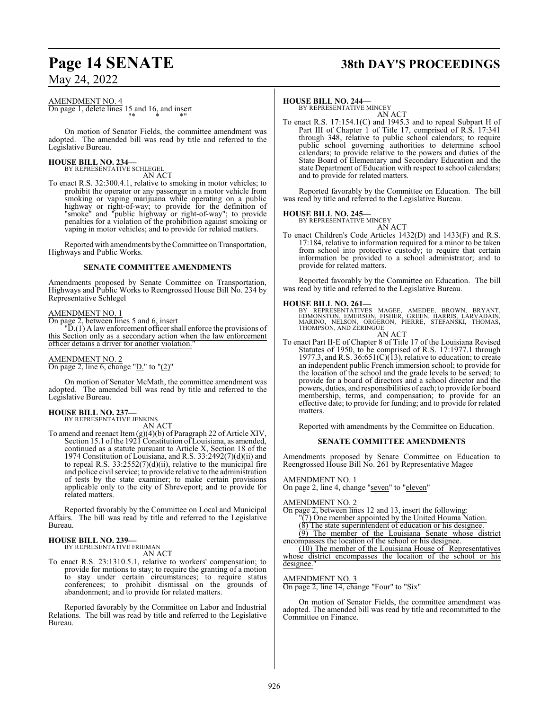## **Page 14 SENATE 38th DAY'S PROCEEDINGS**

## AMENDMENT NO. 4

On page 1, delete lines 15 and 16, and insert "\* \* \*"

On motion of Senator Fields, the committee amendment was adopted. The amended bill was read by title and referred to the Legislative Bureau.

## **HOUSE BILL NO. 234—** BY REPRESENTATIVE SCHLEGEL

AN ACT

To enact R.S. 32:300.4.1, relative to smoking in motor vehicles; to prohibit the operator or any passenger in a motor vehicle from smoking or vaping marijuana while operating on a public highway or right-of-way; to provide for the definition of "smoke" and "public highway or right-of-way"; to provide penalties for a violation of the prohibition against smoking or vaping in motor vehicles; and to provide for related matters.

Reported with amendments by the Committee on Transportation, Highways and Public Works.

## **SENATE COMMITTEE AMENDMENTS**

Amendments proposed by Senate Committee on Transportation, Highways and Public Works to Reengrossed House Bill No. 234 by Representative Schlegel

## AMENDMENT NO. 1

On page 2, between lines 5 and 6, insert

"D.(1) A law enforcement officer shall enforce the provisions of this Section only as a secondary action when the law enforcement officer detains a driver for another violation.

### AMENDMENT NO. 2 On page 2, line 6, change "D." to "(2)"

On motion of Senator McMath, the committee amendment was adopted. The amended bill was read by title and referred to the Legislative Bureau.

### **HOUSE BILL NO. 237—** BY REPRESENTATIVE JENKINS

AN ACT

To amend and reenact Item (g)(4)(b) of Paragraph 22 of Article XIV, Section 15.1 ofthe 1921 Constitution of Louisiana, as amended, continued as a statute pursuant to Article X, Section 18 of the 1974 Constitution of Louisiana, and R.S. 33:2492(7)(d)(ii) and to repeal R.S.  $33:2552(7)(d)(ii)$ , relative to the municipal fire and police civil service; to provide relative to the administration of tests by the state examiner; to make certain provisions applicable only to the city of Shreveport; and to provide for related matters.

Reported favorably by the Committee on Local and Municipal Affairs. The bill was read by title and referred to the Legislative Bureau.

## **HOUSE BILL NO. 239—** BY REPRESENTATIVE FRIEMAN

AN ACT

To enact R.S. 23:1310.5.1, relative to workers' compensation; to provide for motions to stay; to require the granting of a motion to stay under certain circumstances; to require status conferences; to prohibit dismissal on the grounds of abandonment; and to provide for related matters.

Reported favorably by the Committee on Labor and Industrial Relations. The bill was read by title and referred to the Legislative Bureau.

## **HOUSE BILL NO. 244—**

BY REPRESENTATIVE MINCEY AN ACT

To enact R.S. 17:154.1(C) and 1945.3 and to repeal Subpart H of Part III of Chapter 1 of Title 17, comprised of R.S. 17:341 through 348, relative to public school calendars; to require public school governing authorities to determine school calendars; to provide relative to the powers and duties of the State Board of Elementary and Secondary Education and the state Department of Education with respect to school calendars; and to provide for related matters.

Reported favorably by the Committee on Education. The bill was read by title and referred to the Legislative Bureau.

## **HOUSE BILL NO. 245—** BY REPRESENTATIVE MINCEY

AN ACT To enact Children's Code Articles 1432(D) and 1433(F) and R.S. 17:184, relative to information required for a minor to be taken from school into protective custody; to require that certain information be provided to a school administrator; and to provide for related matters.

Reported favorably by the Committee on Education. The bill was read by title and referred to the Legislative Bureau.

**HOUSE BILL NO. 261—**<br>BY REPRESENTATIVES MAGEE, AMEDEE, BROWN, BRYANT,<br>EDMONSTON, EMERSON, FISHER, GREEN, HARRIS, LARVADAIN,<br>MARINO, NELSON, ORGERON, PIERRE, STEFANSKI, THOMAS,<br>THOMPSON, AND ZERINGUE

AN ACT To enact Part II-E of Chapter 8 of Title 17 of the Louisiana Revised Statutes of 1950, to be comprised of R.S. 17:1977.1 through 1977.3, and R.S. 36:651(C)(13), relative to education; to create an independent public French immersion school; to provide for the location of the school and the grade levels to be served; to provide for a board of directors and a school director and the powers, duties, and responsibilities of each; to provide for board membership, terms, and compensation; to provide for an effective date; to provide for funding; and to provide for related matters.

Reported with amendments by the Committee on Education.

## **SENATE COMMITTEE AMENDMENTS**

Amendments proposed by Senate Committee on Education to Reengrossed House Bill No. 261 by Representative Magee

AMENDMENT NO. 1

On page 2, line 4, change "seven" to "eleven"

AMENDMENT NO. 2

| On page 2, between lines 12 and 13, insert the following:  |  |
|------------------------------------------------------------|--|
| "(7) One member appointed by the United Houma Nation.      |  |
| (8) The state superintendent of education or his designee. |  |
| (9) The member of the Louisiana Senate whose district      |  |
| encompasses the location of the school or his designee.    |  |

(10) The member of the Louisiana House of Representatives whose district encompasses the location of the school or his designee.

## AMENDMENT NO. 3

On page 2, line 14, change "Four" to "Six"

On motion of Senator Fields, the committee amendment was adopted. The amended bill was read by title and recommitted to the Committee on Finance.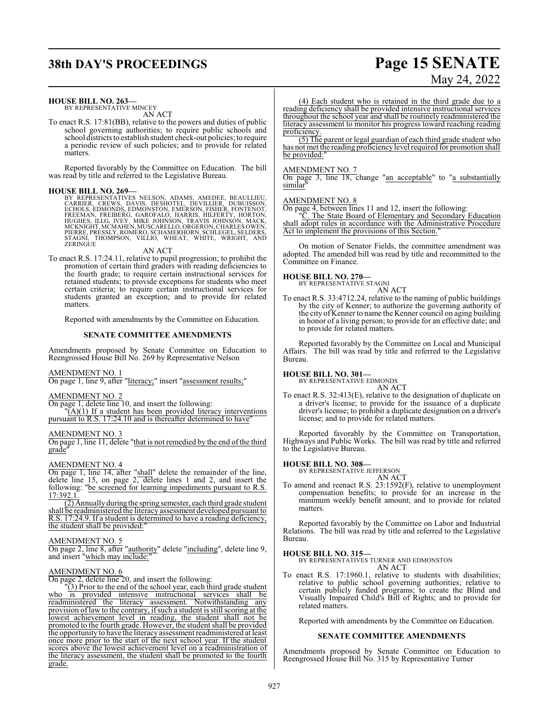## **38th DAY'S PROCEEDINGS Page 15 SENATE**

## **HOUSE BILL NO. 263—**

BY REPRESENTATIVE MINCEY AN ACT

To enact R.S. 17:81(BB), relative to the powers and duties of public school governing authorities; to require public schools and school districts to establish student check-out policies; to require a periodic review of such policies; and to provide for related matters.

Reported favorably by the Committee on Education. The bill was read by title and referred to the Legislative Bureau.

## **HOUSE BILL NO. 269—**

BY REPRESENTATIVES NELSON, ADAMS, AMEDEE, BEAULLIEU,<br>CARRIER, CREWS, DAVIS, DESHOTEL, DEVILLIER, DUBUISSON,<br>ECHOLS, EDMONDS, EDMONSTON, EMERSON, FISHER, FONTENOT,<br>FREEMAN, FREIBERG, GAROFALO, HARRIS, HILFERTY, HORTON,<br>HUGH STAGNI, THOMPSON, VILLIO, WHEAT, WHITE, WRIGHT, AND ZERINGUE

AN ACT

To enact R.S. 17:24.11, relative to pupil progression; to prohibit the promotion of certain third graders with reading deficiencies to the fourth grade; to require certain instructional services for retained students; to provide exceptions for students who meet certain criteria; to require certain instructional services for students granted an exception; and to provide for related matters.

Reported with amendments by the Committee on Education.

### **SENATE COMMITTEE AMENDMENTS**

Amendments proposed by Senate Committee on Education to Reengrossed House Bill No. 269 by Representative Nelson

## AMENDMENT NO. 1

On page 1, line 9, after "literacy;" insert "assessment results;"

### AMENDMENT NO. 2

On page 1, delete line 10, and insert the following:

 $\overline{A}(A)(1)$  If a student has been provided literacy interventions pursuant to R.S. 17:24.10 and is thereafter determined to have'

## AMENDMENT NO. 3

On page 1, line 11, delete "that is not remedied by the end of the third grade"

## AMENDMENT NO. 4

On page 1, line 14, after "shall" delete the remainder of the line, delete line 15, on page 2, delete lines 1 and 2, and insert the following: "be screened for learning impediments pursuant to R.S.  $17:392.1$ .

(2) Annually during the spring semester, each third grade student shall be readministered the literacy assessment developed pursuant to R.S. 17:24.9. If a student is determined to have a reading deficiency, the student shall be provided:

## AMENDMENT NO. 5

On page 2, line 8, after "authority" delete "including", delete line 9, and insert "which may include:"

## AMENDMENT NO. 6

On page 2, delete line 20, and insert the following:

"(3) Prior to the end of the school year, each third grade student who is provided intensive instructional services shall be readministered the literacy assessment. Notwithstanding any provision of law to the contrary, if such a student is still scoring at the lowest achievement level in reading, the student shall not be promoted to the fourth grade. However, the student shall be provided the opportunity to have the literacyassessment readministered at least once more prior to the start of the next school year. If the student scores above the lowest achievement level on a readministration of the literacy assessment, the student shall be promoted to the fourth grade.

(4) Each student who is retained in the third grade due to a reading deficiency shall be provided intensive instructional services throughout the school year and shall be routinely readministered the literacy assessment to monitor his progress toward reaching reading proficiency.

(5) The parent or legal guardian of each third grade student who has not met the reading proficiency level required for promotion shall be provided:

### AMENDMENT NO. 7

On page 3, line 18, change "an acceptable" to "a substantially similar

## AMENDMENT NO. 8

On page 4, between lines 11 and 12, insert the following: "C. The State Board of Elementary and Secondary Education shall adopt rules in accordance with the Administrative Procedure Act to implement the provisions of this Section.

On motion of Senator Fields, the committee amendment was adopted. The amended bill was read by title and recommitted to the Committee on Finance.

## **HOUSE BILL NO. 270—**

BY REPRESENTATIVE STAGNI AN ACT

To enact R.S. 33:4712.24, relative to the naming of public buildings by the city of Kenner; to authorize the governing authority of the city of Kenner to name the Kenner council on aging building in honor of a living person; to provide for an effective date; and to provide for related matters.

Reported favorably by the Committee on Local and Municipal Affairs. The bill was read by title and referred to the Legislative Bureau.

## **HOUSE BILL NO. 301—** BY REPRESENTATIVE EDMONDS

AN ACT

To enact R.S. 32:413(E), relative to the designation of duplicate on a driver's license; to provide for the issuance of a duplicate driver's license; to prohibit a duplicate designation on a driver's license; and to provide for related matters.

Reported favorably by the Committee on Transportation, Highways and Public Works. The bill was read by title and referred to the Legislative Bureau.

### **HOUSE BILL NO. 308—**

BY REPRESENTATIVE JEFFERSON

## AN ACT

To amend and reenact R.S. 23:1592(F), relative to unemployment compensation benefits; to provide for an increase in the minimum weekly benefit amount; and to provide for related matters.

Reported favorably by the Committee on Labor and Industrial Relations. The bill was read by title and referred to the Legislative Bureau.

### **HOUSE BILL NO. 315—**

BY REPRESENTATIVES TURNER AND EDMONSTON AN ACT

To enact R.S. 17:1960.1, relative to students with disabilities; relative to public school governing authorities; relative to certain publicly funded programs; to create the Blind and Visually Impaired Child's Bill of Rights; and to provide for related matters.

Reported with amendments by the Committee on Education.

## **SENATE COMMITTEE AMENDMENTS**

Amendments proposed by Senate Committee on Education to Reengrossed House Bill No. 315 by Representative Turner

# May 24, 2022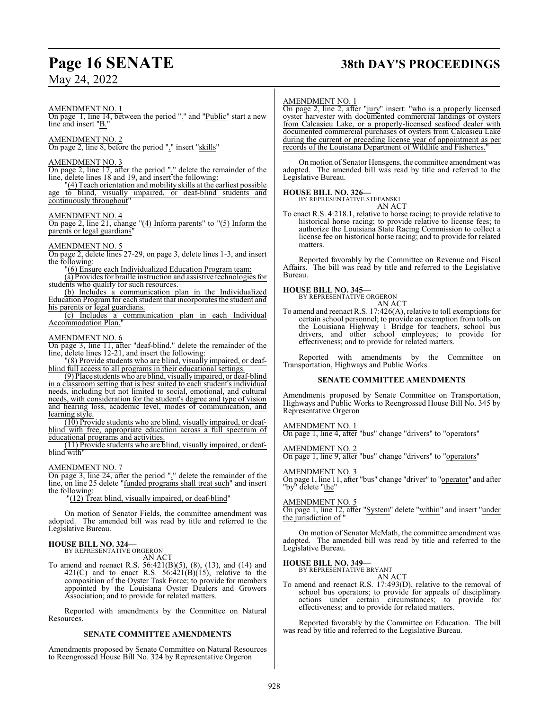## **Page 16 SENATE 38th DAY'S PROCEEDINGS**

May 24, 2022

## AMENDMENT NO. 1

On page 1, line 14, between the period "." and "Public" start a new line and insert "B."

AMENDMENT NO. 2

On page 2, line 8, before the period "." insert "skills"

### AMENDMENT NO. 3

On page 2, line 17, after the period "." delete the remainder of the line, delete lines 18 and 19, and insert the following:

"(4) Teach orientation and mobility skills at the earliest possible age to blind, visually impaired, or deaf-blind students and continuously throughout"

## AMENDMENT NO. 4

On page 2, line 21, change "(4) Inform parents" to "(5) Inform the parents or legal guardians'

### AMENDMENT NO. 5

On page 2, delete lines 27-29, on page 3, delete lines 1-3, and insert the following:

"(6) Ensure each Individualized Education Program team:

(a) Provides for braille instruction and assistive technologies for students who qualify for such resources.

(b) Includes a communication plan in the Individualized Education Program for each student that incorporates the student and his parents or legal guardians.

(c) Includes a communication plan in each Individual Accommodation Plan.

### AMENDMENT NO. 6

On page 3, line 11, after "deaf-blind." delete the remainder of the line, delete lines 12-21, and insert the following:

"(8) Provide students who are blind, visually impaired, or deafblind full access to all programs in their educational settings.

(9) Place students who are blind, visually impaired, or deaf-blind in a classroom setting that is best suited to each student's individual needs, including but not limited to social, emotional, and cultural needs, with consideration for the student's degree and type of vision and hearing loss, academic level, modes of communication, and learning style.

(10) Provide students who are blind, visually impaired, or deafblind with free, appropriate education across a full spectrum of educational programs and activities.

(11) Provide students who are blind, visually impaired, or deafblind with"

## AMENDMENT NO. 7

On page 3, line 24, after the period "." delete the remainder of the line, on line 25 delete "funded programs shall treat such" and insert the following:

"(12) Treat blind, visually impaired, or deaf-blind"

On motion of Senator Fields, the committee amendment was adopted. The amended bill was read by title and referred to the Legislative Bureau.

## **HOUSE BILL NO. 324—** BY REPRESENTATIVE ORGERON

AN ACT

To amend and reenact R.S. 56:421(B)(5), (8), (13), and (14) and 421(C) and to enact R.S.  $56:421(B)(15)$ , relative to the composition of the Oyster Task Force; to provide for members appointed by the Louisiana Oyster Dealers and Growers Association; and to provide for related matters.

Reported with amendments by the Committee on Natural Resources.

## **SENATE COMMITTEE AMENDMENTS**

Amendments proposed by Senate Committee on Natural Resources to Reengrossed House Bill No. 324 by Representative Orgeron

### AMENDMENT NO. 1

On page 2, line 2, after "jury" insert: "who is a properly licensed oyster harvester with documented commercial landings of oysters from Calcasieu Lake, or a properly-licensed seafood dealer with documented commercial purchases of oysters from Calcasieu Lake during the current or preceding license year of appointment as per records of the Louisiana Department of Wildlife and Fisheries.

On motion of Senator Hensgens, the committee amendment was adopted. The amended bill was read by title and referred to the Legislative Bureau.

## **HOUSE BILL NO. 326—** BY REPRESENTATIVE STEFANSKI

AN ACT

To enact R.S. 4:218.1, relative to horse racing; to provide relative to historical horse racing; to provide relative to license fees; to authorize the Louisiana State Racing Commission to collect a license fee on historical horse racing; and to provide for related matters.

Reported favorably by the Committee on Revenue and Fiscal Affairs. The bill was read by title and referred to the Legislative Bureau.

## **HOUSE BILL NO. 345—**

BY REPRESENTATIVE ORGERON AN ACT

To amend and reenact R.S. 17:426(A), relative to toll exemptions for certain school personnel; to provide an exemption from tolls on the Louisiana Highway 1 Bridge for teachers, school bus drivers, and other school employees; to provide for effectiveness; and to provide for related matters.

Reported with amendments by the Committee on Transportation, Highways and Public Works.

## **SENATE COMMITTEE AMENDMENTS**

Amendments proposed by Senate Committee on Transportation, Highways and Public Works to Reengrossed House Bill No. 345 by Representative Orgeron

AMENDMENT NO. 1 On page 1, line 4, after "bus" change "drivers" to "operators"

AMENDMENT NO. 2 On page 1, line 9, after "bus" change "drivers" to "operators"

## AMENDMENT NO. 3

On page 1, line 11, after "bus" change "driver" to "operator" and after "by" delete "the"

AMENDMENT NO. 5

On page 1, line 12, after "System" delete "within" and insert "under the jurisdiction of "

On motion of Senator McMath, the committee amendment was adopted. The amended bill was read by title and referred to the Legislative Bureau.

**HOUSE BILL NO. 349—**

BY REPRESENTATIVE BRYANT AN ACT

To amend and reenact R.S. 17:493(D), relative to the removal of school bus operators; to provide for appeals of disciplinary actions under certain circumstances; to provide for effectiveness; and to provide for related matters.

Reported favorably by the Committee on Education. The bill was read by title and referred to the Legislative Bureau.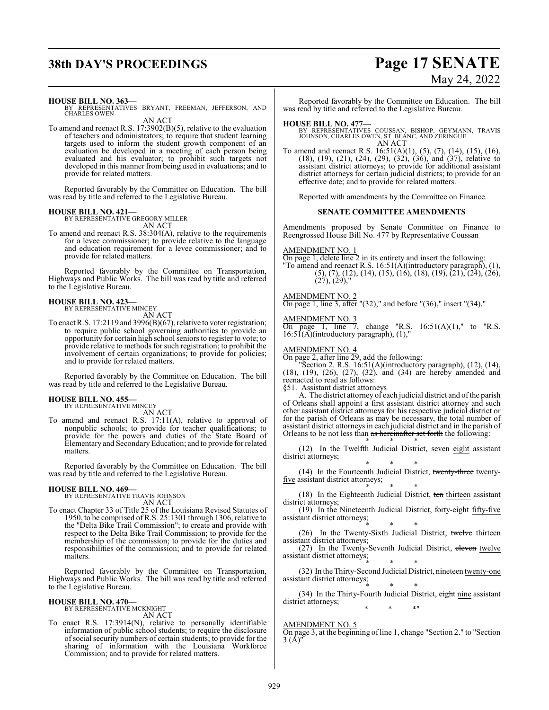## **38th DAY'S PROCEEDINGS Page 17 SENATE**

### **HOUSE BILL NO. 363—**

BY REPRESENTATIVES BRYANT, FREEMAN, JEFFERSON, AND CHARLES OWEN

AN ACT

To amend and reenact R.S. 17:3902(B)(5), relative to the evaluation of teachers and administrators; to require that student learning targets used to inform the student growth component of an evaluation be developed in a meeting of each person being evaluated and his evaluator; to prohibit such targets not developed in this manner from being used in evaluations; and to provide for related matters.

Reported favorably by the Committee on Education. The bill was read by title and referred to the Legislative Bureau.

**HOUSE BILL NO. 421—** BY REPRESENTATIVE GREGORY MILLER AN ACT

To amend and reenact R.S. 38:304(A), relative to the requirements for a levee commissioner; to provide relative to the language and education requirement for a levee commissioner; and to provide for related matters.

Reported favorably by the Committee on Transportation, Highways and Public Works. The bill was read by title and referred to the Legislative Bureau.

#### **HOUSE BILL NO. 423—** BY REPRESENTATIVE MINCEY

AN ACT

To enact R.S. 17:2119 and 3996(B)(67), relative to voter registration; to require public school governing authorities to provide an opportunity for certain high school seniors to register to vote; to provide relative to methods forsuch registration; to prohibit the involvement of certain organizations; to provide for policies; and to provide for related matters.

Reported favorably by the Committee on Education. The bill was read by title and referred to the Legislative Bureau.

### **HOUSE BILL NO. 455—** BY REPRESENTATIVE MINCEY

AN ACT

To amend and reenact R.S. 17:11(A), relative to approval of nonpublic schools; to provide for teacher qualifications; to provide for the powers and duties of the State Board of Elementary and SecondaryEducation; and to provide for related matters.

Reported favorably by the Committee on Education. The bill was read by title and referred to the Legislative Bureau.

## **HOUSE BILL NO. 469—**

BY REPRESENTATIVE TRAVIS JOHNSON AN ACT

To enact Chapter 33 of Title 25 of the Louisiana Revised Statutes of 1950, to be comprised of R.S. 25:1301 through 1306, relative to the "Delta Bike Trail Commission"; to create and provide with respect to the Delta Bike Trail Commission; to provide for the membership of the commission; to provide for the duties and responsibilities of the commission; and to provide for related matters.

Reported favorably by the Committee on Transportation, Highways and Public Works. The bill was read by title and referred to the Legislative Bureau.

## **HOUSE BILL NO. 470—** BY REPRESENTATIVE MCKNIGHT

AN ACT

To enact R.S. 17:3914(N), relative to personally identifiable information of public school students; to require the disclosure ofsocial security numbers of certain students; to provide for the sharing of information with the Louisiana Workforce Commission; and to provide for related matters.

# May 24, 2022

Reported favorably by the Committee on Education. The bill was read by title and referred to the Legislative Bureau.

**HOUSE BILL NO. 477—** BY REPRESENTATIVES COUSSAN, BISHOP, GEYMANN, TRAVIS JOHNSON, CHARLES OWEN, ST. BLANC, AND ZERINGUE AN ACT

To amend and reenact R.S. 16:51(A)(1), (5), (7), (14), (15), (16), (18), (19), (21), (24), (29), (32), (36), and (37), relative to assistant district attorneys; to provide for additional assistant district attorneys for certain judicial districts; to provide for an effective date; and to provide for related matters.

Reported with amendments by the Committee on Finance.

## **SENATE COMMITTEE AMENDMENTS**

Amendments proposed by Senate Committee on Finance to Reengrossed House Bill No. 477 by Representative Coussan

## AMENDMENT NO. 1

On page 1, delete line 2 in its entirety and insert the following: "To amend and reenact R.S. 16:51(A)(introductory paragraph), (1), (5), (7), (12), (14), (15), (16), (18), (19), (21), (24), (26),  $(27), (29),$ "

## AMENDMENT NO. 2

On page 1, line 3, after "(32)," and before "(36)," insert "(34),"

## AMENDMENT NO. 3

On page 1, line 7, change "R.S.  $16:51(A)(1)$ ," to "R.S.  $16:51(A)$ (introductory paragraph),  $(1)$ ,"

## AMENDMENT NO. 4

On page 2, after line 29, add the following:

"Section 2. R.S. 16:51(A)(introductory paragraph), (12), (14), (18), (19), (26), (27), (32), and (34) are hereby amended and reenacted to read as follows:

§51. Assistant district attorneys

A. The district attorney of each judicial district and of the parish of Orleans shall appoint a first assistant district attorney and such other assistant district attorneys for his respective judicial district or for the parish of Orleans as may be necessary, the total number of assistant district attorneysin each judicial district and in the parish of Orleans to be not less than as hereinafter set forth the following:

\* \* \*  $(12)$  In the Twelfth Judicial District, seven eight assistant district attorneys;

\* \* \* (14) In the Fourteenth Judicial District, twenty-three twentyfive assistant district attorneys;

\* \* \*  $(18)$  In the Eighteenth Judicial District, ten thirteen assistant district attorneys;

(19) In the Nineteenth Judicial District, forty-eight fifty-five assistant district attorneys;

\* \* \* (26) In the Twenty-Sixth Judicial District, twelve thirteen assistant district attorneys;

(27) In the Twenty-Seventh Judicial District, eleven twelve assistant district attorneys;

\* \* \* (32) In the Thirty-Second Judicial District, nineteen twenty-one assistant district attorneys;

\* \* \* (34) In the Thirty-Fourth Judicial District, eight nine assistant district attorneys; \* \* \*"

## AMENDMENT NO. 5

On page 3, at the beginning of line 1, change "Section 2." to "Section  $3.(A)'$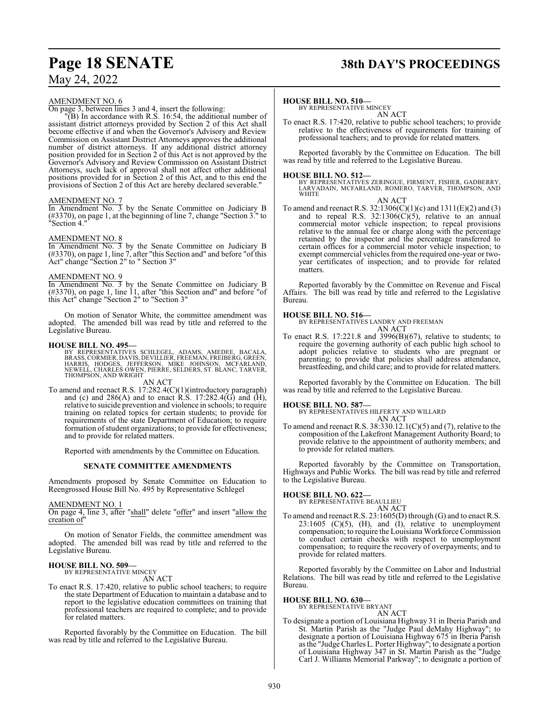## **Page 18 SENATE 38th DAY'S PROCEEDINGS**

## May 24, 2022

## AMENDMENT NO. 6

On page 3, between lines 3 and 4, insert the following:

"(B) In accordance with R.S. 16:54, the additional number of assistant district attorneys provided by Section 2 of this Act shall become effective if and when the Governor's Advisory and Review Commission on Assistant District Attorneys approves the additional number of district attorneys. If any additional district attorney position provided for in Section 2 of this Act is not approved by the Governor's Advisory and Review Commission on Assistant District Attorneys, such lack of approval shall not affect other additional positions provided for in Section 2 of this Act, and to this end the provisions of Section 2 of this Act are hereby declared severable."

## AMENDMENT NO. 7

In Amendment No. 3 by the Senate Committee on Judiciary B (#3370), on page 1, at the beginning of line 7, change "Section 3." to "Section 4."

## AMENDMENT NO. 8

In Amendment No. 3 by the Senate Committee on Judiciary B (#3370), on page 1, line 7, after "this Section and" and before "of this Act" change "Section 2" to " Section 3"

## AMENDMENT NO. 9

In Amendment No. 3 by the Senate Committee on Judiciary B (#3370), on page 1, line 11, after "this Section and" and before "of this Act" change "Section 2" to "Section 3"

On motion of Senator White, the committee amendment was adopted. The amended bill was read by title and referred to the Legislative Bureau.

## **HOUSE BILL NO. 495—**

BY REPRESENTATIVES SCHLEGEL, ADAMS, AMEDEE, BACALA,<br>BRASS,CORMIER,DAVIS,DEVILLIER,FREEMAN,FREIBERG,GREEN,<br>HARRIS, HODGES, JEFFERSON, MIKE JOHNSON, MCFARLAND,<br>NEWELL,CHARLES OWEN,PIERRE,SELDERS,ST.BLANC,TARVER, THOMPSON, AND WRIGHT

AN ACT

To amend and reenact R.S. 17:282.4(C)(1)(introductory paragraph) and (c) and  $286(A)$  and to enact R.S. 17:282.4(G) and (H), relative to suicide prevention and violence in schools; to require training on related topics for certain students; to provide for requirements of the state Department of Education; to require formation of student organizations; to provide for effectiveness; and to provide for related matters.

Reported with amendments by the Committee on Education.

## **SENATE COMMITTEE AMENDMENTS**

Amendments proposed by Senate Committee on Education to Reengrossed House Bill No. 495 by Representative Schlegel

## AMENDMENT NO. 1

On page 4, line 3, after "shall" delete "offer" and insert "allow the creation of"

On motion of Senator Fields, the committee amendment was adopted. The amended bill was read by title and referred to the Legislative Bureau.

#### **HOUSE BILL NO. 509—** BY REPRESENTATIVE MINCEY

AN ACT

To enact R.S. 17:420, relative to public school teachers; to require the state Department of Education to maintain a database and to report to the legislative education committees on training that professional teachers are required to complete; and to provide for related matters.

Reported favorably by the Committee on Education. The bill was read by title and referred to the Legislative Bureau.

## **HOUSE BILL NO. 510—**

BY REPRESENTATIVE MINCEY AN ACT

To enact R.S. 17:420, relative to public school teachers; to provide relative to the effectiveness of requirements for training of professional teachers; and to provide for related matters.

Reported favorably by the Committee on Education. The bill was read by title and referred to the Legislative Bureau.

**HOUSE BILL NO. 512—** BY REPRESENTATIVES ZERINGUE, FIRMENT, FISHER, GADBERRY, LARVADAIN, MCFARLAND, ROMERO, TARVER, THOMPSON, AND WHITE AN ACT

To amend and reenact R.S. 32:1306(C)(1)(c) and 1311(E)(2) and (3) and to repeal R.S.  $32:1306(C)(5)$ , relative to an annual commercial motor vehicle inspection; to repeal provisions relative to the annual fee or charge along with the percentage retained by the inspector and the percentage transferred to certain offices for a commercial motor vehicle inspection; to exempt commercial vehicles from the required one-year or twoyear certificates of inspection; and to provide for related matters.

Reported favorably by the Committee on Revenue and Fiscal Affairs. The bill was read by title and referred to the Legislative Bureau.

**HOUSE BILL NO. 516—** BY REPRESENTATIVES LANDRY AND FREEMAN AN ACT

To enact R.S. 17:221.8 and 3996(B)(67), relative to students; to require the governing authority of each public high school to adopt policies relative to students who are pregnant or parenting; to provide that policies shall address attendance, breastfeeding, and child care; and to provide for related matters.

Reported favorably by the Committee on Education. The bill was read by title and referred to the Legislative Bureau.

**HOUSE BILL NO. 587—** BY REPRESENTATIVES HILFERTY AND WILLARD AN ACT

To amend and reenact R.S.  $38:330.12.1(C)(5)$  and (7), relative to the composition of the Lakefront Management Authority Board; to provide relative to the appointment of authority members; and to provide for related matters.

Reported favorably by the Committee on Transportation, Highways and Public Works. The bill was read by title and referred to the Legislative Bureau.

## **HOUSE BILL NO. 622—**

BY REPRESENTATIVE BEAULLIEU AN ACT

To amend and reenact R.S. 23:1605(D) through (G) and to enact R.S.  $23:1605$  (C)(5), (H), and (I), relative to unemployment compensation; to require the Louisiana Workforce Commission to conduct certain checks with respect to unemployment compensation; to require the recovery of overpayments; and to provide for related matters.

Reported favorably by the Committee on Labor and Industrial Relations. The bill was read by title and referred to the Legislative Bureau.

**HOUSE BILL NO. 630—** BY REPRESENTATIVE BRYANT AN ACT

To designate a portion of Louisiana Highway 31 in Iberia Parish and St. Martin Parish as the "Judge Paul deMahy Highway"; to designate a portion of Louisiana Highway 675 in Iberia Parish as the "Judge Charles L. Porter Highway"; to designate a portion of Louisiana Highway 347 in St. Martin Parish as the "Judge Carl J. Williams Memorial Parkway"; to designate a portion of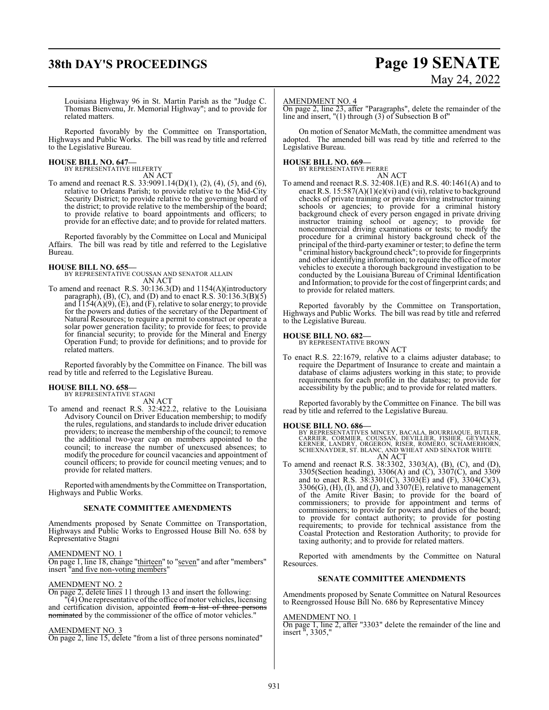## **38th DAY'S PROCEEDINGS Page 19 SENATE** May 24, 2022

Louisiana Highway 96 in St. Martin Parish as the "Judge C. Thomas Bienvenu, Jr. Memorial Highway"; and to provide for related matters.

Reported favorably by the Committee on Transportation, Highways and Public Works. The bill was read by title and referred to the Legislative Bureau.

**HOUSE BILL NO. 647—** BY REPRESENTATIVE HILFERTY AN ACT

To amend and reenact R.S. 33:9091.14(D)(1), (2), (4), (5), and (6), relative to Orleans Parish; to provide relative to the Mid-City Security District; to provide relative to the governing board of the district; to provide relative to the membership of the board; to provide relative to board appointments and officers; to provide for an effective date; and to provide for related matters.

Reported favorably by the Committee on Local and Municipal Affairs. The bill was read by title and referred to the Legislative Bureau.

## **HOUSE BILL NO. 655—**

BY REPRESENTATIVE COUSSAN AND SENATOR ALLAIN AN ACT

To amend and reenact R.S. 30:136.3(D) and 1154(A)(introductory paragraph),  $(B)$ ,  $(C)$ , and  $(D)$  and to enact R.S. 30:136.3 $(B)(5)$ and  $\overline{1154(A)(9)}$ ,  $\overline{(E)}$ , and  $\overline{(F)}$ , relative to solar energy; to provide for the powers and duties of the secretary of the Department of Natural Resources; to require a permit to construct or operate a solar power generation facility; to provide for fees; to provide for financial security; to provide for the Mineral and Energy Operation Fund; to provide for definitions; and to provide for related matters.

Reported favorably by the Committee on Finance. The bill was read by title and referred to the Legislative Bureau.

#### **HOUSE BILL NO. 658—** BY REPRESENTATIVE STAGNI

AN ACT

To amend and reenact R.S. 32:422.2, relative to the Louisiana Advisory Council on Driver Education membership; to modify the rules, regulations, and standards to include driver education providers; to increase the membership of the council; to remove the additional two-year cap on members appointed to the council; to increase the number of unexcused absences; to modify the procedure for council vacancies and appointment of council officers; to provide for council meeting venues; and to provide for related matters.

Reportedwith amendments by the Committee on Transportation, Highways and Public Works.

## **SENATE COMMITTEE AMENDMENTS**

Amendments proposed by Senate Committee on Transportation, Highways and Public Works to Engrossed House Bill No. 658 by Representative Stagni

## AMENDMENT NO. 1

On page 1, line 18, change "thirteen" to "seven" and after "members" insert "and five non-voting members"

## AMENDMENT NO. 2

On page 2, delete lines 11 through 13 and insert the following: "(4) One representative of the office of motor vehicles, licensing and certification division, appointed from a list of three persons nominated by the commissioner of the office of motor vehicles."

## AMENDMENT NO. 3

On page 2, line 15, delete "from a list of three persons nominated"

### AMENDMENT NO. 4

On page 2, line 23, after "Paragraphs", delete the remainder of the line and insert, "(1) through (3) of Subsection B of"

On motion of Senator McMath, the committee amendment was adopted. The amended bill was read by title and referred to the Legislative Bureau.

**HOUSE BILL NO. 669—** BY REPRESENTATIVE PIERRE AN ACT

To amend and reenact R.S. 32:408.1(E) and R.S. 40:1461(A) and to enact R.S. 15:587(A)(1)(e)(vi) and (vii), relative to background checks of private training or private driving instructor training schools or agencies; to provide for a criminal history background check of every person engaged in private driving instructor training school or agency; to provide for noncommercial driving examinations or tests; to modify the procedure for a criminal history background check of the principal of the third-party examiner or tester; to define the term criminal history background check"; to provide for fingerprints and other identifying information; to require the office of motor vehicles to execute a thorough background investigation to be conducted by the Louisiana Bureau of Criminal Identification and Information; to provide for the cost of fingerprint cards; and to provide for related matters.

Reported favorably by the Committee on Transportation, Highways and Public Works. The bill was read by title and referred to the Legislative Bureau.

## **HOUSE BILL NO. 682—** BY REPRESENTATIVE BROWN

AN ACT

To enact R.S. 22:1679, relative to a claims adjuster database; to require the Department of Insurance to create and maintain a database of claims adjusters working in this state; to provide requirements for each profile in the database; to provide for accessibility by the public; and to provide for related matters.

Reported favorably by the Committee on Finance. The bill was read by title and referred to the Legislative Bureau.

## **HOUSE BILL NO. 686—**

BY REPRESENTATIVES MINCEY, BACALA, BOURRIAQUE, BUTLER,<br>CARRIER, CORMIER, COUSSAN, DEVILLIER, FISHER, GERNANN,<br>KERNER, LANDRY, ORGERON, RISER, ROMERO, SCHAMERHORN,<br>SCHEXNAYDER, ST. BLANC, AND WHEAT AND SENATOR WHITE<br>AN ACT

To amend and reenact R.S. 38:3302, 3303(A), (B), (C), and (D), 3305(Section heading), 3306(A) and (C), 3307(C), and 3309 and to enact R.S.  $38:3301(C)$ ,  $3303(E)$  and (F),  $3304(C)(3)$ , 3306(G), (H), (I), and (J), and 3307(E), relative to management of the Amite River Basin; to provide for the board of commissioners; to provide for appointment and terms of commissioners; to provide for powers and duties of the board; to provide for contact authority; to provide for posting requirements; to provide for technical assistance from the Coastal Protection and Restoration Authority; to provide for taxing authority; and to provide for related matters.

Reported with amendments by the Committee on Natural Resources.

## **SENATE COMMITTEE AMENDMENTS**

Amendments proposed by Senate Committee on Natural Resources to Reengrossed House Bill No. 686 by Representative Mincey

## AMENDMENT NO. 1

On page 1, line 2, after "3303" delete the remainder of the line and insert ", 3305,"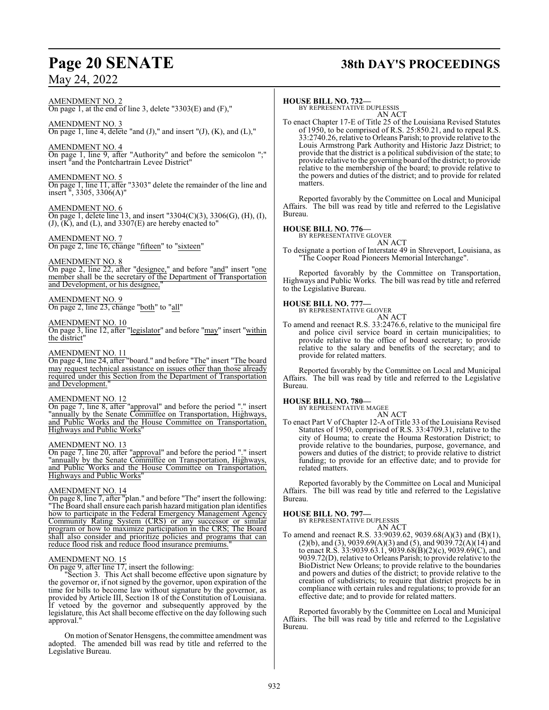## **Page 20 SENATE 38th DAY'S PROCEEDINGS**

AMENDMENT NO. 2 On page 1, at the end of line 3, delete "3303(E) and (F),"

AMENDMENT NO. 3 On page 1, line 4, delete "and  $(J)$ ," and insert " $(J)$ ,  $(K)$ , and  $(L)$ ,"

AMENDMENT NO. 4 On page 1, line 9, after "Authority" and before the semicolon ";" insert "and the Pontchartrain Levee District"

AMENDMENT NO. 5 On page 1, line 11, after "3303" delete the remainder of the line and insert ", 3305, 3306(A)"

AMENDMENT NO. 6 On page 1, delete line 13, and insert "3304(C)(3), 3306(G), (H), (I),  $(J)$ ,  $(K)$ , and  $(L)$ , and  $3307(E)$  are hereby enacted to"

## AMENDMENT NO. 7

On page 2, line 16, change "fifteen" to "sixteen"

AMENDMENT NO. 8

On page 2, line 22, after "designee," and before "and" insert "one member shall be the secretary of the Department of Transportation and Development, or his designee,

## AMENDMENT NO. 9

On page 2, line 23, change "both" to "all"

AMENDMENT NO. 10 On page 3, line 12, after "legislator" and before "<u>may</u>" insert "<u>within</u> the district"

## AMENDMENT NO. 11

On page 4, line 24, after "board." and before "The" insert "The board may request technical assistance on issues other than those already required under this Section from the Department of Transportation and Development.

## AMENDMENT NO. 12

On page 7, line 8, after "approval" and before the period "." insert "annually by the Senate Committee on Transportation, Highways, and Public Works and the House Committee on Transportation, Highways and Public Works"

## AMENDMENT NO. 13

On page 7, line 20, after "approval" and before the period "." insert "annually by the Senate Committee on Transportation, Highways, and Public Works and the House Committee on Transportation, Highways and Public Works"

## AMENDMENT NO. 14

On page 8, line 7, after "plan." and before "The" insert the following: "The Board shall ensure each parish hazard mitigation plan identifies how to participate in the Federal Emergency Management Agency Community Rating System (CRS) or any successor or similar program or how to maximize participation in the CRS; The Board shall also consider and prioritize policies and programs that can reduce flood risk and reduce flood insurance premiums.

## AMENDMENT NO. 15

On page 9, after line 17, insert the following:

"Section 3. This Act shall become effective upon signature by the governor or, if not signed by the governor, upon expiration of the time for bills to become law without signature by the governor, as provided by Article III, Section 18 of the Constitution of Louisiana. If vetoed by the governor and subsequently approved by the legislature, this Act shall become effective on the day following such approval."

On motion of Senator Hensgens, the committee amendment was adopted. The amended bill was read by title and referred to the Legislative Bureau.

## **HOUSE BILL NO. 732—**

BY REPRESENTATIVE DUPLESSIS AN ACT

To enact Chapter 17-E of Title 25 of the Louisiana Revised Statutes of 1950, to be comprised of R.S. 25:850.21, and to repeal R.S. 33:2740.26, relative to Orleans Parish; to provide relative to the Louis Armstrong Park Authority and Historic Jazz District; to provide that the district is a political subdivision of the state; to provide relative to the governing board ofthe district; to provide relative to the membership of the board; to provide relative to the powers and duties of the district; and to provide for related matters.

Reported favorably by the Committee on Local and Municipal Affairs. The bill was read by title and referred to the Legislative Bureau.

## **HOUSE BILL NO. 776—**

BY REPRESENTATIVE GLOVER AN ACT

To designate a portion of Interstate 49 in Shreveport, Louisiana, as "The Cooper Road Pioneers Memorial Interchange".

Reported favorably by the Committee on Transportation, Highways and Public Works. The bill was read by title and referred to the Legislative Bureau.

## **HOUSE BILL NO. 777—** BY REPRESENTATIVE GLOVER

AN ACT To amend and reenact R.S. 33:2476.6, relative to the municipal fire and police civil service board in certain municipalities; to provide relative to the office of board secretary; to provide relative to the salary and benefits of the secretary; and to provide for related matters.

Reported favorably by the Committee on Local and Municipal Affairs. The bill was read by title and referred to the Legislative Bureau.

## **HOUSE BILL NO. 780—**

BY REPRESENTATIVE MAGEE

AN ACT To enact Part V of Chapter 12-A of Title 33 of the Louisiana Revised Statutes of 1950, comprised of R.S. 33:4709.31, relative to the city of Houma; to create the Houma Restoration District; to provide relative to the boundaries, purpose, governance, and powers and duties of the district; to provide relative to district funding; to provide for an effective date; and to provide for related matters.

Reported favorably by the Committee on Local and Municipal Affairs. The bill was read by title and referred to the Legislative Bureau.

## **HOUSE BILL NO. 797—**

BY REPRESENTATIVE DUPLESSIS AN ACT

To amend and reenact R.S. 33:9039.62, 9039.68(A)(3) and (B)(1),  $(2)(b)$ , and  $(3)$ , 9039.69 $(A)(3)$  and  $(5)$ , and 9039.72 $(A)(14)$  and to enact R.S. 33:9039.63.1, 9039.68(B)(2)(c), 9039.69(C), and 9039.72(D), relative to Orleans Parish; to provide relative to the BioDistrict New Orleans; to provide relative to the boundaries and powers and duties of the district; to provide relative to the creation of subdistricts; to require that district projects be in compliance with certain rules and regulations; to provide for an effective date; and to provide for related matters.

Reported favorably by the Committee on Local and Municipal Affairs. The bill was read by title and referred to the Legislative Bureau.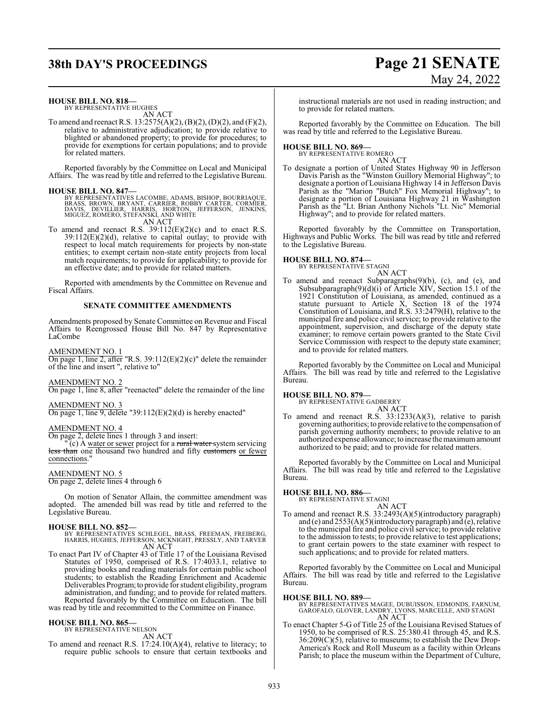## **38th DAY'S PROCEEDINGS Page 21 SENATE** May 24, 2022

## **HOUSE BILL NO. 818—**

BY REPRESENTATIVE HUGHES AN ACT

To amend and reenact R.S. 13:2575(A)(2), (B)(2), (D)(2), and (F)(2), relative to administrative adjudication; to provide relative to blighted or abandoned property; to provide for procedures; to provide for exemptions for certain populations; and to provide for related matters.

Reported favorably by the Committee on Local and Municipal Affairs. The was read by title and referred to the Legislative Bureau.

**HOUSE BILL NO. 847—**<br>BY REPRESENTATIVES LACOMBE, ADAMS, BISHOP, BOURRIAQUE,<br>BRASS, BROWN, BRYANT, CARRIER, ROBBY CARTER, CORMIER,<br>DAVIS, DEVILLIER, HARRIS, HORTON, JEFFERSON, JENKINS,<br>MIGUEZ, ROMERO, STEFANSKI, AND WHITE

AN ACT

To amend and reenact R.S.  $39:112(E)(2)(c)$  and to enact R.S. 39:112(E)(2)(d), relative to capital outlay; to provide with respect to local match requirements for projects by non-state entities; to exempt certain non-state entity projects from local match requirements; to provide for applicability; to provide for an effective date; and to provide for related matters.

Reported with amendments by the Committee on Revenue and Fiscal Affairs.

## **SENATE COMMITTEE AMENDMENTS**

Amendments proposed by Senate Committee on Revenue and Fiscal Affairs to Reengrossed House Bill No. 847 by Representative LaCombe

AMENDMENT NO. 1

On page 1, line 2, after "R.S.  $39:112(E)(2)(c)$ " delete the remainder of the line and insert ", relative to"

## AMENDMENT NO. 2

On page 1, line 8, after "reenacted" delete the remainder of the line

## AMENDMENT NO. 3

On page 1, line 9, delete "39:112(E)(2)(d) is hereby enacted"

## AMENDMENT NO. 4

On page 2, delete lines 1 through 3 and insert:

" (c) A water or sewer project for a rural water system servicing less than one thousand two hundred and fifty customers or fewer connections.

## AMENDMENT NO. 5

On page 2, delete lines 4 through 6

On motion of Senator Allain, the committee amendment was adopted. The amended bill was read by title and referred to the Legislative Bureau.

## **HOUSE BILL NO. 852—**

- BY REPRESENTATIVES SCHLEGEL, BRASS, FREEMAN, FREIBERG, HARRIS, HUGHES, JEFFERSON, MCKNIGHT, PRESSLY, AND TARVER AN ACT
- To enact Part IV of Chapter 43 of Title 17 of the Louisiana Revised Statutes of 1950, comprised of R.S. 17:4033.1, relative to providing books and reading materials for certain public school students; to establish the Reading Enrichment and Academic Deliverables Program; to provide for student eligibility, program administration, and funding; and to provide for related matters. Reported favorably by the Committee on Education. The bill was read by title and recommitted to the Committee on Finance.

## **HOUSE BILL NO. 865—**

BY REPRESENTATIVE NELSON AN ACT

To amend and reenact R.S. 17:24.10(A)(4), relative to literacy; to require public schools to ensure that certain textbooks and

instructional materials are not used in reading instruction; and to provide for related matters.

Reported favorably by the Committee on Education. The bill was read by title and referred to the Legislative Bureau.

**HOUSE BILL NO. 869—** BY REPRESENTATIVE ROMERO

- AN ACT
- To designate a portion of United States Highway 90 in Jefferson Davis Parish as the "Winston Guillory Memorial Highway"; to designate a portion of Louisiana Highway 14 in Jefferson Davis Parish as the "Marion "Butch" Fox Memorial Highway"; to designate a portion of Louisiana Highway 21 in Washington Parish as the "Lt. Brian Anthony Nichols "Lt. Nic" Memorial Highway"; and to provide for related matters.

Reported favorably by the Committee on Transportation, Highways and Public Works. The bill was read by title and referred to the Legislative Bureau.

## **HOUSE BILL NO. 874—** BY REPRESENTATIVE STAGNI

AN ACT

To amend and reenact Subparagraphs(9)(b), (c), and (e), and Subsubparagraph(9)(d)(i) of Article XIV, Section 15.1 of the 1921 Constitution of Louisiana, as amended, continued as a statute pursuant to Article X, Section 18 of the 1974 Constitution of Louisiana, and R.S. 33:2479(H), relative to the municipal fire and police civil service; to provide relative to the appointment, supervision, and discharge of the deputy state examiner; to remove certain powers granted to the State Civil Service Commission with respect to the deputy state examiner; and to provide for related matters.

Reported favorably by the Committee on Local and Municipal Affairs. The bill was read by title and referred to the Legislative Bureau.

## **HOUSE BILL NO. 879—**

BY REPRESENTATIVE GADBERRY AN ACT

To amend and reenact R.S. 33:1233(A)(3), relative to parish governing authorities; to provide relative to the compensation of parish governing authority members; to provide relative to an authorized expense allowance; to increase themaximumamount authorized to be paid; and to provide for related matters.

Reported favorably by the Committee on Local and Municipal Affairs. The bill was read by title and referred to the Legislative Bureau.

## **HOUSE BILL NO. 886—** BY REPRESENTATIVE STAGNI

- AN ACT
- To amend and reenact R.S. 33:2493(A)(5)(introductory paragraph) and (e) and 2553(A)(5)(introductory paragraph) and (e), relative to the municipal fire and police civil service; to provide relative to the admission to tests; to provide relative to test applications; to grant certain powers to the state examiner with respect to such applications; and to provide for related matters.

Reported favorably by the Committee on Local and Municipal Affairs. The bill was read by title and referred to the Legislative Bureau.

**HOUSE BILL NO. 889—** BY REPRESENTATIVES MAGEE, DUBUISSON, EDMONDS, FARNUM, GAROFALO, GLOVER, LANDRY, LYONS, MARCELLE, AND STAGNI AN ACT

To enact Chapter 5-G of Title 25 of the Louisiana Revised Statues of 1950, to be comprised of R.S. 25:380.41 through 45, and R.S. 36:209(C)(5), relative to museums; to establish the Dew Drop-America's Rock and Roll Museum as a facility within Orleans Parish; to place the museum within the Department of Culture,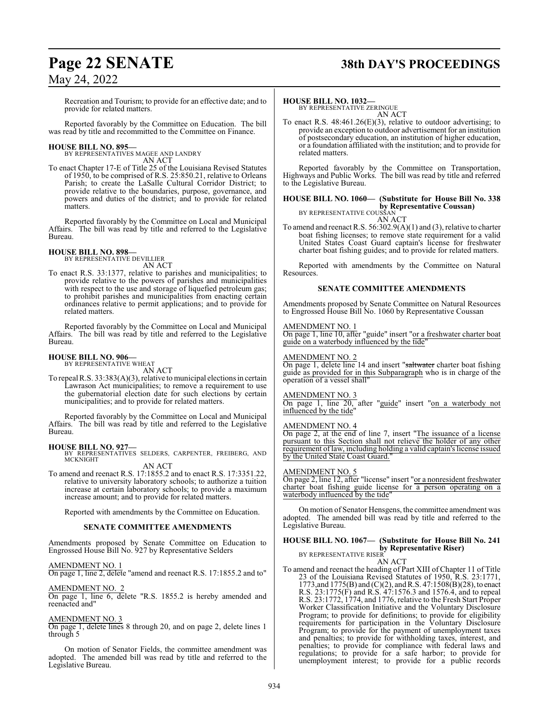## Recreation and Tourism; to provide for an effective date; and to provide for related matters.

Reported favorably by the Committee on Education. The bill was read by title and recommitted to the Committee on Finance.

## **HOUSE BILL NO. 895—**

BY REPRESENTATIVES MAGEE AND LANDRY AN ACT

To enact Chapter 17-E of Title 25 of the Louisiana Revised Statutes of 1950, to be comprised of R.S. 25:850.21, relative to Orleans Parish; to create the LaSalle Cultural Corridor District; to provide relative to the boundaries, purpose, governance, and powers and duties of the district; and to provide for related matters.

Reported favorably by the Committee on Local and Municipal Affairs. The bill was read by title and referred to the Legislative Bureau.

## **HOUSE BILL NO. 898—**

BY REPRESENTATIVE DEVILLIER AN ACT

To enact R.S. 33:1377, relative to parishes and municipalities; to provide relative to the powers of parishes and municipalities with respect to the use and storage of liquefied petroleum gas; to prohibit parishes and municipalities from enacting certain ordinances relative to permit applications; and to provide for related matters.

Reported favorably by the Committee on Local and Municipal Affairs. The bill was read by title and referred to the Legislative Bureau.

## **HOUSE BILL NO. 906—** BY REPRESENTATIVE WHEAT

AN ACT

To repeal R.S.  $33:383(A)(3)$ , relative to municipal elections in certain Lawrason Act municipalities; to remove a requirement to use the gubernatorial election date for such elections by certain municipalities; and to provide for related matters.

Reported favorably by the Committee on Local and Municipal Affairs. The bill was read by title and referred to the Legislative Bureau.

## **HOUSE BILL NO. 927—**

BY REPRESENTATIVES SELDERS, CARPENTER, FREIBERG, AND MCKNIGHT AN ACT

To amend and reenact R.S. 17:1855.2 and to enact R.S. 17:3351.22, relative to university laboratory schools; to authorize a tuition increase at certain laboratory schools; to provide a maximum increase amount; and to provide for related matters.

Reported with amendments by the Committee on Education.

## **SENATE COMMITTEE AMENDMENTS**

Amendments proposed by Senate Committee on Education to Engrossed House Bill No. 927 by Representative Selders

## AMENDMENT NO. 1

On page 1, line 2, delete "amend and reenact R.S. 17:1855.2 and to"

## AMENDMENT NO. 2

On page 1, line 6, delete "R.S. 1855.2 is hereby amended and reenacted and"

## AMENDMENT NO. 3

On page 1, delete lines 8 through 20, and on page 2, delete lines 1 through 5

On motion of Senator Fields, the committee amendment was adopted. The amended bill was read by title and referred to the Legislative Bureau.

## **Page 22 SENATE 38th DAY'S PROCEEDINGS**

## **HOUSE BILL NO. 1032—**

BY REPRESENTATIVE ZERINGUE AN ACT

To enact R.S. 48:461.26(E)(3), relative to outdoor advertising; to provide an exception to outdoor advertisement for an institution of postsecondary education, an institution of higher education, or a foundation affiliated with the institution; and to provide for related matters.

Reported favorably by the Committee on Transportation, Highways and Public Works. The bill was read by title and referred to the Legislative Bureau.

## **HOUSE BILL NO. 1060— (Substitute for House Bill No. 338 by Representative Coussan)**<br>BY REPRESENTATIVE COUSSAN

AN ACT

To amend and reenact R.S. 56:302.9(A)(1) and (3), relative to charter boat fishing licenses; to remove state requirement for a valid United States Coast Guard captain's license for freshwater charter boat fishing guides; and to provide for related matters.

Reported with amendments by the Committee on Natural Resources.

## **SENATE COMMITTEE AMENDMENTS**

Amendments proposed by Senate Committee on Natural Resources to Engrossed House Bill No. 1060 by Representative Coussan

### AMENDMENT NO. 1

On page 1, line 10, after "guide" insert "or a freshwater charter boat guide on a waterbody influenced by the tide"

## AMENDMENT NO. 2

On page 1, delete line 14 and insert "saltwater charter boat fishing guide as provided for in this Subparagraph who is in charge of the operation of a vessel shall"

## AMENDMENT NO. 3

On page 1, line 20, after "guide" insert "on a waterbody not influenced by the tide"

## AMENDMENT NO. 4

On page 2, at the end of line 7, insert "The issuance of a license pursuant to this Section shall not relieve the holder of any other requirement oflaw, including holding a valid captain's license issued by the United State Coast Guard."

## AMENDMENT NO. 5

On page 2, line 12, after "license" insert "or a nonresident freshwater charter boat fishing guide license for a person operating on a waterbody influenced by the tide"

On motion of Senator Hensgens, the committee amendment was adopted. The amended bill was read by title and referred to the Legislative Bureau.

#### **HOUSE BILL NO. 1067— (Substitute for House Bill No. 241 by Representative Riser)** BY REPRESENTATIVE RISER

AN ACT

To amend and reenact the heading of Part XIII of Chapter 11 of Title 23 of the Louisiana Revised Statutes of 1950, R.S. 23:1771, 1773, and 1775(B) and (C)(2), and R.S. 47:1508(B)(28), to enact R.S. 23:1775(F) and R.S. 47:1576.3 and 1576.4, and to repeal R.S. 23:1772, 1774, and 1776, relative to the Fresh Start Proper Worker Classification Initiative and the Voluntary Disclosure Program; to provide for definitions; to provide for eligibility requirements for participation in the Voluntary Disclosure Program; to provide for the payment of unemployment taxes and penalties; to provide for withholding taxes, interest, and penalties; to provide for compliance with federal laws and regulations; to provide for a safe harbor; to provide for unemployment interest; to provide for a public records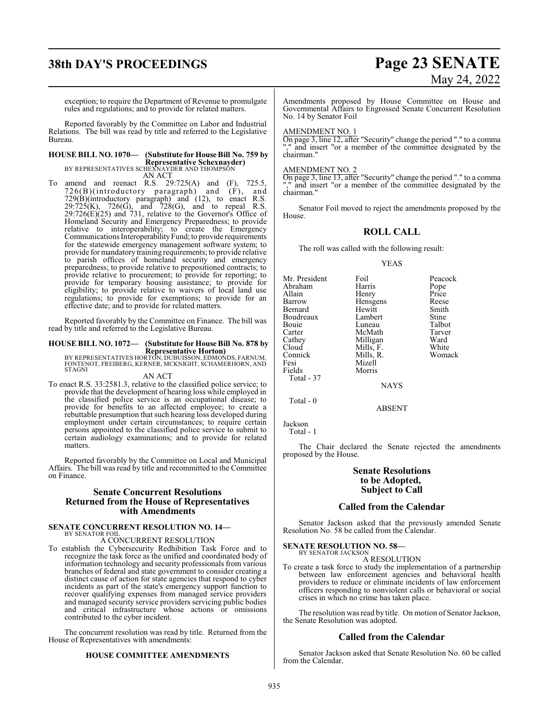## **38th DAY'S PROCEEDINGS Page 23 SENATE**

exception; to require the Department of Revenue to promulgate rules and regulations; and to provide for related matters.

Reported favorably by the Committee on Labor and Industrial Relations. The bill was read by title and referred to the Legislative Bureau.

## **HOUSE BILL NO. 1070— (Substitute for House Bill No. 759 by Representative Schexnayder)** BY REPRESENTATIVES SCHEXNAYDER AND THOMPSON

AN ACT

To amend and reenact R.S. 29:725(A) and (F), 725.5, 726(B)(introductory paragraph) and (F), and 729(B)(introductory paragraph) and (12), to enact R.S. 29:725(K), 726(G), and 728(G), and to repeal R.S.  $29:726(E)(25)$  and 731, relative to the Governor's Office of Homeland Security and Emergency Preparedness; to provide relative to interoperability; to create the Emergency Communications Interoperability Fund; to provide requirements for the statewide emergency management software system; to provide formandatory training requirements; to provide relative to parish offices of homeland security and emergency preparedness; to provide relative to prepositioned contracts; to provide relative to procurement; to provide for reporting; to provide for temporary housing assistance; to provide for eligibility; to provide relative to waivers of local land use regulations; to provide for exemptions; to provide for an effective date; and to provide for related matters.

Reported favorably by the Committee on Finance. The bill was read by title and referred to the Legislative Bureau.

## **HOUSE BILL NO. 1072— (Substitute for House Bill No. 878 by**

**Representative Horton)**<br>BY REPRESENTATIVES HORTON, DUBUISSON, EDMONDS, FARNUM,<br>FONTENOT, FREIBERG, KERNER, MCKNIGHT, SCHAMERHORN, AND<br>STAGNI

## AN ACT

To enact R.S. 33:2581.3, relative to the classified police service; to provide that the development of hearing loss while employed in the classified police service is an occupational disease; to provide for benefits to an affected employee; to create a rebuttable presumption that such hearing loss developed during employment under certain circumstances; to require certain persons appointed to the classified police service to submit to certain audiology examinations; and to provide for related matters.

Reported favorably by the Committee on Local and Municipal Affairs. The bill was read by title and recommitted to the Committee on Finance.

## **Senate Concurrent Resolutions Returned from the House of Representatives with Amendments**

### **SENATE CONCURRENT RESOLUTION NO. 14—** BY SENATOR FOIL

A CONCURRENT RESOLUTION

To establish the Cybersecurity Redhibition Task Force and to recognize the task force as the unified and coordinated body of information technology and security professionals from various branches of federal and state government to consider creating a distinct cause of action for state agencies that respond to cyber incidents as part of the state's emergency support function to recover qualifying expenses from managed service providers and managed security service providers servicing public bodies and critical infrastructure whose actions or omissions contributed to the cyber incident.

The concurrent resolution was read by title. Returned from the House of Representatives with amendments:

## **HOUSE COMMITTEE AMENDMENTS**

Amendments proposed by House Committee on House and Governmental Affairs to Engrossed Senate Concurrent Resolution No. 14 by Senator Foil

## AMENDMENT NO. 1

On page 3, line 12, after "Security" change the period "." to a comma "," and insert "or a member of the committee designated by the chairman."

## AMENDMENT NO. 2

On page 3, line 13, after "Security" change the period "." to a comma "," and insert "or a member of the committee designated by the chairman."

Senator Foil moved to reject the amendments proposed by the House.

## **ROLL CALL**

The roll was called with the following result:

## YEAS

| Mr. President | Foil      | Peacock |
|---------------|-----------|---------|
| Abraham       | Harris    | Pope    |
| Allain        | Henry     | Price   |
| Barrow        | Hensgens  | Reese   |
| Bernard       | Hewitt    | Smith   |
| Boudreaux     | Lambert   | Stine   |
| Bouie         | Luneau    | Talbot  |
| Carter        | McMath    | Tarver  |
| Cathey        | Milligan  | Ward    |
| Cloud         | Mills, F. | White   |
| Connick       | Mills, R. | Womack  |
| Fesi          | Mizell    |         |
| Fields        | Morris    |         |
| Total - 37    |           |         |
|               | NAYS      |         |

ABSENT

Jackson Total - 1

Total - 0

The Chair declared the Senate rejected the amendments proposed by the House.

## **Senate Resolutions to be Adopted, Subject to Call**

## **Called from the Calendar**

Senator Jackson asked that the previously amended Senate Resolution No. 58 be called from the Calendar.

**SENATE RESOLUTION NO. 58—** BY SENATOR JACKSON

A RESOLUTION

To create a task force to study the implementation of a partnership between law enforcement agencies and behavioral health providers to reduce or eliminate incidents of law enforcement officers responding to nonviolent calls or behavioral or social crises in which no crime has taken place.

The resolution was read by title. On motion of Senator Jackson, the Senate Resolution was adopted.

## **Called from the Calendar**

Senator Jackson asked that Senate Resolution No. 60 be called from the Calendar.

# May 24, 2022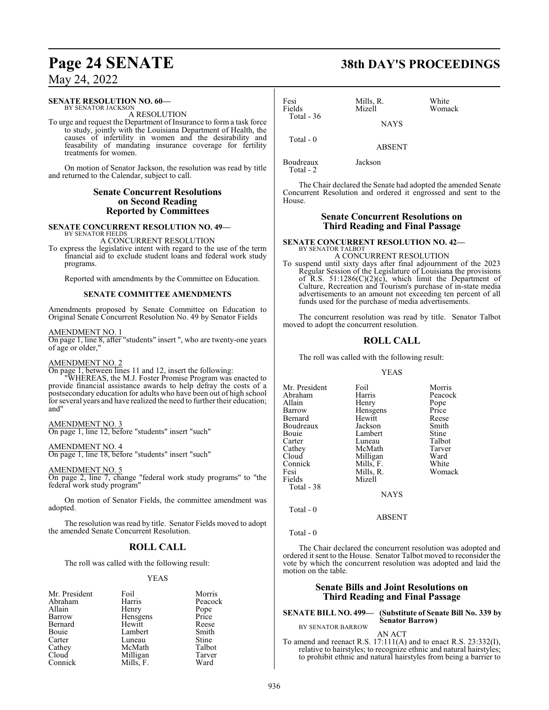## **SENATE RESOLUTION NO. 60—**

BY SENATOR JACKSON A RESOLUTION

To urge and request the Department of Insurance to form a task force to study, jointly with the Louisiana Department of Health, the causes of infertility in women and the desirability and feasability of mandating insurance coverage for fertility treatments for women.

On motion of Senator Jackson, the resolution was read by title and returned to the Calendar, subject to call.

## **Senate Concurrent Resolutions on Second Reading Reported by Committees**

**SENATE CONCURRENT RESOLUTION NO. 49—** BY SENATOR FIELDS

A CONCURRENT RESOLUTION

To express the legislative intent with regard to the use of the term financial aid to exclude student loans and federal work study programs.

Reported with amendments by the Committee on Education.

## **SENATE COMMITTEE AMENDMENTS**

Amendments proposed by Senate Committee on Education to Original Senate Concurrent Resolution No. 49 by Senator Fields

## AMENDMENT NO. 1

On page 1, line 8, after "students" insert ", who are twenty-one years of age or older,"

## AMENDMENT NO. 2

On page 1, between lines 11 and 12, insert the following:

"WHEREAS, the M.J. Foster Promise Program was enacted to provide financial assistance awards to help defray the costs of a postsecondary education for adults who have been out of high school for several years and have realized the need to further their education; and"

## AMENDMENT NO. 3

On page 1, line 12, before "students" insert "such"

## AMENDMENT NO. 4

On page 1, line 18, before "students" insert "such"

## AMENDMENT NO. 5

On page 2, line 7, change "federal work study programs" to "the federal work study program"

On motion of Senator Fields, the committee amendment was adopted.

The resolution was read by title. Senator Fields moved to adopt the amended Senate Concurrent Resolution.

## **ROLL CALL**

The roll was called with the following result:

## YEAS

| Mr. President | Foil      | Morris       |
|---------------|-----------|--------------|
| Abraham       | Harris    | Peacock      |
| Allain        | Henry     | Pope         |
| Barrow        | Hensgens  | Price        |
| Bernard       | Hewitt    | Reese        |
| Bouie         | Lambert   | Smith        |
| Carter        | Luneau    | <b>Stine</b> |
| Cathey        | McMath    | Talbot       |
| Cloud         | Milligan  | Tarver       |
| Connick       | Mills. F. | Ward         |

## **Page 24 SENATE 38th DAY'S PROCEEDINGS**

| Fesi<br>Fields<br>Total $-36$ | Mills, R.<br>Mizell | White<br>Womack |
|-------------------------------|---------------------|-----------------|
|                               | <b>NAYS</b>         |                 |
| Total $-0$                    | ABSENT              |                 |

Boudreaux Jackson Total - 2

The Chair declared the Senate had adopted the amended Senate Concurrent Resolution and ordered it engrossed and sent to the House.

## **Senate Concurrent Resolutions on Third Reading and Final Passage**

### **SENATE CONCURRENT RESOLUTION NO. 42—** BY SENATOR TALBOT

A CONCURRENT RESOLUTION To suspend until sixty days after final adjournment of the 2023 Regular Session of the Legislature of Louisiana the provisions of R.S.  $51:1286(C)(2)(c)$ , which limit the Department of Culture, Recreation and Tourism's purchase of in-state media advertisements to an amount not exceeding ten percent of all

funds used for the purchase of media advertisements.

The concurrent resolution was read by title. Senator Talbot moved to adopt the concurrent resolution.

## **ROLL CALL**

The roll was called with the following result:

## YEAS

| Mr. President<br>Abraham<br>Allain<br>Barrow<br>Bernard<br>Boudreaux | Foil<br>Harris<br>Henry<br>Hensgens<br>Hewitt<br>Jackson | Morris<br>Peacock<br>Pope<br>Price<br>Reese<br>Smith |
|----------------------------------------------------------------------|----------------------------------------------------------|------------------------------------------------------|
| Bouie                                                                | Lambert                                                  | Stine                                                |
| Carter                                                               | Luneau                                                   | Talbot                                               |
| Cathey                                                               | McMath                                                   | Tarver                                               |
| Cloud                                                                | Milligan                                                 | Ward                                                 |
| Connick                                                              | Mills, F.                                                | White                                                |
| Fesi                                                                 | Mills, R.                                                | Womack                                               |
| Fields                                                               | Mizell                                                   |                                                      |
| Total - 38                                                           |                                                          |                                                      |
|                                                                      | <b>NAYS</b>                                              |                                                      |
| Total - 0                                                            |                                                          |                                                      |
|                                                                      | ABSENT                                                   |                                                      |

Total - 0

The Chair declared the concurrent resolution was adopted and ordered it sent to the House. Senator Talbot moved to reconsider the vote by which the concurrent resolution was adopted and laid the motion on the table.

## **Senate Bills and Joint Resolutions on Third Reading and Final Passage**

## **SENATE BILL NO. 499— (Substitute of Senate Bill No. 339 by Senator Barrow)**

BY SENATOR BARROW

AN ACT To amend and reenact R.S. 17:111(A) and to enact R.S. 23:332(I), relative to hairstyles; to recognize ethnic and natural hairstyles; to prohibit ethnic and natural hairstyles from being a barrier to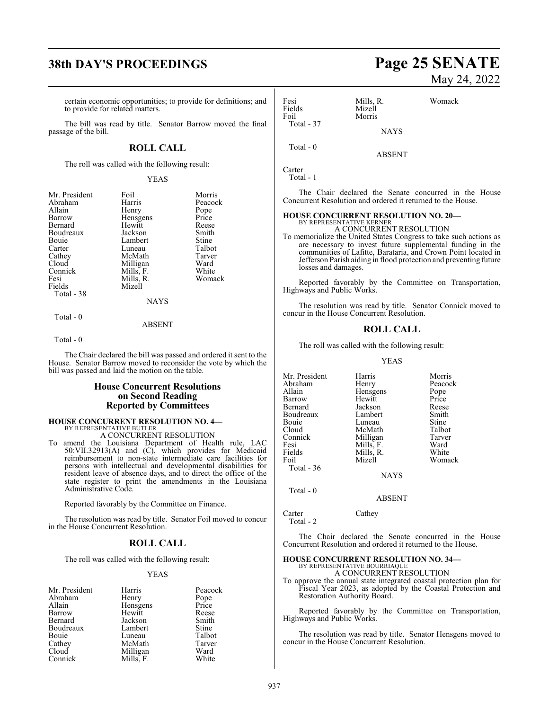## **38th DAY'S PROCEEDINGS Page 25 SENATE**

certain economic opportunities; to provide for definitions; and to provide for related matters.

The bill was read by title. Senator Barrow moved the final passage of the bill.

## **ROLL CALL**

The roll was called with the following result:

### YEAS

| Mr. President | Foil        | Morris  |
|---------------|-------------|---------|
| Abraham       | Harris      | Peacock |
| Allain        | Henry       | Pope    |
| Barrow        | Hensgens    | Price   |
| Bernard       | Hewitt      | Reese   |
| Boudreaux     | Jackson     | Smith   |
| Bouie         | Lambert     | Stine   |
| Carter        | Luneau      | Talbot  |
| Cathey        | McMath      | Tarver  |
| Cloud         | Milligan    | Ward    |
| Connick       | Mills, F.   | White   |
| Fesi          | Mills, R.   | Womack  |
| Fields        | Mizell      |         |
| Total - 38    |             |         |
|               | <b>NAYS</b> |         |
| Total - 0     |             |         |

## ABSENT

Total - 0

The Chair declared the bill was passed and ordered it sent to the House. Senator Barrow moved to reconsider the vote by which the bill was passed and laid the motion on the table.

## **House Concurrent Resolutions on Second Reading Reported by Committees**

### **HOUSE CONCURRENT RESOLUTION NO. 4—** BY REPRESENTATIVE BUTLER

A CONCURRENT RESOLUTION

To amend the Louisiana Department of Health rule, LAC 50:VII.32913(A) and (C), which provides for Medicaid reimbursement to non-state intermediate care facilities for persons with intellectual and developmental disabilities for resident leave of absence days, and to direct the office of the state register to print the amendments in the Louisiana Administrative Code.

Reported favorably by the Committee on Finance.

The resolution was read by title. Senator Foil moved to concur in the House Concurrent Resolution.

## **ROLL CALL**

The roll was called with the following result:

## YEAS

| Mr. President | Harris    | Peacock      |
|---------------|-----------|--------------|
| Abraham       | Henry     | Pope         |
| Allain        | Hensgens  | Price        |
| Barrow        | Hewitt    | Reese        |
| Bernard       | Jackson   | Smith        |
| Boudreaux     | Lambert   | <b>Stine</b> |
| Bouie         | Luneau    | Talbot       |
| Cathey        | McMath    | Tarver       |
| Cloud         | Milligan  | Ward         |
| Connick       | Mills, F. | White        |

# May 24, 2022

| Fesi<br>Fields<br>Foil | Mills, R.<br>Mizell<br>Morris | Womack |
|------------------------|-------------------------------|--------|
| Total - 37             | <b>NAYS</b>                   |        |
| Total - 0              | <b>ABSENT</b>                 |        |

Carter

Total - 1

The Chair declared the Senate concurred in the House Concurrent Resolution and ordered it returned to the House.

## **HOUSE CONCURRENT RESOLUTION NO. 20—** BY REPRESENTATIVE KERNER

A CONCURRENT RESOLUTION To memorialize the United States Congress to take such actions as are necessary to invest future supplemental funding in the communities of Lafitte, Barataria, and Crown Point located in Jefferson Parish aiding in flood protection and preventing future losses and damages.

Reported favorably by the Committee on Transportation, Highways and Public Works.

The resolution was read by title. Senator Connick moved to concur in the House Concurrent Resolution.

## **ROLL CALL**

The roll was called with the following result:

### YEAS

| Mr. President | Harris      | Morris  |
|---------------|-------------|---------|
| Abraham       | Henry       | Peacock |
| Allain        | Hensgens    | Pope    |
| Barrow        | Hewitt      | Price   |
| Bernard       | Jackson     | Reese   |
| Boudreaux     | Lambert     | Smith   |
| Bouie         | Luneau      | Stine   |
| Cloud         | McMath      | Talbot  |
| Connick       | Milligan    | Tarver  |
| Fesi          | Mills, F.   | Ward    |
| Fields        | Mills, R.   | White   |
| Foil          | Mizell      | Womack  |
| Total - 36    |             |         |
|               | <b>NAYS</b> |         |
|               |             |         |

ABSENT

Carter Cathey Total - 2

Total - 0

The Chair declared the Senate concurred in the House Concurrent Resolution and ordered it returned to the House.

## **HOUSE CONCURRENT RESOLUTION NO. 34—** BY REPRESENTATIVE BOURRIAQUE

A CONCURRENT RESOLUTION

To approve the annual state integrated coastal protection plan for Fiscal Year 2023, as adopted by the Coastal Protection and Restoration Authority Board.

Reported favorably by the Committee on Transportation, Highways and Public Works.

The resolution was read by title. Senator Hensgens moved to concur in the House Concurrent Resolution.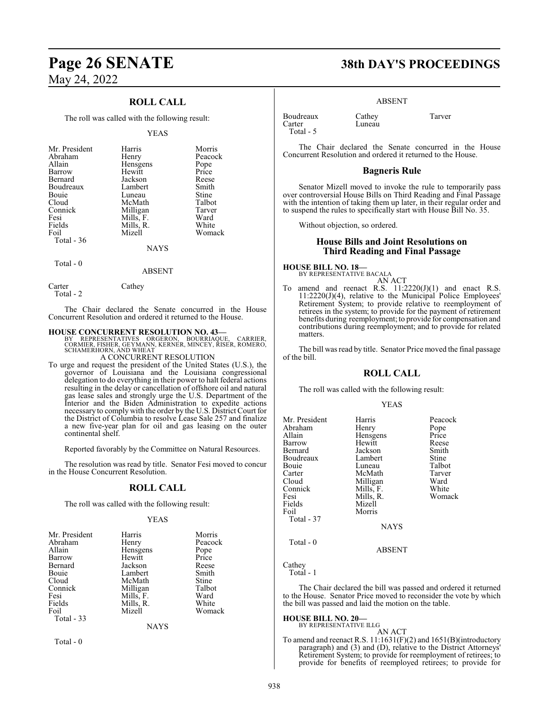## **ROLL CALL**

The roll was called with the following result:

### YEAS

| Mr. President | Harris      | Morris  |
|---------------|-------------|---------|
| Abraham       | Henry       | Peacock |
| Allain        | Hensgens    | Pope    |
| Barrow        | Hewitt      | Price   |
| Bernard       | Jackson     | Reese   |
| Boudreaux     | Lambert     | Smith   |
| Bouie         | Luneau      | Stine   |
| Cloud         | McMath      | Talbot  |
| Connick       | Milligan    | Tarver  |
| Fesi          | Mills, F.   | Ward    |
| Fields        | Mills, R.   | White   |
| Foil          | Mizell      | Womack  |
| Total - 36    |             |         |
|               | <b>NAYS</b> |         |

Total - 0

### ABSENT

Carter Cathey

Total - 2

The Chair declared the Senate concurred in the House Concurrent Resolution and ordered it returned to the House.

**HOUSE CONCURRENT RESOLUTION NO. 43—**<br>BY REPRESENTATIVES ORGERON, BOURRIAQUE, CARRIER,<br>CORMIER, FISHER, GEYMANN, KERNER, MINCEY, RISER, ROMERO,<br>SCHAMERHORN, AND WHEAT

## A CONCURRENT RESOLUTION

To urge and request the president of the United States (U.S.), the governor of Louisiana and the Louisiana congressional delegation to do everything in their power to halt federal actions resulting in the delay or cancellation of offshore oil and natural gas lease sales and strongly urge the U.S. Department of the Interior and the Biden Administration to expedite actions necessary to comply with the order by the U.S. District Court for the District of Columbia to resolve Lease Sale 257 and finalize a new five-year plan for oil and gas leasing on the outer continental shelf.

Reported favorably by the Committee on Natural Resources.

The resolution was read by title. Senator Fesi moved to concur in the House Concurrent Resolution.

## **ROLL CALL**

The roll was called with the following result:

## YEAS

| Mr. President | Harris    | Morris        |
|---------------|-----------|---------------|
| Abraham       | Henry     | Peacock       |
| Allain        | Hensgens  |               |
| Barrow        | Hewitt    | Pope<br>Price |
| Bernard       | Jackson   | Reese         |
| Bouie         | Lambert   | Smith         |
| Cloud         | McMath    | Stine         |
| Connick       | Milligan  | Talbot        |
| Fesi          | Mills, F. | Ward          |
| Fields        | Mills, R. | White         |
| Foil          | Mizell    | Womack        |
| Total - 33    |           |               |
|               | NAYS      |               |

Total - 0

## **Page 26 SENATE 38th DAY'S PROCEEDINGS**

## ABSENT

Luneau

Boudreaux Cathey Tarver Total - 5

The Chair declared the Senate concurred in the House Concurrent Resolution and ordered it returned to the House.

## **Bagneris Rule**

Senator Mizell moved to invoke the rule to temporarily pass over controversial House Bills on Third Reading and Final Passage with the intention of taking them up later, in their regular order and to suspend the rules to specifically start with House Bill No. 35.

Without objection, so ordered.

## **House Bills and Joint Resolutions on Third Reading and Final Passage**

**HOUSE BILL NO. 18—**

BY REPRESENTATIVE BACALA AN ACT

To amend and reenact R.S.  $11:2220(J)(1)$  and enact R.S. 11:2220(J)(4), relative to the Municipal Police Employees' Retirement System; to provide relative to reemployment of retirees in the system; to provide for the payment of retirement benefits during reemployment; to provide for compensation and contributions during reemployment; and to provide for related matters.

The bill was read by title. Senator Price moved the final passage of the bill.

## **ROLL CALL**

The roll was called with the following result:

## YEAS

| Harris      | Peacock                                                                     |
|-------------|-----------------------------------------------------------------------------|
|             | Pope                                                                        |
|             | Price                                                                       |
|             | Reese                                                                       |
| Jackson     | Smith                                                                       |
| Lambert     | Stine                                                                       |
| Luneau      | Talbot                                                                      |
| McMath      | Tarver                                                                      |
|             | Ward                                                                        |
|             | White                                                                       |
|             | Womack                                                                      |
|             |                                                                             |
| Morris      |                                                                             |
|             |                                                                             |
| <b>NAYS</b> |                                                                             |
|             |                                                                             |
|             | Henry<br>Hensgens<br>Hewitt<br>Milligan<br>Mills, F.<br>Mills, R.<br>Mizell |

ABSENT

Cathey Total - 1

The Chair declared the bill was passed and ordered it returned to the House. Senator Price moved to reconsider the vote by which the bill was passed and laid the motion on the table.

## **HOUSE BILL NO. 20—** BY REPRESENTATIVE ILLG

AN ACT To amend and reenact R.S. 11:1631(F)(2) and 1651(B)(introductory paragraph) and (3) and (D), relative to the District Attorneys' Retirement System; to provide for reemployment of retirees; to provide for benefits of reemployed retirees; to provide for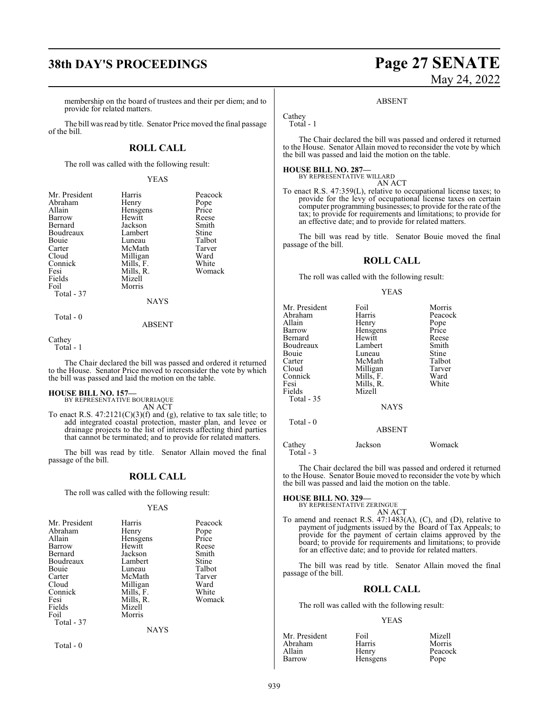membership on the board of trustees and their per diem; and to provide for related matters.

The bill was read by title. Senator Price moved the final passage of the bill.

## **ROLL CALL**

The roll was called with the following result:

### YEAS

| Mr. President | Harris      | Peacock |
|---------------|-------------|---------|
| Abraham       | Henry       | Pope    |
| Allain        | Hensgens    | Price   |
| Barrow        | Hewitt      | Reese   |
| Bernard       | Jackson     | Smith   |
| Boudreaux     | Lambert     | Stine   |
| Bouie         | Luneau      | Talbot  |
| Carter        | McMath      | Tarver  |
| Cloud         | Milligan    | Ward    |
| Connick       | Mills, F.   | White   |
| Fesi          | Mills, R.   | Womack  |
| Fields        | Mizell      |         |
| Foil          | Morris      |         |
| Total - 37    |             |         |
|               | <b>NAYS</b> |         |
| Total $-0$    |             |         |
|               | ABSENT      |         |

Cathey

Total - 1

The Chair declared the bill was passed and ordered it returned to the House. Senator Price moved to reconsider the vote by which the bill was passed and laid the motion on the table.

## **HOUSE BILL NO. 157—** BY REPRESENTATIVE BOURRIAQUE

AN ACT

To enact R.S.  $47:2121(C)(3)(f)$  and (g), relative to tax sale title; to add integrated coastal protection, master plan, and levee or drainage projects to the list of interests affecting third parties that cannot be terminated; and to provide for related matters.

The bill was read by title. Senator Allain moved the final passage of the bill.

## **ROLL CALL**

The roll was called with the following result:

## YEAS

| Mr. President | Harris    | Peacock |
|---------------|-----------|---------|
| Abraham       | Henry     | Pope    |
| Allain        | Hensgens  | Price   |
| Barrow        | Hewitt    | Reese   |
| Bernard       | Jackson   | Smith   |
| Boudreaux     | Lambert   | Stine   |
| Bouie         | Luneau    | Talbot  |
| Carter        | McMath    | Tarver  |
| Cloud         | Milligan  | Ward    |
| Connick       | Mills, F. | White   |
| Fesi          | Mills, R. | Womack  |
| Fields        | Mizell    |         |
| Foil          | Morris    |         |
| Total - 37    |           |         |
|               | NAYS      |         |
|               |           |         |

Total - 0

## **38th DAY'S PROCEEDINGS Page 27 SENATE** May 24, 2022

### ABSENT

Cathey Total - 1

The Chair declared the bill was passed and ordered it returned to the House. Senator Allain moved to reconsider the vote by which the bill was passed and laid the motion on the table.

#### **HOUSE BILL NO. 287—** BY REPRESENTATIVE WILLARD

AN ACT

To enact R.S. 47:359(L), relative to occupational license taxes; to provide for the levy of occupational license taxes on certain computer programming businesses; to provide for the rate ofthe tax; to provide for requirements and limitations; to provide for an effective date; and to provide for related matters.

The bill was read by title. Senator Bouie moved the final passage of the bill.

## **ROLL CALL**

The roll was called with the following result:

### YEAS

| Mr. President<br>Abraham<br>Allain<br>Barrow<br>Bernard<br>Boudreaux<br>Bouie<br>Carter<br>Cloud<br>Connick<br>Fesi | Foil<br>Harris<br>Henry<br>Hensgens<br>Hewitt<br>Lambert<br>Luneau<br>McMath<br>Milligan<br>Mills, F.<br>Mills, R. | Morris<br>Peacock<br>Pope<br>Price<br>Reese<br>Smith<br>Stine<br>Talbot<br>Tarver<br>Ward<br>White |
|---------------------------------------------------------------------------------------------------------------------|--------------------------------------------------------------------------------------------------------------------|----------------------------------------------------------------------------------------------------|
| Fields<br>Total $-35$<br>Total $-0$                                                                                 | Mizell<br><b>NAYS</b><br><b>ABSENT</b>                                                                             |                                                                                                    |
| Cathev                                                                                                              | Jackson                                                                                                            | Womack                                                                                             |

Total - 3

The Chair declared the bill was passed and ordered it returned to the House. Senator Bouie moved to reconsider the vote by which the bill was passed and laid the motion on the table.

## **HOUSE BILL NO. 329—** BY REPRESENTATIVE ZERINGUE

AN ACT

To amend and reenact R.S. 47:1483(A), (C), and (D), relative to payment of judgments issued by the Board of Tax Appeals; to provide for the payment of certain claims approved by the board; to provide for requirements and limitations; to provide for an effective date; and to provide for related matters.

The bill was read by title. Senator Allain moved the final passage of the bill.

## **ROLL CALL**

The roll was called with the following result:

## YEAS

| Mr. President | Foil            | Mizell  |
|---------------|-----------------|---------|
| Abraham       | Harris          | Morris  |
| Allain        | Henry           | Peacock |
| Barrow        | <b>Hensgens</b> | Pope    |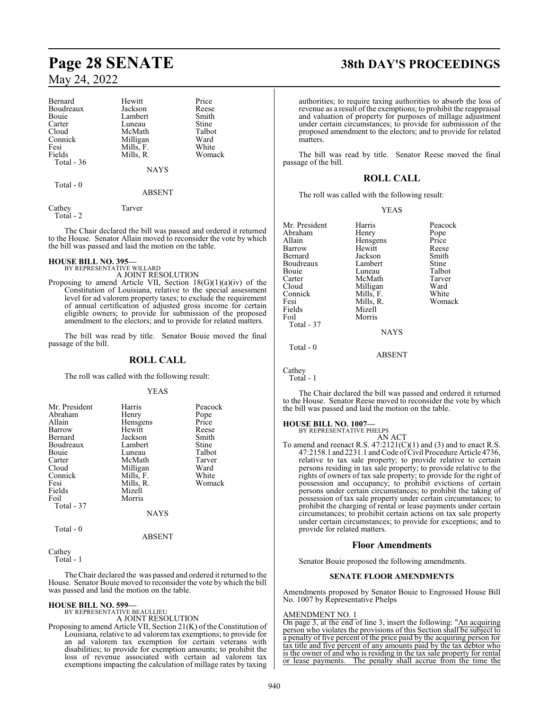| Bernard    | Hewitt        | Price  |
|------------|---------------|--------|
| Boudreaux  | Jackson       | Reese  |
| Bouie      | Lambert       | Smith  |
| Carter     | Luneau        | Stine  |
| Cloud      | McMath        | Talbot |
| Connick    | Milligan      | Ward   |
| Fesi       | Mills, F.     | White  |
| Fields     | Mills, R.     | Womack |
| Total - 36 |               |        |
|            | <b>NAYS</b>   |        |
| Total $-0$ |               |        |
|            | <b>ABSENT</b> |        |
| Cathey     | Tarver        |        |

Total - 2

The Chair declared the bill was passed and ordered it returned to the House. Senator Allain moved to reconsider the vote by which the bill was passed and laid the motion on the table.

## **HOUSE BILL NO. 395—** BY REPRESENTATIVE WILLARD

A JOINT RESOLUTION Proposing to amend Article VII, Section 18(G)(1)(a)(iv) of the Constitution of Louisiana, relative to the special assessment level for ad valorem property taxes; to exclude the requirement of annual certification of adjusted gross income for certain eligible owners; to provide for submission of the proposed amendment to the electors; and to provide for related matters.

The bill was read by title. Senator Bouie moved the final passage of the bill.

## **ROLL CALL**

The roll was called with the following result:

## YEAS

| Mr. President | Harris      | Peacock |
|---------------|-------------|---------|
| Abraham       | Henry       | Pope    |
| Allain        | Hensgens    | Price   |
| Barrow        | Hewitt      | Reese   |
| Bernard       | Jackson     | Smith   |
| Boudreaux     | Lambert     | Stine   |
| Bouie         | Luneau      | Talbot  |
| Carter        | McMath      | Tarver  |
| Cloud         | Milligan    | Ward    |
| Connick       | Mills, F.   | White   |
| Fesi          | Mills, R.   | Womack  |
| Fields        | Mizell      |         |
| Foil          | Morris      |         |
| Total - 37    |             |         |
|               | <b>NAYS</b> |         |
| $Total = 0$   |             |         |

Total - 0

## ABSENT

Cathey Total - 1

The Chair declared the was passed and ordered it returned to the House. Senator Bouie moved to reconsider the vote by which the bill was passed and laid the motion on the table.

**HOUSE BILL NO. 599—**

BY REPRESENTATIVE BEAULLIEU A JOINT RESOLUTION

Proposing to amend Article VII, Section 21(K) of the Constitution of Louisiana, relative to ad valorem tax exemptions; to provide for an ad valorem tax exemption for certain veterans with disabilities; to provide for exemption amounts; to prohibit the loss of revenue associated with certain ad valorem tax exemptions impacting the calculation of millage rates by taxing

## **Page 28 SENATE 38th DAY'S PROCEEDINGS**

authorities; to require taxing authorities to absorb the loss of revenue as a result of the exemptions; to prohibit the reappraisal and valuation of property for purposes of millage adjustment under certain circumstances; to provide for submission of the proposed amendment to the electors; and to provide for related matters.

The bill was read by title. Senator Reese moved the final passage of the bill.

## **ROLL CALL**

The roll was called with the following result:

## YEAS

| Mr. President | Harris      | Peacock |
|---------------|-------------|---------|
| Abraham       | Henry       | Pope    |
| Allain        | Hensgens    | Price   |
| Barrow        | Hewitt      | Reese   |
| Bernard       | Jackson     | Smith   |
| Boudreaux     | Lambert     | Stine   |
| Bouie         | Luneau      | Talbot  |
| Carter        | McMath      | Tarver  |
| Cloud         | Milligan    | Ward    |
| Connick       | Mills, F.   | White   |
| Fesi          | Mills, R.   | Womack  |
| Fields        | Mizell      |         |
| Foil          | Morris      |         |
| Total - 37    |             |         |
|               | <b>NAYS</b> |         |
| Total - 0     |             |         |

Cathey Total - 1

The Chair declared the bill was passed and ordered it returned to the House. Senator Reese moved to reconsider the vote by which the bill was passed and laid the motion on the table.

ABSENT

## **HOUSE BILL NO. 1007—**

BY REPRESENTATIVE PHELPS AN ACT

To amend and reenact R.S.  $47:2121(C)(1)$  and (3) and to enact R.S. 47:2158.1 and 2231.1 andCode ofCivil Procedure Article 4736, relative to tax sale property; to provide relative to certain persons residing in tax sale property; to provide relative to the rights of owners of tax sale property; to provide for the right of possession and occupancy; to prohibit evictions of certain persons under certain circumstances; to prohibit the taking of possession of tax sale property under certain circumstances; to prohibit the charging of rental or lease payments under certain circumstances; to prohibit certain actions on tax sale property under certain circumstances; to provide for exceptions; and to provide for related matters.

## **Floor Amendments**

Senator Bouie proposed the following amendments.

## **SENATE FLOOR AMENDMENTS**

Amendments proposed by Senator Bouie to Engrossed House Bill No. 1007 by Representative Phelps

## AMENDMENT NO. 1

On page 3, at the end of line 3, insert the following: "An acquiring person who violates the provisions of this Section shall be subject to a penalty of five percent of the price paid by the acquiring person for tax title and five percent of any amounts paid by the tax debtor who is the owner of and who is residing in the tax sale property for rental or lease payments. The penalty shall accrue from the time the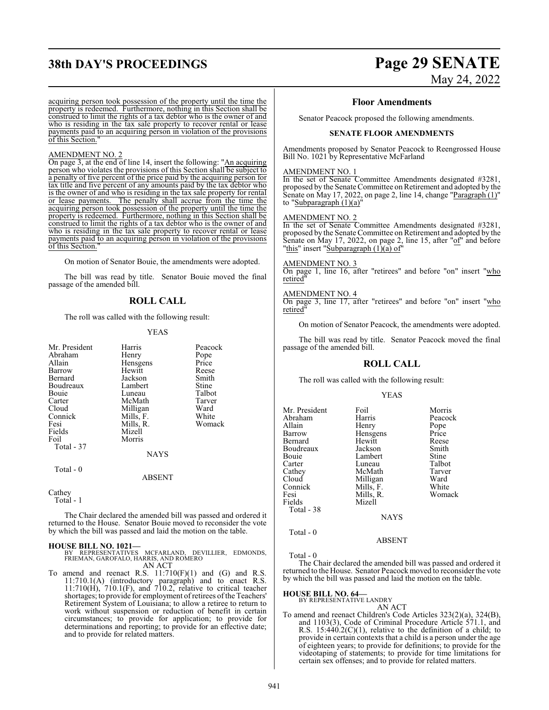## **38th DAY'S PROCEEDINGS Page 29 SENATE**

# May 24, 2022

acquiring person took possession of the property until the time the property is redeemed. Furthermore, nothing in this Section shall be construed to limit the rights of a tax debtor who is the owner of and who is residing in the tax sale property to recover rental or lease payments paid to an acquiring person in violation of the provisions of this Section."

## AMENDMENT NO. 2

On page 3, at the end of line 14, insert the following: "An acquiring person who violates the provisions of this Section shall be subject to a penalty of five percent of the price paid by the acquiring person for tax title and five percent of any amounts paid by the tax debtor who is the owner of and who is residing in the tax sale property for rental or lease payments. The penalty shall accrue from the time the acquiring person took possession of the property until the time the property is redeemed. Furthermore, nothing in this Section shall be construed to limit the rights of a tax debtor who is the owner of and who is residing in the tax sale property to recover rental or lease payments paid to an acquiring person in violation of the provisions of this Section."

On motion of Senator Bouie, the amendments were adopted.

The bill was read by title. Senator Bouie moved the final passage of the amended bill.

## **ROLL CALL**

The roll was called with the following result:

## YEAS

| Mr. President<br>Abraham<br>Allain<br>Barrow<br>Bernard<br>Boudreaux<br>Bouie<br>Carter<br>Cloud<br>Connick<br>Fesi<br>Fields<br>Foil<br>Total - 37 | Harris<br>Henry<br>Hensgens<br>Hewitt<br>Jackson<br>Lambert<br>Luneau<br>McMath<br>Milligan<br>Mills, F.<br>Mills, R.<br>Mizell<br>Morris<br><b>NAYS</b> | Peacock<br>Pope<br>Price<br>Reese<br>Smith<br>Stine<br>Talbot<br>Tarver<br>Ward<br>White<br>Womack |
|-----------------------------------------------------------------------------------------------------------------------------------------------------|----------------------------------------------------------------------------------------------------------------------------------------------------------|----------------------------------------------------------------------------------------------------|
| Total - 0                                                                                                                                           | <b>ABSENT</b>                                                                                                                                            |                                                                                                    |
| Cathey                                                                                                                                              |                                                                                                                                                          |                                                                                                    |

Total - 1

The Chair declared the amended bill was passed and ordered it returned to the House. Senator Bouie moved to reconsider the vote by which the bill was passed and laid the motion on the table.

## **HOUSE BILL NO. 1021—**

BY REPRESENTATIVES MCFARLAND, DEVILLIER, EDMONDS, FRIEMAN, GAROFALO, HARRIS, AND ROMERO

AN ACT

To amend and reenact R.S.  $11:710(F)(1)$  and  $(G)$  and R.S. 11:710.1(A) (introductory paragraph) and to enact R.S. 11:710(H), 710.1(F), and 710.2, relative to critical teacher shortages; to provide for employment of retirees of the Teachers' Retirement System of Louisiana; to allow a retiree to return to work without suspension or reduction of benefit in certain circumstances; to provide for application; to provide for determinations and reporting; to provide for an effective date; and to provide for related matters.

## **Floor Amendments**

Senator Peacock proposed the following amendments.

## **SENATE FLOOR AMENDMENTS**

Amendments proposed by Senator Peacock to Reengrossed House Bill No. 1021 by Representative McFarland

## AMENDMENT NO. 1

In the set of Senate Committee Amendments designated #3281, proposed by the Senate Committee on Retirement and adopted by the Senate on May 17, 2022, on page 2, line 14, change "Paragraph (1)" to "Subparagraph  $(1)(a)$ "

## AMENDMENT NO. 2

In the set of Senate Committee Amendments designated #3281, proposed by the Senate Committee on Retirement and adopted by the Senate on May 17, 2022, on page 2, line 15, after "of" and before "this" insert "Subparagraph (1)(a) of

## AMENDMENT NO. 3

On page 1, line 16, after "retirees" and before "on" insert "who retired"

## AMENDMENT NO. 4

On page 3, line 17, after "retirees" and before "on" insert "who retired"

On motion of Senator Peacock, the amendments were adopted.

The bill was read by title. Senator Peacock moved the final passage of the amended bill.

## **ROLL CALL**

The roll was called with the following result:

## YEAS

| Mr. President | Foil        | Morris  |
|---------------|-------------|---------|
|               |             |         |
| Abraham       | Harris      | Peacock |
| Allain        | Henry       | Pope    |
| Barrow        | Hensgens    | Price   |
| Bernard       | Hewitt      | Reese   |
| Boudreaux     | Jackson     | Smith   |
| Bouie         | Lambert     | Stine   |
| Carter        | Luneau      | Talbot  |
| Cathey        | McMath      | Tarver  |
| Cloud         | Milligan    | Ward    |
| Connick       | Mills, F.   | White   |
| Fesi          | Mills, R.   | Womack  |
| Fields        | Mizell      |         |
| Total - 38    |             |         |
|               | <b>NAYS</b> |         |
|               |             |         |

## ABSENT

Total - 0

Total - 0

The Chair declared the amended bill was passed and ordered it returned to the House. Senator Peacock moved to reconsider the vote by which the bill was passed and laid the motion on the table.

## **HOUSE BILL NO. 64—** BY REPRESENTATIVE LANDRY

AN ACT To amend and reenact Children's Code Articles 323(2)(a), 324(B), and 1103(3), Code of Criminal Procedure Article 571.1, and R.S.  $15:440.2(C)(1)$ , relative to the definition of a child; to provide in certain contexts that a child is a person under the age of eighteen years; to provide for definitions; to provide for the videotaping of statements; to provide for time limitations for certain sex offenses; and to provide for related matters.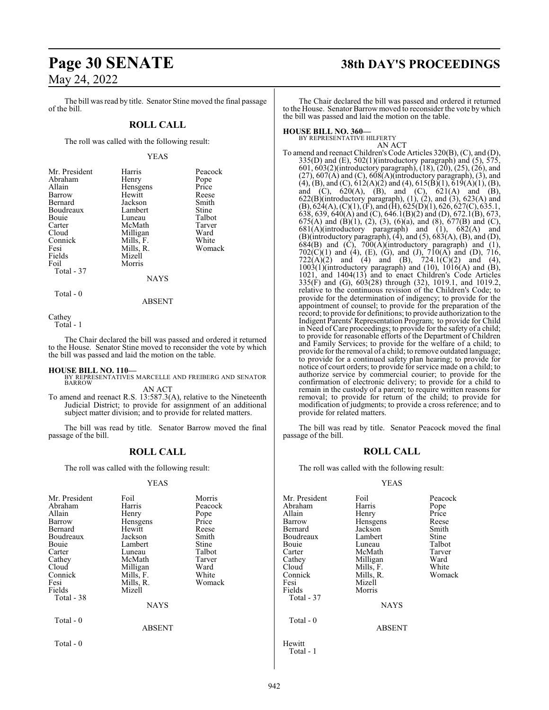The bill was read by title. Senator Stine moved the final passage of the bill.

## **ROLL CALL**

The roll was called with the following result:

### YEAS

| Mr. President<br>Abraham<br>Allain<br>Barrow<br>Bernard<br>Boudreaux | Harris<br>Henry<br>Hensgens<br>Hewitt<br>Jackson<br>Lambert | Peacock<br>Pope<br>Price<br>Reese<br>Smith<br>Stine |
|----------------------------------------------------------------------|-------------------------------------------------------------|-----------------------------------------------------|
| Bouie<br>Carter                                                      | Luneau<br>McMath                                            | Talbot<br>Tarver                                    |
| Cloud                                                                | Milligan                                                    | Ward                                                |
| Connick                                                              | Mills, F.                                                   | White                                               |
| Fesi                                                                 | Mills, R.                                                   | Womack                                              |
| Fields                                                               | Mizell                                                      |                                                     |
| Foil                                                                 | Morris                                                      |                                                     |
| Total - 37                                                           |                                                             |                                                     |
|                                                                      | <b>NAYS</b>                                                 |                                                     |

Total - 0

ABSENT

**Cathey** 

Total - 1

The Chair declared the bill was passed and ordered it returned to the House. Senator Stine moved to reconsider the vote by which the bill was passed and laid the motion on the table.

**HOUSE BILL NO. 110—** BY REPRESENTATIVES MARCELLE AND FREIBERG AND SENATOR **BARROW** AN ACT

To amend and reenact R.S. 13:587.3(A), relative to the Nineteenth Judicial District; to provide for assignment of an additional subject matter division; and to provide for related matters.

The bill was read by title. Senator Barrow moved the final passage of the bill.

## **ROLL CALL**

The roll was called with the following result:

## YEAS

| Mr. President<br>Abraham<br>Allain<br>Barrow<br>Bernard<br>Boudreaux<br>Bouie<br>Carter<br>Cathey<br>Cloud<br>Connick<br>Fesi<br>Fields<br>Total - 38 | Foil<br>Harris<br>Henry<br>Hensgens<br>Hewitt<br>Jackson<br>Lambert<br>Luneau<br>McMath<br>Milligan<br>Mills, F.<br>Mills, R.<br>Mizell | Morris<br>Peacock<br>Pope<br>Price<br>Reese<br>Smith<br>Stine<br>Talbot<br>Tarver<br>Ward<br>White<br>Womack |
|-------------------------------------------------------------------------------------------------------------------------------------------------------|-----------------------------------------------------------------------------------------------------------------------------------------|--------------------------------------------------------------------------------------------------------------|
|                                                                                                                                                       | <b>NAYS</b>                                                                                                                             |                                                                                                              |
| Total - 0                                                                                                                                             | <b>ABSENT</b>                                                                                                                           |                                                                                                              |
| Total - 0                                                                                                                                             |                                                                                                                                         |                                                                                                              |

## **Page 30 SENATE 38th DAY'S PROCEEDINGS**

The Chair declared the bill was passed and ordered it returned to the House. Senator Barrow moved to reconsider the vote by which the bill was passed and laid the motion on the table.

**HOUSE BILL NO. 360—** BY REPRESENTATIVE HILFERTY AN ACT

To amend and reenact Children's Code Articles 320(B), (C), and (D),  $335(D)$  and (E),  $502(1)$ (introductory paragraph) and (5),  $575$ , 601, 603(2)(introductory paragraph), (18), (20), (25), (26), and  $(27)$ ,  $607(A)$  and  $(C)$ ,  $608(A)$ (introductory paragraph),  $(3)$ , and  $(4)$ ,  $(B)$ , and  $(C)$ ,  $612(A)(2)$  and  $(4)$ ,  $615(B)(1)$ ,  $619(A)(1)$ ,  $(B)$ , and (C),  $620(A)$ , (B), and (C),  $621(A)$  and (B),  $622(B)$ (introductory paragraph),  $(1)$ ,  $(2)$ , and  $(3)$ ,  $623(A)$  and  $(B)$ ,  $624(A)$ ,  $(C)(1)$ ,  $(F)$ , and  $(H)$ ,  $625(D)(1)$ ,  $626$ ,  $627(C)$ ,  $635.1$ , 638, 639, 640(A) and (C), 646.1(B)(2) and (D), 672.1(B), 673, 675(A) and (B)(1), (2), (3), (6)(a), and (8), 677(B) and (C),  $681(A)$ (introductory paragraph) and (1),  $682(A)$  and  $(B)$ (introductory paragraph),  $(4)$ , and  $(5)$ ,  $683(A)$ ,  $(B)$ , and  $(D)$ ,  $684(B)$  and  $(C)$ ,  $700(A)$ (introductory paragraph) and  $(1)$ ,  $702(C)(1)$  and (4), (E), (G), and (J),  $710(A)$  and (D),  $716$ ,  $722(A)(2)$  and  $(4)$  and  $(B)$ ,  $724.1(C)(2)$  and  $(4)$ ,  $1003(1)$ (introductory paragraph) and (10),  $1016(A)$  and (B), 1021, and 1404(13) and to enact Children's Code Articles 335(F) and (G), 603(28) through (32), 1019.1, and 1019.2, relative to the continuous revision of the Children's Code; to provide for the determination of indigency; to provide for the appointment of counsel; to provide for the preparation of the record; to provide for definitions; to provide authorization to the Indigent Parents' Representation Program; to provide for Child in Need ofCare proceedings; to provide for the safety of a child; to provide for reasonable efforts of the Department of Children and Family Services; to provide for the welfare of a child; to provide for the removal of a child; to remove outdated language; to provide for a continued safety plan hearing; to provide for notice of court orders; to provide for service made on a child; to authorize service by commercial courier; to provide for the confirmation of electronic delivery; to provide for a child to remain in the custody of a parent; to require written reasons for removal; to provide for return of the child; to provide for modification of judgments; to provide a cross reference; and to provide for related matters.

The bill was read by title. Senator Peacock moved the final passage of the bill.

## **ROLL CALL**

The roll was called with the following result:

## YEAS

| Mr. President<br>Abraham<br>Allain<br>Barrow<br>Bernard<br>Boudreaux<br>Bouie<br>Carter<br>Cathey<br>Cloud<br>Connick<br>Fesi<br>Fields<br>Total - 37<br>Total - 0 | Foil<br>Harris<br>Henry<br>Hensgens<br>Jackson<br>Lambert<br>Luneau<br>McMath<br>Milligan<br>Mills, F.<br>Mills, R.<br>Mizell<br>Morris<br><b>NAYS</b> | Peacock<br>Pope<br>Price<br>Reese<br>Smith<br>Stine<br>Talbot<br>Tarver<br>Ward<br>White<br>Womack |
|--------------------------------------------------------------------------------------------------------------------------------------------------------------------|--------------------------------------------------------------------------------------------------------------------------------------------------------|----------------------------------------------------------------------------------------------------|
|                                                                                                                                                                    | <b>ABSENT</b>                                                                                                                                          |                                                                                                    |
| Hewitt<br>Total - 1                                                                                                                                                |                                                                                                                                                        |                                                                                                    |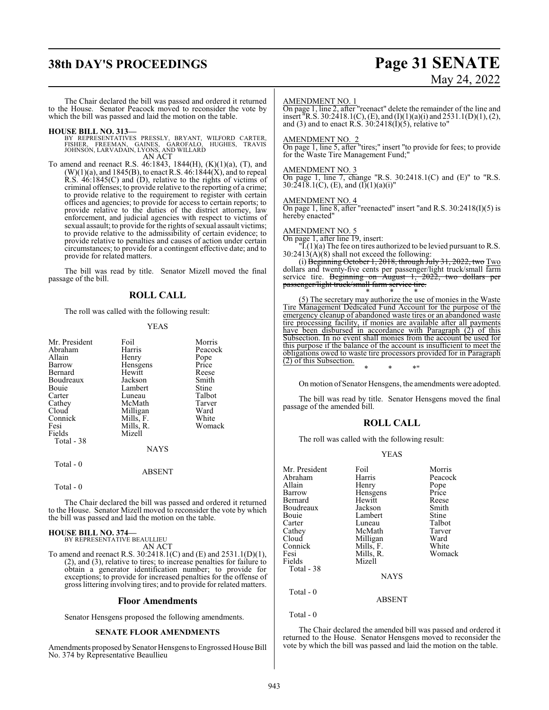## **38th DAY'S PROCEEDINGS Page 31 SENATE**

# May 24, 2022

The Chair declared the bill was passed and ordered it returned to the House. Senator Peacock moved to reconsider the vote by which the bill was passed and laid the motion on the table.

## **HOUSE BILL NO. 313—**

BY REPRESENTATIVES PRESSLY, BRYANT, WILFORD CARTER,<br>FISHER, FREEMAN, GAINES, GAROFALO, HUGHES, TRAVIS<br>JOHNSON,LARVADAIN,LYONS,ANDWILLARD AN ACT

To amend and reenact R.S. 46:1843, 1844(H), (K)(1)(a), (T), and  $(W)(1)(a)$ , and 1845(B), to enact R.S. 46:1844(X), and to repeal  $R.S. 46:1845(C)$  and  $(D)$ , relative to the rights of victims of criminal offenses; to provide relative to the reporting of a crime; to provide relative to the requirement to register with certain offices and agencies; to provide for access to certain reports; to provide relative to the duties of the district attorney, law enforcement, and judicial agencies with respect to victims of sexual assault; to provide for the rights of sexual assault victims; to provide relative to the admissibility of certain evidence; to provide relative to penalties and causes of action under certain circumstances; to provide for a contingent effective date; and to provide for related matters.

The bill was read by title. Senator Mizell moved the final passage of the bill.

## **ROLL CALL**

The roll was called with the following result:

## YEAS

| Mr. President<br>Abraham | Foil<br>Harris | Morris<br>Peacock |
|--------------------------|----------------|-------------------|
| Allain                   | Henry          | Pope              |
| Barrow                   | Hensgens       | Price             |
| Bernard                  | Hewitt         | Reese             |
| Boudreaux                | Jackson        | Smith             |
| Bouie                    | Lambert        | Stine             |
| Carter                   | Luneau         | Talbot            |
| Cathey                   | McMath         | Tarver            |
| Cloud                    | Milligan       | Ward              |
| Connick                  | Mills, F.      | White             |
| Fesi                     | Mills, R.      | Womack            |
| Fields                   | Mizell         |                   |
| Total - 38               |                |                   |
|                          | <b>NAYS</b>    |                   |
| Total - 0                |                |                   |
|                          | ABSENT         |                   |
|                          |                |                   |

Total - 0

The Chair declared the bill was passed and ordered it returned to the House. Senator Mizell moved to reconsider the vote by which the bill was passed and laid the motion on the table.

## **HOUSE BILL NO. 374—** BY REPRESENTATIVE BEAULLIEU AN ACT To amend and reenact R.S. 30:2418.1(C) and (E) and 2531.1(D)(1),

(2), and (3), relative to tires; to increase penalties for failure to obtain a generator identification number; to provide for exceptions; to provide for increased penalties for the offense of gross littering involving tires; and to provide for related matters.

## **Floor Amendments**

Senator Hensgens proposed the following amendments.

## **SENATE FLOOR AMENDMENTS**

Amendments proposed by Senator Hensgens to Engrossed House Bill No. 374 by Representative Beaullieu

#### AMENDMENT NO. 1

On page 1, line 2, after "reenact" delete the remainder of the line and insert  $\text{ }^{\text{ }^{\text{}}\text{ }^{\text{}}\text{ }^{\text{}}\text{ }^{\text{}}\text{ }^{\text{}}\text{ }^{\text{}}\text{ }^{\text{}}\text{ }^{\text{}}\text{ }^{\text{}}\text{ }$  and (I)(1)(a)(1) and 2531.1(D)(1), (2), and (3) and to enact R.S.  $30:2418(1)(5)$ , relative to"

## AMENDMENT NO. 2

On page 1, line 5, after "tires;" insert "to provide for fees; to provide for the Waste Tire Management Fund;"

## AMENDMENT NO. 3

On page 1, line 7, change "R.S.  $30:2418.1(C)$  and  $(E)$ " to "R.S. 30:2418.1(C), (E), and  $(I)(1)(a)(i)$ "

## AMENDMENT NO. 4

On page 1, line 8, after "reenacted" insert "and R.S. 30:2418(I)(5) is hereby enacted"

## <u>AMENDMENT NO. 5</u>

On page 1, after line 19, insert:

 $\text{I}(\text{I})(a)$  The fee on tires authorized to be levied pursuant to R.S. 30:2413(A)(8) shall not exceed the following:

(i) Beginning October 1, 2018, through July 31, 2022, two  $Two$ dollars and twenty-five cents per passenger/light truck/small farm service tire. Beginning on August 1, 2022, two dollars per passenger/light truck/small farm service tire. \* \* \*

(5) The secretary may authorize the use of monies in the Waste Tire Management Dedicated Fund Account for the purpose of the emergency cleanup of abandoned waste tires or an abandoned waste tire processing facility, if monies are available after all payments have been disbursed in accordance with Paragraph (2) of this Subsection. In no event shall monies from the account be used for this purpose if the balance of the account is insufficient to meet the obligations owed to waste tire processors provided for in Paragraph (2) of this Subsection.

On motion of Senator Hensgens, the amendments were adopted.

The bill was read by title. Senator Hensgens moved the final passage of the amended bill.

\* \* \*"

## **ROLL CALL**

The roll was called with the following result:

### YEAS

| Mr. President | Foil          | Morris  |
|---------------|---------------|---------|
| Abraham       | Harris        | Peacock |
| Allain        | Henry         | Pope    |
| Barrow        | Hensgens      | Price   |
| Bernard       | Hewitt        | Reese   |
| Boudreaux     | Jackson       | Smith   |
| Bouie         | Lambert       | Stine   |
| Carter        | Luneau        | Talbot  |
| Cathey        | McMath        | Tarver  |
| Cloud         | Milligan      | Ward    |
| Connick       | Mills, F.     | White   |
| Fesi          | Mills, R.     | Womack  |
| Fields        | Mizell        |         |
| Total - 38    |               |         |
|               | <b>NAYS</b>   |         |
| Total - 0     |               |         |
|               | <b>ABSENT</b> |         |

Total - 0

The Chair declared the amended bill was passed and ordered it returned to the House. Senator Hensgens moved to reconsider the vote by which the bill was passed and laid the motion on the table.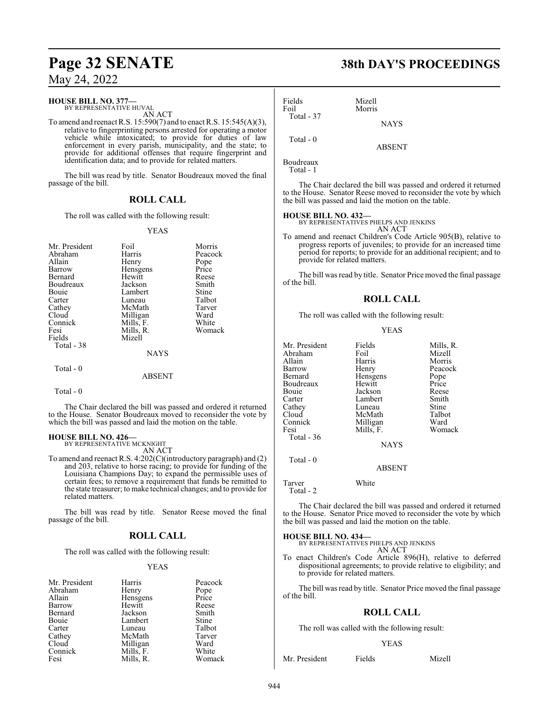**HOUSE BILL NO. 377—** BY REPRESENTATIVE HUVAL AN ACT

To amend and reenact R.S. 15:590(7) and to enact R.S. 15:545(A)(3), relative to fingerprinting persons arrested for operating a motor vehicle while intoxicated; to provide for duties of law enforcement in every parish, municipality, and the state; to provide for additional offenses that require fingerprint and identification data; and to provide for related matters.

The bill was read by title. Senator Boudreaux moved the final passage of the bill.

## **ROLL CALL**

The roll was called with the following result:

### YEAS

| Mr. President<br>Abraham<br>Allain<br>Barrow<br>Bernard<br>Boudreaux<br>Bouie<br>Carter<br>Cathey<br>Cloud<br>Connick<br>Fesi | Foil<br>Harris<br>Henry<br>Hensgens<br>Hewitt<br>Jackson<br>Lambert<br>Luneau<br>McMath<br>Milligan<br>Mills, F. | Morris<br>Peacock<br>Pope<br>Price<br>Reese<br>Smith<br>Stine<br>Talbot<br>Tarver<br>Ward<br>White<br>Womack |
|-------------------------------------------------------------------------------------------------------------------------------|------------------------------------------------------------------------------------------------------------------|--------------------------------------------------------------------------------------------------------------|
| Fields                                                                                                                        | Mills, R.<br>Mizell                                                                                              |                                                                                                              |
| Total - 38                                                                                                                    | <b>NAYS</b>                                                                                                      |                                                                                                              |
|                                                                                                                               |                                                                                                                  |                                                                                                              |
| Total $-0$                                                                                                                    | ABSENT                                                                                                           |                                                                                                              |

Total - 0

The Chair declared the bill was passed and ordered it returned to the House. Senator Boudreaux moved to reconsider the vote by which the bill was passed and laid the motion on the table.

## **HOUSE BILL NO. 426—**

BY REPRESENTATIVE MCKNIGHT AN ACT

To amend and reenact R.S. 4:202(C)(introductory paragraph) and (2) and 203, relative to horse racing; to provide for funding of the Louisiana Champions Day; to expand the permissible uses of certain fees; to remove a requirement that funds be remitted to the state treasurer; to make technical changes; and to provide for related matters.

The bill was read by title. Senator Reese moved the final passage of the bill.

## **ROLL CALL**

The roll was called with the following result:

## YEAS

| Mr. President | Harris    | Peacock       |
|---------------|-----------|---------------|
| Abraham       | Henry     |               |
| Allain        | Hensgens  | Pope<br>Price |
| Barrow        | Hewitt    | Reese         |
| Bernard       | Jackson   | Smith         |
| Bouie         | Lambert   | Stine         |
| Carter        | Luneau    | Talbot        |
| Cathey        | McMath    | Tarver        |
| Cloud         | Milligan  | Ward          |
| Connick       | Mills, F. | White         |
| Fesi          | Mills, R. | Womack        |

## **Page 32 SENATE 38th DAY'S PROCEEDINGS**

Fields Mizell<br>Foil Morris Morris Total - 37

Total - 0

Boudreaux

Total - 1

The Chair declared the bill was passed and ordered it returned to the House. Senator Reese moved to reconsider the vote by which the bill was passed and laid the motion on the table.

**NAYS** 

ABSENT

## **HOUSE BILL NO. 432—**

BY REPRESENTATIVES PHELPS AND JENKINS AN ACT

To amend and reenact Children's Code Article 905(B), relative to progress reports of juveniles; to provide for an increased time period for reports; to provide for an additional recipient; and to provide for related matters.

The bill was read by title. Senator Price moved the final passage of the bill.

## **ROLL CALL**

The roll was called with the following result:

### YEAS

| Mr. President | Fields      | Mills, R. |
|---------------|-------------|-----------|
| Abraham       | Foil        | Mizell    |
| Allain        | Harris      | Morris    |
| Barrow        | Henry       | Peacock   |
| Bernard       | Hensgens    | Pope      |
| Boudreaux     | Hewitt      | Price     |
| <b>Bouje</b>  | Jackson     | Reese     |
| Carter        | Lambert     | Smith     |
| Cathey        | Luneau      | Stine     |
| Cloud         | McMath      | Talbot    |
| Connick       | Milligan    | Ward      |
| Fesi          | Mills, F.   | Womack    |
| Total $-36$   |             |           |
|               | <b>NAYS</b> |           |
| $Total - 0$   |             |           |

ABSENT

Tarver White

Total - 2

The Chair declared the bill was passed and ordered it returned to the House. Senator Price moved to reconsider the vote by which the bill was passed and laid the motion on the table.

**HOUSE BILL NO. 434—** BY REPRESENTATIVES PHELPS AND JENKINS AN ACT

To enact Children's Code Article 896(H), relative to deferred dispositional agreements; to provide relative to eligibility; and to provide for related matters.

The bill was read by title. Senator Price moved the final passage of the bill.

## **ROLL CALL**

The roll was called with the following result:

## YEAS

Mr. President Fields Mizell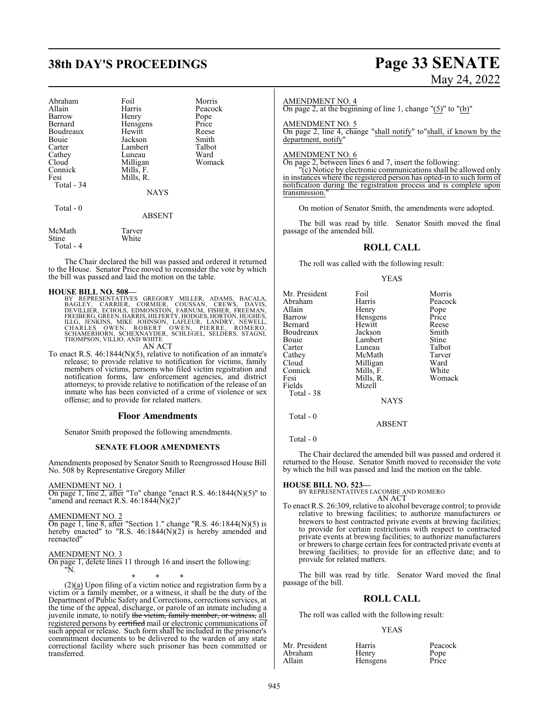## **38th DAY'S PROCEEDINGS Page 33 SENATE**

| Abraham<br>Allain<br>Barrow<br>Bernard<br>Boudreaux<br>Bouie<br>Carter<br>Cathey<br>Cloud<br>Connick<br>Fesi<br>Total - 34 | Foil<br>Harris<br>Henry<br>Hensgens<br>Hewitt<br>Jackson<br>Lambert<br>Luneau<br>Milligan<br>Mills, F.<br>Mills, R.<br><b>NAYS</b> | Morris<br>Peacock<br>Pope<br>Price<br>Reese<br>Smith<br>Talbot<br>Ward<br>Womack |
|----------------------------------------------------------------------------------------------------------------------------|------------------------------------------------------------------------------------------------------------------------------------|----------------------------------------------------------------------------------|
| Total - 0                                                                                                                  | <b>ABSENT</b>                                                                                                                      |                                                                                  |

| McMath    | Tarver |
|-----------|--------|
| Stine     | White  |
| Total - 4 |        |

The Chair declared the bill was passed and ordered it returned to the House. Senator Price moved to reconsider the vote by which the bill was passed and laid the motion on the table.

**HOUSE BILL NO. 508—**<br>BY REPRESENTATIVES GREGORY MILLER, ADAMS, BACALA,<br>BAGLEY, CARRIER, CORMIER, COUSSAN, CREWS, DAVIS,<br>DEVILLIER, ECHOLS, EDMONSTON, FARNUM, FISHER, FREEMAN,<br>FREIBERG, GREEN, HARRIS, HILFERTY, HODGES, HOR

To enact R.S. 46:1844(N)(5), relative to notification of an inmate's release; to provide relative to notification for victims, family members of victims, persons who filed victim registration and notification forms, law enforcement agencies, and district attorneys; to provide relative to notification of the release of an inmate who has been convicted of a crime of violence or sex offense; and to provide for related matters.

### **Floor Amendments**

Senator Smith proposed the following amendments.

### **SENATE FLOOR AMENDMENTS**

Amendments proposed by Senator Smith to Reengrossed House Bill No. 508 by Representative Gregory Miller

## AMENDMENT NO. 1

On page 1, line 2, after "To" change "enact R.S. 46:1844(N)(5)" to "amend and reenact R.S.  $46:1844(N)(2)$ "

## AMENDMENT NO. 2

On page 1, line 8, after "Section 1." change "R.S. 46:1844(N)(5) is hereby enacted" to "R.S. 46:1844(N)(2) is hereby amended and reenacted"

## AMENDMENT NO. 3

On page 1, delete lines 11 through 16 and insert the following: "N.

\* \* \*

 $(2)(a)$  Upon filing of a victim notice and registration form by a victim or a family member, or a witness, it shall be the duty of the Department of Public Safety and Corrections, corrections services, at the time of the appeal, discharge, or parole of an inmate including a juvenile inmate, to notify the victim, family member, or witness, all registered persons by certified mail or electronic communications of such appeal or release. Such form shall be included in the prisoner's commitment documents to be delivered to the warden of any state correctional facility where such prisoner has been committed or transferred.

# May 24, 2022

### AMENDMENT NO. 4

On page 2, at the beginning of line 1, change "(5)" to "(b)"

## AMENDMENT NO. 5

On page 2, line 4, change "shall notify" to"shall, if known by the department, notify"

## AMENDMENT NO. 6

On page 2, between lines 6 and 7, insert the following:

"(c) Notice by electronic communications shall be allowed only in instances where the registered person has opted-in to such form of notification during the registration process and is complete upon transmission.

On motion of Senator Smith, the amendments were adopted.

The bill was read by title. Senator Smith moved the final passage of the amended bill.

## **ROLL CALL**

The roll was called with the following result:

### YEAS

| Mr. President | Foil        | Morris  |
|---------------|-------------|---------|
| Abraham       | Harris      | Peacock |
| Allain        | Henry       | Pope    |
| Barrow        | Hensgens    | Price   |
| Bernard       | Hewitt      | Reese   |
| Boudreaux     | Jackson     | Smith   |
| Bouie         | Lambert     | Stine   |
| Carter        | Luneau      | Talbot  |
| Cathey        | McMath      | Tarver  |
| Cloud         | Milligan    | Ward    |
| Connick       | Mills, F.   | White   |
| Fesi          | Mills, R.   | Womack  |
| Fields        | Mizell      |         |
| Total - 38    |             |         |
|               | <b>NAYS</b> |         |
| Total - 0     |             |         |
|               | ABSENT      |         |

Total - 0

The Chair declared the amended bill was passed and ordered it returned to the House. Senator Smith moved to reconsider the vote by which the bill was passed and laid the motion on the table.

## **HOUSE BILL NO. 523—**

BY REPRESENTATIVES LACOMBE AND ROMERO AN ACT

To enact R.S. 26:309, relative to alcohol beverage control; to provide relative to brewing facilities; to authorize manufacturers or brewers to host contracted private events at brewing facilities; to provide for certain restrictions with respect to contracted private events at brewing facilities; to authorize manufacturers or brewers to charge certain fees for contracted private events at brewing facilities; to provide for an effective date; and to provide for related matters.

The bill was read by title. Senator Ward moved the final passage of the bill.

## **ROLL CALL**

The roll was called with the following result:

### YEAS

| Mr. President | Harris   | Peacock |
|---------------|----------|---------|
| Abraham       | Henry    | Pope    |
| Allain        | Hensgens | Price   |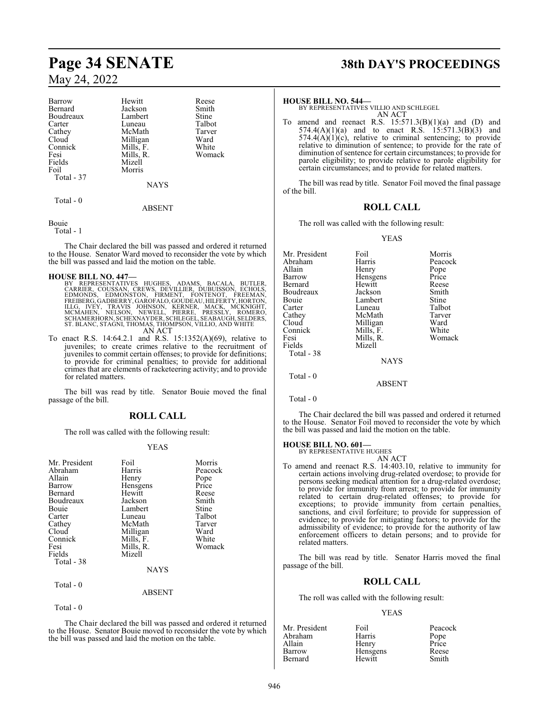| Barrow     | Hewitt        | Reese  |
|------------|---------------|--------|
| Bernard    | Jackson       | Smith  |
| Boudreaux  | Lambert       | Stine  |
| Carter     | Luneau        | Talbot |
| Cathey     | McMath        | Tarver |
| Cloud      | Milligan      | Ward   |
| Connick    | Mills, F.     | White  |
| Fesi       | Mills, R.     | Womack |
| Fields     | Mizell        |        |
| Foil       | Morris        |        |
| Total - 37 |               |        |
|            | <b>NAYS</b>   |        |
| Total $-0$ |               |        |
|            | <b>ABSENT</b> |        |

Bouie

Total - 1

The Chair declared the bill was passed and ordered it returned to the House. Senator Ward moved to reconsider the vote by which the bill was passed and laid the motion on the table.

- **HOUSE BILL NO. 447—**<br>BY REPRESENTATIVES HUGHES, ADAMS, BACALA, BUTLER,<br>CARRIER, COUSSAN, CREWS, DEVILLIER, DUBUISSON, ECHOLS,<br>EDMONDS, EDMONSTON, FIRMENT, FONTENOT, FREEMAN,<br>FREIBERG, GADBERRY, GAROFALO, GOUDEAU, HILFERTY AN ACT
- To enact R.S. 14:64.2.1 and R.S. 15:1352(A)(69), relative to juveniles; to create crimes relative to the recruitment of juveniles to commit certain offenses; to provide for definitions; to provide for criminal penalties; to provide for additional crimes that are elements of racketeering activity; and to provide for related matters.

The bill was read by title. Senator Bouie moved the final passage of the bill.

## **ROLL CALL**

The roll was called with the following result:

## YEAS

| Mr. President | Foil        | Morris  |
|---------------|-------------|---------|
| Abraham       | Harris      | Peacock |
| Allain        | Henry       | Pope    |
| Barrow        | Hensgens    | Price   |
| Bernard       | Hewitt      | Reese   |
| Boudreaux     | Jackson     | Smith   |
| Bouie         | Lambert     | Stine   |
| Carter        | Luneau      | Talbot  |
| Cathey        | McMath      | Tarver  |
| Cloud         | Milligan    | Ward    |
| Connick       | Mills, F.   | White   |
| Fesi          | Mills, R.   | Womack  |
| Fields        | Mizell      |         |
| Total - 38    |             |         |
|               | <b>NAYS</b> |         |
| Total $-0$    |             |         |
|               | ABSENT      |         |
|               |             |         |

Total - 0

The Chair declared the bill was passed and ordered it returned to the House. Senator Bouie moved to reconsider the vote by which the bill was passed and laid the motion on the table.

## **Page 34 SENATE 38th DAY'S PROCEEDINGS**

## **HOUSE BILL NO. 544—**

BY REPRESENTATIVES VILLIO AND SCHLEGEL AN ACT

To amend and reenact R.S.  $15:571.3(B)(1)(a)$  and (D) and 574.4(A)(1)(a) and to enact R.S.  $15:571.3(B)(3)$  and  $574.4(A)(1)(c)$ , relative to criminal sentencing; to provide relative to diminution of sentence; to provide for the rate of diminution of sentence for certain circumstances; to provide for parole eligibility; to provide relative to parole eligibility for certain circumstances; and to provide for related matters.

The bill was read by title. Senator Foil moved the final passage of the bill.

## **ROLL CALL**

The roll was called with the following result:

## YEAS

| Mr. President | Foil          | Morris  |
|---------------|---------------|---------|
| Abraham       | Harris        | Peacock |
| Allain        | Henry         | Pope    |
| Barrow        | Hensgens      | Price   |
| Bernard       | Hewitt        | Reese   |
| Boudreaux     | Jackson       | Smith   |
| Bouie         | Lambert       | Stine   |
| Carter        | Luneau        | Talbot  |
| Cathey        | McMath        | Tarver  |
| Cloud         | Milligan      | Ward    |
| Connick       | Mills, F.     | White   |
| Fesi          | Mills, R.     | Womack  |
| Fields        | Mizell        |         |
| Total - 38    |               |         |
|               | <b>NAYS</b>   |         |
| Total $-0$    |               |         |
|               | <b>ABSENT</b> |         |
|               |               |         |

Total - 0

The Chair declared the bill was passed and ordered it returned to the House. Senator Foil moved to reconsider the vote by which the bill was passed and laid the motion on the table.

## **HOUSE BILL NO. 601—**

BY REPRESENTATIVE HUGHES AN ACT

To amend and reenact R.S. 14:403.10, relative to immunity for certain actions involving drug-related overdose; to provide for persons seeking medical attention for a drug-related overdose; to provide for immunity from arrest; to provide for immunity related to certain drug-related offenses; to provide for exceptions; to provide immunity from certain penalties, sanctions, and civil forfeiture; to provide for suppression of evidence; to provide for mitigating factors; to provide for the admissibility of evidence; to provide for the authority of law enforcement officers to detain persons; and to provide for related matters.

The bill was read by title. Senator Harris moved the final passage of the bill.

## **ROLL CALL**

The roll was called with the following result:

## YEAS

| Foil     | Peacock       |
|----------|---------------|
| Harris   | Pope<br>Price |
| Henry    |               |
| Hensgens | Reese         |
| Hewitt   | Smith         |
|          |               |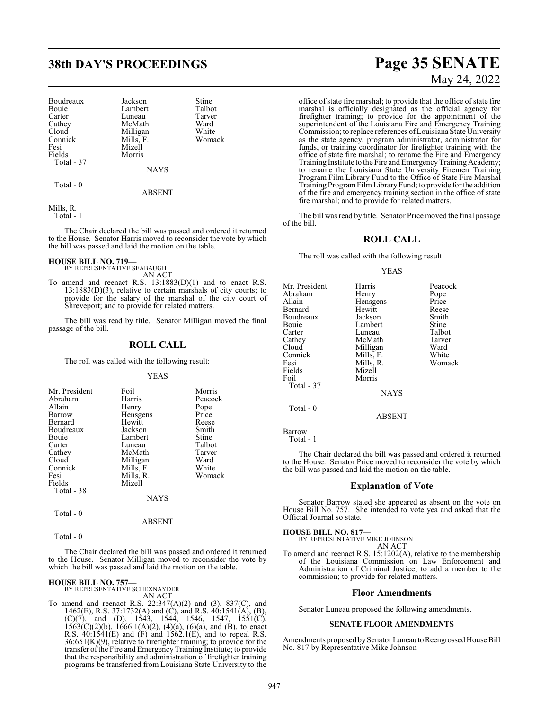## **38th DAY'S PROCEEDINGS Page 35 SENATE**

Boudreaux Jackson Stine<br>
Bouie Lambert Talbot Bouie Lambert Talbot<br>Carter Luneau Tarver Carter Luneau Tarve<br>
Cathey McMath Ward Cathey McMath Ward<br>Cloud Milligan White Cloud Milligan White<br>
Connick Mills, F. Womack Connick Mills, F.<br>
Fesi Mizell Fields Morris Total - 37

Mizell

NAYS

Total - 0

### ABSENT

Mills, R.

Total - 1

The Chair declared the bill was passed and ordered it returned to the House. Senator Harris moved to reconsider the vote by which the bill was passed and laid the motion on the table.

## **HOUSE BILL NO. 719—** BY REPRESENTATIVE SEABAUGH

AN ACT

To amend and reenact R.S. 13:1883(D)(1) and to enact R.S. 13:1883(D)(3), relative to certain marshals of city courts; to provide for the salary of the marshal of the city court of Shreveport; and to provide for related matters.

The bill was read by title. Senator Milligan moved the final passage of the bill.

## **ROLL CALL**

The roll was called with the following result:

## YEAS

| Mr. President | Foil      | Morris  |
|---------------|-----------|---------|
| Abraham       | Harris    | Peacock |
| Allain        | Henry     | Pope    |
| Barrow        | Hensgens  | Price   |
| Bernard       | Hewitt    | Reese   |
| Boudreaux     | Jackson   | Smith   |
| Bouie         | Lambert   | Stine   |
| Carter        | Luneau    | Talbot  |
| Cathey        | McMath    | Tarver  |
| Cloud         | Milligan  | Ward    |
| Connick       | Mills, F. | White   |
| Fesi          | Mills, R. | Womack  |
| Fields        | Mizell    |         |
| Total - 38    |           |         |
|               | NAYS      |         |

Total - 0

ABSENT

Total - 0

The Chair declared the bill was passed and ordered it returned to the House. Senator Milligan moved to reconsider the vote by which the bill was passed and laid the motion on the table.

#### **HOUSE BILL NO. 757—** BY REPRESENTATIVE SCHEXNAYDER

AN ACT

To amend and reenact R.S. 22:347(A)(2) and (3), 837(C), and 1462(E), R.S. 37:1732(A) and (C), and R.S. 40:1541(A), (B),  $(C)(7)$ , and  $(D)$ , 1543, 1544, 1546, 1547, 1551 $(C)$ ,  $1563(C)(2)(b)$ ,  $1666.1(A)(2)$ ,  $(4)(a)$ ,  $(6)(a)$ , and  $(B)$ , to enact R.S. 40:1541(E) and (F) and 1562.1(E), and to repeal R.S. 36:651(K)(9), relative to firefighter training; to provide for the transfer of the Fire and Emergency Training Institute; to provide that the responsibility and administration of firefighter training programs be transferred from Louisiana State University to the

# May 24, 2022

office of state fire marshal; to provide that the office of state fire marshal is officially designated as the official agency for firefighter training; to provide for the appointment of the superintendent of the Louisiana Fire and Emergency Training Commission; to replace references ofLouisiana State University as the state agency, program administrator, administrator for funds, or training coordinator for firefighter training with the office of state fire marshal; to rename the Fire and Emergency Training Institute to the Fire and Emergency Training Academy; to rename the Louisiana State University Firemen Training Program Film Library Fund to the Office of State Fire Marshal Training ProgramFilmLibraryFund; to provide for the addition of the fire and emergency training section in the office of state fire marshal; and to provide for related matters.

The bill was read by title. Senator Price moved the final passage of the bill.

## **ROLL CALL**

The roll was called with the following result:

### YEAS

| Mr. President | Harris        | Peacock |
|---------------|---------------|---------|
| Abraham       | Henry         | Pope    |
| Allain        | Hensgens      | Price   |
| Bernard       | Hewitt        | Reese   |
| Boudreaux     | Jackson       | Smith   |
| Bouie         | Lambert       | Stine   |
| Carter        | Luneau        | Talbot  |
| Cathey        | McMath        | Tarver  |
| Cloud         | Milligan      | Ward    |
| Connick       | Mills, F.     | White   |
| Fesi          | Mills, R.     | Womack  |
| Fields        | Mizell        |         |
| Foil          | Morris        |         |
| Total - 37    |               |         |
|               | <b>NAYS</b>   |         |
| Total $-0$    |               |         |
|               | <b>ABSENT</b> |         |
|               |               |         |

Barrow Total - 1

The Chair declared the bill was passed and ordered it returned to the House. Senator Price moved to reconsider the vote by which the bill was passed and laid the motion on the table.

## **Explanation of Vote**

Senator Barrow stated she appeared as absent on the vote on House Bill No. 757. She intended to vote yea and asked that the Official Journal so state.

## **HOUSE BILL NO. 817—**

BY REPRESENTATIVE MIKE JOHNSON

AN ACT

To amend and reenact R.S. 15:1202(A), relative to the membership of the Louisiana Commission on Law Enforcement and Administration of Criminal Justice; to add a member to the commission; to provide for related matters.

## **Floor Amendments**

Senator Luneau proposed the following amendments.

## **SENATE FLOOR AMENDMENTS**

Amendments proposed by Senator Luneau to Reengrossed House Bill No. 817 by Representative Mike Johnson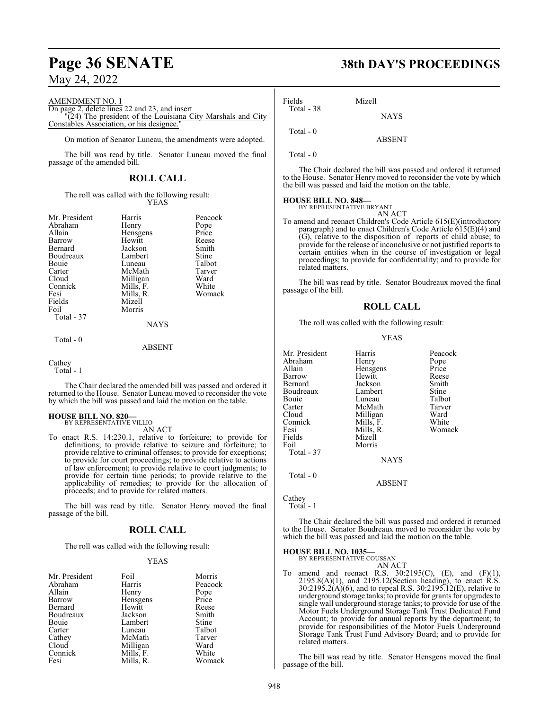## **Page 36 SENATE 38th DAY'S PROCEEDINGS**

May 24, 2022

## AMENDMENT NO. 1

On page 2, delete lines 22 and 23, and insert "(24) The president of the Louisiana City Marshals and City Constables Association, or his designee.

On motion of Senator Luneau, the amendments were adopted.

The bill was read by title. Senator Luneau moved the final passage of the amended bill.

## **ROLL CALL**

### The roll was called with the following result: YEAS

| Mr. President | Harris    | Peacock |
|---------------|-----------|---------|
| Abraham       | Henry     | Pope    |
| Allain        | Hensgens  | Price   |
| Barrow        | Hewitt    | Reese   |
| Bernard       | Jackson   | Smith   |
| Boudreaux     | Lambert   | Stine   |
| Bouie         | Luneau    | Talbot  |
| Carter        | McMath    | Tarver  |
| Cloud         | Milligan  | Ward    |
| Connick       | Mills, F. | White   |
| Fesi          | Mills, R. | Womack  |
| Fields        | Mizell    |         |
| Foil          | Morris    |         |
| Total - 37    |           |         |
|               | NAYS      |         |
|               |           |         |

Total - 0

## ABSENT

## Cathey

Total - 1

The Chair declared the amended bill was passed and ordered it returned to the House. Senator Luneau moved to reconsider the vote by which the bill was passed and laid the motion on the table.

## **HOUSE BILL NO. 820—** BY REPRESENTATIVE VILLIO

AN ACT

To enact R.S. 14:230.1, relative to forfeiture; to provide for definitions; to provide relative to seizure and forfeiture; to provide relative to criminal offenses; to provide for exceptions; to provide for court proceedings; to provide relative to actions of law enforcement; to provide relative to court judgments; to provide for certain time periods; to provide relative to the applicability of remedies; to provide for the allocation of proceeds; and to provide for related matters.

The bill was read by title. Senator Henry moved the final passage of the bill.

## **ROLL CALL**

The roll was called with the following result:

## YEAS

| Mr. President | Foil      | Morris        |
|---------------|-----------|---------------|
| Abraham       | Harris    | Peacock       |
| Allain        | Henry     |               |
| Barrow        | Hensgens  | Pope<br>Price |
| Bernard       | Hewitt    | Reese         |
| Boudreaux     | Jackson   | Smith         |
| Bouie         | Lambert   | Stine         |
| Carter        | Luneau    | Talbot        |
| Cathey        | McMath    | Tarver        |
| Cloud         | Milligan  | Ward          |
| Connick       | Mills, F. | White         |
| Fesi          | Mills, R. | Womack        |

| ields      | Mizell      |
|------------|-------------|
| Total - 38 | <b>NAYS</b> |
| Total - 0  |             |

ABSENT

Total - 0

Fields

The Chair declared the bill was passed and ordered it returned to the House. Senator Henry moved to reconsider the vote by which the bill was passed and laid the motion on the table.

## **HOUSE BILL NO. 848—** BY REPRESENTATIVE BRYANT

AN ACT To amend and reenact Children's Code Article 615(E)(introductory paragraph) and to enact Children's Code Article 615(E)(4) and (G), relative to the disposition of reports of child abuse; to provide for the release of inconclusive or not justified reports to certain entities when in the course of investigation or legal proceedings; to provide for confidentiality; and to provide for related matters.

The bill was read by title. Senator Boudreaux moved the final passage of the bill.

## **ROLL CALL**

The roll was called with the following result:

### YEAS

| Mr. President | Harris      | Peacock |
|---------------|-------------|---------|
| Abraham       | Henry       | Pope    |
| Allain        | Hensgens    | Price   |
| Barrow        | Hewitt      | Reese   |
| Bernard       | Jackson     | Smith   |
| Boudreaux     | Lambert     | Stine   |
| <b>Bouje</b>  | Luneau      | Talbot  |
| Carter        | McMath      | Tarver  |
| Cloud         | Milligan    | Ward    |
| Connick       | Mills, F.   | White   |
| Fesi          | Mills, R.   | Womack  |
| Fields        | Mizell      |         |
| Foil          | Morris      |         |
| Total - 37    |             |         |
|               | <b>NAYS</b> |         |
| Total $-0$    |             |         |
|               | ABSENT      |         |

Cathey Total - 1

The Chair declared the bill was passed and ordered it returned to the House. Senator Boudreaux moved to reconsider the vote by which the bill was passed and laid the motion on the table.

## **HOUSE BILL NO. 1035—**

BY REPRESENTATIVE COUSSAN

- AN ACT
- To amend and reenact R.S.  $30:2195(C)$ , (E), and (F)(1),  $2195.8(A)(1)$ , and  $2195.12$ (Section heading), to enact R.S. 30:2195.2(A)(6), and to repeal R.S. 30:2195.12(E), relative to underground storage tanks; to provide for grants for upgrades to single wall underground storage tanks; to provide for use of the Motor Fuels Underground Storage Tank Trust Dedicated Fund Account; to provide for annual reports by the department; to provide for responsibilities of the Motor Fuels Underground Storage Tank Trust Fund Advisory Board; and to provide for related matters.

The bill was read by title. Senator Hensgens moved the final passage of the bill.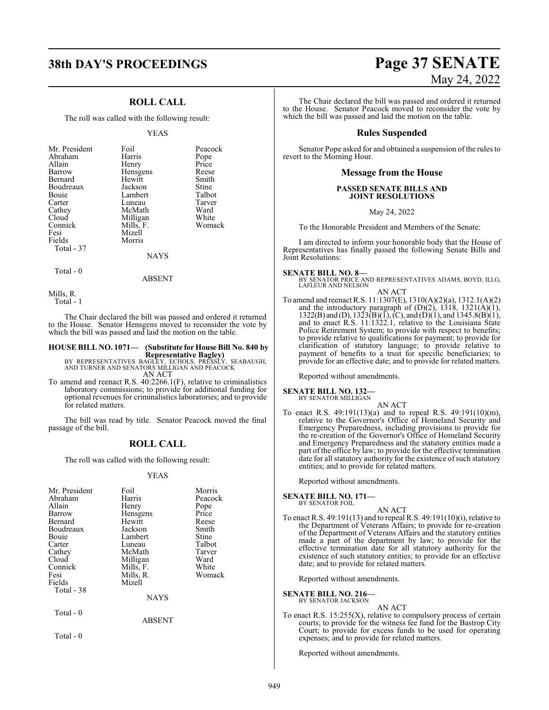## **ROLL CALL**

The roll was called with the following result:

#### YEAS

| Mr. President | Foil      | Peacock |
|---------------|-----------|---------|
| Abraham       | Harris    | Pope    |
| Allain        | Henry     | Price   |
| Barrow        | Hensgens  | Reese   |
| Bernard       | Hewitt    | Smith   |
| Boudreaux     | Jackson   | Stine   |
| Bouie         | Lambert   | Talbot  |
| Carter        | Luneau    | Tarver  |
| Cathey        | McMath    | Ward    |
| Cloud         | Milligan  | White   |
| Connick       | Mills, F. | Womack  |
| Fesi          | Mizell    |         |
| Fields        | Morris    |         |
| Total - 37    |           |         |
|               | NAYS      |         |

 $Total - 0$ 

ABSENT

Mills, R.

Total - 1

The Chair declared the bill was passed and ordered it returned to the House. Senator Hensgens moved to reconsider the vote by which the bill was passed and laid the motion on the table.

## **HOUSE BILL NO. 1071— (Substitute for House Bill No. 840 by**

**Representative Bagley)** BY REPRESENTATIVES BAGLEY, ECHOLS, PRESSLY, SEABAUGH, AND TURNER AND SENATORS MILLIGAN AND PEACOCK AN ACT

To amend and reenact R.S. 40:2266.1(F), relative to criminalistics laboratory commissions; to provide for additional funding for optional revenues for criminalistics laboratories; and to provide for related matters.

The bill was read by title. Senator Peacock moved the final passage of the bill.

## **ROLL CALL**

The roll was called with the following result:

## YEAS

| Mr. President<br>Abraham<br>Allain<br>Barrow<br>Bernard<br>Boudreaux<br>Bouie<br>Carter<br>Cathey<br>Cloud<br>Connick<br>Fesi<br>Fields<br>Total - 38 | Foil<br>Harris<br>Henry<br>Hensgens<br>Hewitt<br>Jackson<br>Lambert<br>Luneau<br>McMath<br>Milligan<br>Mills, F.<br>Mills, R.<br>Mizell | Morris<br>Peacock<br>Pope<br>Price<br>Reese<br>Smith<br>Stine<br>Talbot<br>Tarver<br>Ward<br>White<br>Womack |
|-------------------------------------------------------------------------------------------------------------------------------------------------------|-----------------------------------------------------------------------------------------------------------------------------------------|--------------------------------------------------------------------------------------------------------------|
|                                                                                                                                                       | <b>NAYS</b>                                                                                                                             |                                                                                                              |
| Total $-0$                                                                                                                                            | <b>ABSENT</b>                                                                                                                           |                                                                                                              |

Total - 0

## **38th DAY'S PROCEEDINGS Page 37 SENATE** May 24, 2022

The Chair declared the bill was passed and ordered it returned to the House. Senator Peacock moved to reconsider the vote by which the bill was passed and laid the motion on the table.

## **Rules Suspended**

Senator Pope asked for and obtained a suspension of the rules to revert to the Morning Hour.

## **Message from the House**

## **PASSED SENATE BILLS AND JOINT RESOLUTIONS**

May 24, 2022

To the Honorable President and Members of the Senate:

I am directed to inform your honorable body that the House of Representatives has finally passed the following Senate Bills and Joint Resolutions:

**SENATE BILL NO. 8—** BY SENATOR PRICE AND REPRESENTATIVES ADAMS, BOYD, ILLG, LAFLEUR AND NELSON AN ACT

To amend and reenact R.S. 11:1307(E), 1310(A)(2)(a), 1312.1(A)(2) and the introductory paragraph of  $(D)(2)$ , 1318, 1321 $(A)(1)$ , 1322(B) and (D), 1323(B)(I), (C), and (D)(1), and 1345.8(B)(1), and to enact R.S. 11:1322.1, relative to the Louisiana State Police Retirement System; to provide with respect to benefits; to provide relative to qualifications for payment; to provide for clarification of statutory language; to provide relative to payment of benefits to a trust for specific beneficiaries; to provide for an effective date; and to provide for related matters.

Reported without amendments.

## **SENATE BILL NO. 132—**<br>BY SENATOR MILLIGAN

AN ACT

To enact R.S. 49:191(13)(a) and to repeal R.S. 49:191(10)(m), relative to the Governor's Office of Homeland Security and Emergency Preparedness, including provisions to provide for the re-creation of the Governor's Office of Homeland Security and Emergency Preparedness and the statutory entities made a part of the office by law; to provide for the effective termination date for all statutory authority for the existence of such statutory entities; and to provide for related matters.

Reported without amendments.

#### **SENATE BILL NO. 171—** BY SENATOR FOIL

- AN ACT
- To enact R.S. 49:191(13) and to repeal R.S. 49:191(10)(i), relative to the Department of Veterans Affairs; to provide for re-creation of the Department of Veterans Affairs and the statutory entities made a part of the department by law; to provide for the effective termination date for all statutory authority for the existence of such statutory entities; to provide for an effective date; and to provide for related matters.

Reported without amendments.

## **SENATE BILL NO. 216—**

BY SENATOR JACKSON AN ACT

To enact R.S.  $15:255(X)$ , relative to compulsory process of certain courts; to provide for the witness fee fund for the Bastrop City Court; to provide for excess funds to be used for operating expenses; and to provide for related matters.

Reported without amendments.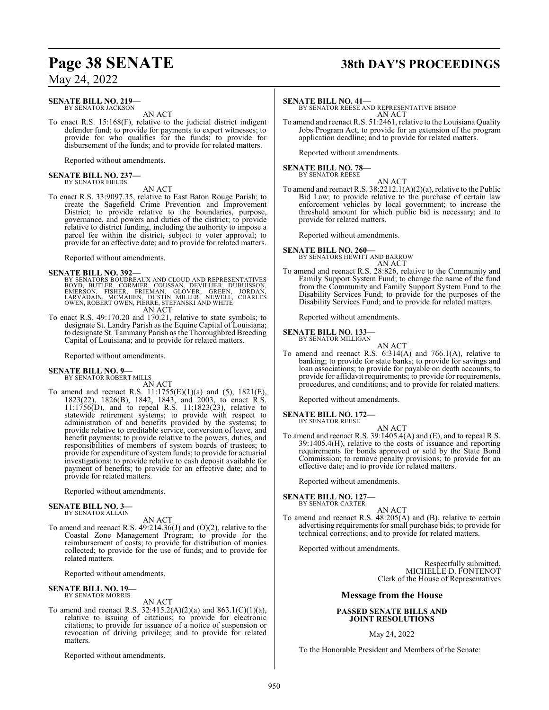#### **SENATE BILL NO. 219—** BY SENATOR JACKSON

AN ACT

To enact R.S. 15:168(F), relative to the judicial district indigent defender fund; to provide for payments to expert witnesses; to provide for who qualifies for the funds; to provide for disbursement of the funds; and to provide for related matters.

Reported without amendments.

#### **SENATE BILL NO. 237—** BY SENATOR FIELDS

AN ACT

To enact R.S. 33:9097.35, relative to East Baton Rouge Parish; to create the Sagefield Crime Prevention and Improvement District; to provide relative to the boundaries, purpose, governance, and powers and duties of the district; to provide relative to district funding, including the authority to impose a parcel fee within the district, subject to voter approval; to provide for an effective date; and to provide for related matters.

Reported without amendments.

**SENATE BILL NO. 392—**<br>BY SENATORS BOUDREAUX AND CLOUD AND REPRESENTATIVES<br>BOYD, BUTLER, CORMIER, COUSSAN, DEVILLIER, DUBUISSON,<br>EMERSON, FISHER, FRIEMAN, GLÓVER, GREEN, JORDAN,<br>LARVADAIN, MCMAHEN, DUSTIN MILLER, NEWELL, C

AN ACT

To enact R.S. 49:170.20 and 170.21, relative to state symbols; to designate St. Landry Parish as the Equine Capital of Louisiana; to designate St. Tammany Parish as the Thoroughbred Breeding Capital of Louisiana; and to provide for related matters.

Reported without amendments.

#### **SENATE BILL NO. 9—** BY SENATOR ROBERT MILLS

AN ACT

To amend and reenact R.S. 11:1755(E)(1)(a) and (5), 1821(E), 1823(22), 1826(B), 1842, 1843, and 2003, to enact R.S. 11:1756(D), and to repeal R.S. 11:1823(23), relative to statewide retirement systems; to provide with respect to administration of and benefits provided by the systems; to provide relative to creditable service, conversion of leave, and benefit payments; to provide relative to the powers, duties, and responsibilities of members of system boards of trustees; to provide for expenditure of system funds; to provide for actuarial investigations; to provide relative to cash deposit available for payment of benefits; to provide for an effective date; and to provide for related matters.

Reported without amendments.

#### **SENATE BILL NO. 3—** BY SENATOR ALLAIN

AN ACT

To amend and reenact R.S. 49:214.36(J) and (O)(2), relative to the Coastal Zone Management Program; to provide for the reimbursement of costs; to provide for distribution of monies collected; to provide for the use of funds; and to provide for related matters.

Reported without amendments.

## **SENATE BILL NO. 19—**

BY SENATOR MORRIS

AN ACT To amend and reenact R.S.  $32:415.2(A)(2)(a)$  and  $863.1(C)(1)(a)$ , relative to issuing of citations; to provide for electronic citations; to provide for issuance of a notice of suspension or revocation of driving privilege; and to provide for related matters.

Reported without amendments.

## **Page 38 SENATE 38th DAY'S PROCEEDINGS**

### **SENATE BILL NO. 41—**

BY SENATOR REESE AND REPRESENTATIVE BISHOP AN ACT

To amend and reenact R.S. 51:2461, relative to the Louisiana Quality Jobs Program Act; to provide for an extension of the program application deadline; and to provide for related matters.

Reported without amendments.

#### **SENATE BILL NO. 78—** BY SENATOR REESE

AN ACT

To amend and reenact R.S. 38:2212.1(A)(2)(a), relative to the Public Bid Law; to provide relative to the purchase of certain law enforcement vehicles by local government; to increase the threshold amount for which public bid is necessary; and to provide for related matters.

Reported without amendments.

## **SENATE BILL NO. 260—**<br>BY SENATORS HEWITT AND BARROW AN ACT

To amend and reenact R.S. 28:826, relative to the Community and Family Support System Fund; to change the name of the fund from the Community and Family Support System Fund to the Disability Services Fund; to provide for the purposes of the Disability Services Fund; and to provide for related matters.

Reported without amendments.

## **SENATE BILL NO. 133—**

BY SENATOR MILLIGAN AN ACT

To amend and reenact R.S. 6:314(A) and 766.1(A), relative to banking; to provide for state banks; to provide for savings and loan associations; to provide for payable on death accounts; to provide for affidavit requirements; to provide for requirements, procedures, and conditions; and to provide for related matters.

Reported without amendments.

**SENATE BILL NO. 172—**

BY SENATOR REESE AN ACT

To amend and reenact R.S. 39:1405.4(A) and (E), and to repeal R.S. 39:1405.4(H), relative to the costs of issuance and reporting requirements for bonds approved or sold by the State Bond Commission; to remove penalty provisions; to provide for an effective date; and to provide for related matters.

Reported without amendments.

## **SENATE BILL NO. 127—**

- BY SENATOR CARTER AN ACT
- To amend and reenact R.S. 48:205(A) and (B), relative to certain advertising requirements for small purchase bids; to provide for technical corrections; and to provide for related matters.

Reported without amendments.

Respectfully submitted, MICHELLE D. FONTENOT Clerk of the House of Representatives

## **Message from the House**

## **PASSED SENATE BILLS AND JOINT RESOLUTIONS**

May 24, 2022

To the Honorable President and Members of the Senate: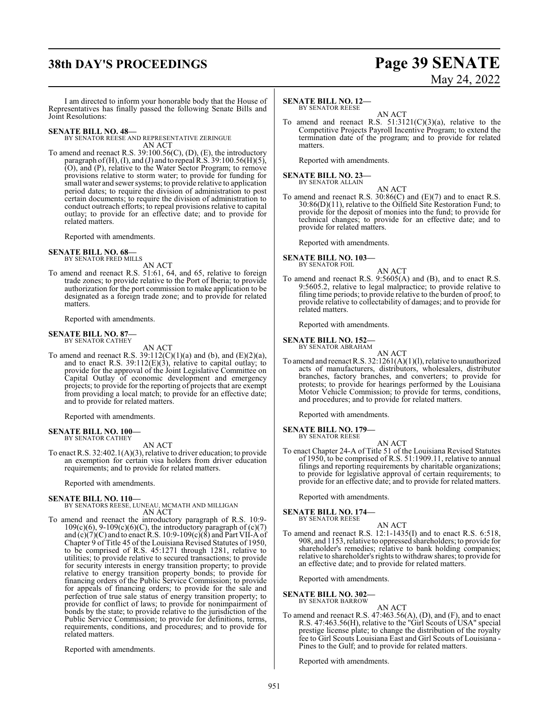## **38th DAY'S PROCEEDINGS Page 39 SENATE**

# May 24, 2022

I am directed to inform your honorable body that the House of Representatives has finally passed the following Senate Bills and Joint Resolutions:

**SENATE BILL NO. 48—** BY SENATOR REESE AND REPRESENTATIVE ZERINGUE AN ACT

To amend and reenact R.S. 39:100.56(C), (D), (E), the introductory paragraph of  $(H)$ ,  $(I)$ , and  $(J)$  and to repeal R.S. 39:100.56 $(H)(5)$ , (O), and (P), relative to the Water Sector Program; to remove provisions relative to storm water; to provide for funding for small water and sewer systems; to provide relative to application period dates; to require the division of administration to post certain documents; to require the division of administration to conduct outreach efforts; to repeal provisions relative to capital outlay; to provide for an effective date; and to provide for related matters.

Reported with amendments.

#### **SENATE BILL NO. 68—** BY SENATOR FRED MILLS

AN ACT

To amend and reenact R.S. 51:61, 64, and 65, relative to foreign trade zones; to provide relative to the Port of Iberia; to provide authorization for the port commission to make application to be designated as a foreign trade zone; and to provide for related matters.

Reported with amendments.

## **SENATE BILL NO. 87—** BY SENATOR CATHEY

AN ACT

To amend and reenact R.S.  $39:112(C)(1)(a)$  and (b), and (E)(2)(a), and to enact R.S.  $39:112(E)(3)$ , relative to capital outlay; to provide for the approval of the Joint Legislative Committee on Capital Outlay of economic development and emergency projects; to provide for the reporting of projects that are exempt from providing a local match; to provide for an effective date; and to provide for related matters.

Reported with amendments.

## **SENATE BILL NO. 100—** BY SENATOR CATHEY

AN ACT

To enact R.S. 32:402.1(A)(3), relative to driver education; to provide an exemption for certain visa holders from driver education requirements; and to provide for related matters.

Reported with amendments.

## **SENATE BILL NO. 110—**

## BY SENATORS REESE, LUNEAU, MCMATH AND MILLIGAN AN ACT

To amend and reenact the introductory paragraph of R.S. 10:9-  $109(c)(6)$ ,  $9-109(c)(6)(C)$ , the introductory paragraph of  $(c)(7)$ and  $(c)(7)(C)$  and to enact R.S. 10:9-109(c)(8) and Part VII-A of Chapter 9 of Title 45 of the Louisiana Revised Statutes of 1950, to be comprised of R.S. 45:1271 through 1281, relative to utilities; to provide relative to secured transactions; to provide for security interests in energy transition property; to provide relative to energy transition property bonds; to provide for financing orders of the Public Service Commission; to provide for appeals of financing orders; to provide for the sale and perfection of true sale status of energy transition property; to provide for conflict of laws; to provide for nonimpairment of bonds by the state; to provide relative to the jurisdiction of the Public Service Commission; to provide for definitions, terms, requirements, conditions, and procedures; and to provide for related matters.

Reported with amendments.

## **SENATE BILL NO. 12—**

BY SENATOR REESE

AN ACT To amend and reenact R.S.  $51:3121(C)(3)(a)$ , relative to the Competitive Projects Payroll Incentive Program; to extend the termination date of the program; and to provide for related matters.

Reported with amendments.

**SENATE BILL NO. 23—** BY SENATOR ALLAIN

AN ACT

To amend and reenact R.S. 30:86(C) and (E)(7) and to enact R.S. 30:86(D)(11), relative to the Oilfield Site Restoration Fund; to provide for the deposit of monies into the fund; to provide for technical changes; to provide for an effective date; and to provide for related matters.

Reported with amendments.

#### **SENATE BILL NO. 103—** BY SENATOR FOIL

- AN ACT
- To amend and reenact R.S. 9:5605(A) and (B), and to enact R.S. 9:5605.2, relative to legal malpractice; to provide relative to filing time periods; to provide relative to the burden of proof; to provide relative to collectability of damages; and to provide for related matters.

Reported with amendments.

## **SENATE BILL NO. 152—**

BY SENATOR ABRAHAM AN ACT

To amend and reenact R.S. 32:1261(A)(1)(l), relative to unauthorized acts of manufacturers, distributors, wholesalers, distributor branches, factory branches, and converters; to provide for protests; to provide for hearings performed by the Louisiana Motor Vehicle Commission; to provide for terms, conditions, and procedures; and to provide for related matters.

Reported with amendments.

**SENATE BILL NO. 179—**

BY SENATOR REESE AN ACT

To enact Chapter 24-A of Title 51 of the Louisiana Revised Statutes of 1950, to be comprised of R.S. 51:1909.11, relative to annual filings and reporting requirements by charitable organizations; to provide for legislative approval of certain requirements; to provide for an effective date; and to provide for related matters.

Reported with amendments.

## **SENATE BILL NO. 174—** BY SENATOR REESE

AN ACT To amend and reenact R.S. 12:1-1435(I) and to enact R.S. 6:518, 908, and 1153, relative to oppressed shareholders; to provide for shareholder's remedies; relative to bank holding companies; relative to shareholder's rights to withdrawshares; to provide for an effective date; and to provide for related matters.

Reported with amendments.

**SENATE BILL NO. 302—**

BY SENATOR BARROW

AN ACT To amend and reenact R.S. 47:463.56(A), (D), and (F), and to enact R.S. 47:463.56(H), relative to the "Girl Scouts of USA" special prestige license plate; to change the distribution of the royalty fee to Girl Scouts Louisiana East and Girl Scouts of Louisiana - Pines to the Gulf; and to provide for related matters.

Reported with amendments.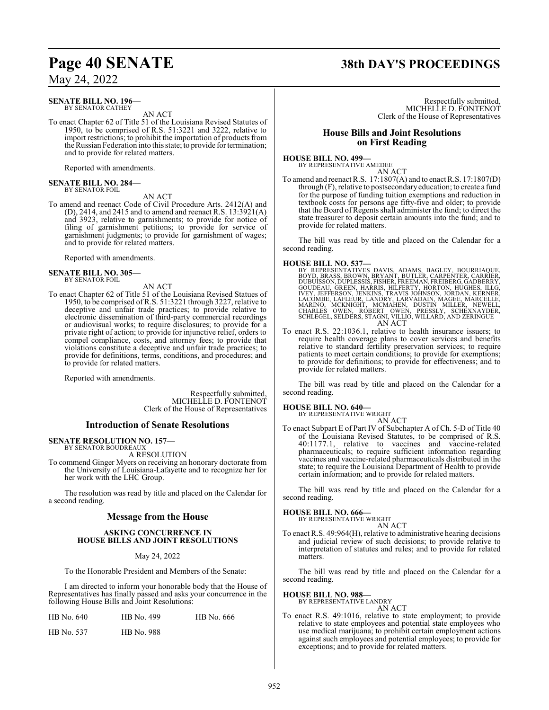#### **SENATE BILL NO. 196—** BY SENATOR CATHEY

AN ACT

To enact Chapter 62 of Title 51 of the Louisiana Revised Statutes of 1950, to be comprised of R.S. 51:3221 and 3222, relative to import restrictions; to prohibit the importation of products from the Russian Federation into this state; to provide for termination; and to provide for related matters.

Reported with amendments.

#### **SENATE BILL NO. 284—** BY SENATOR FOIL

AN ACT

To amend and reenact Code of Civil Procedure Arts. 2412(A) and (D), 2414, and 2415 and to amend and reenact R.S. 13:3921(A) and 3923, relative to garnishments; to provide for notice of filing of garnishment petitions; to provide for service of garnishment judgments; to provide for garnishment of wages; and to provide for related matters.

Reported with amendments.

## **SENATE BILL NO. 305—** BY SENATOR FOIL

AN ACT

To enact Chapter 62 of Title 51 of the Louisiana Revised Statues of 1950, to be comprised of R.S. 51:3221 through 3227, relative to deceptive and unfair trade practices; to provide relative to electronic dissemination of third-party commercial recordings or audiovisual works; to require disclosures; to provide for a private right of action; to provide for injunctive relief, orders to compel compliance, costs, and attorney fees; to provide that violations constitute a deceptive and unfair trade practices; to provide for definitions, terms, conditions, and procedures; and to provide for related matters.

Reported with amendments.

Respectfully submitted, MICHELLE D. FONTENOT Clerk of the House of Representatives

## **Introduction of Senate Resolutions**

#### **SENATE RESOLUTION NO. 157—** BY SENATOR BOUDREAU

A RESOLUTION

To commend Ginger Myers on receiving an honorary doctorate from the University of Louisiana-Lafayette and to recognize her for her work with the LHC Group.

The resolution was read by title and placed on the Calendar for a second reading.

## **Message from the House**

## **ASKING CONCURRENCE IN HOUSE BILLS AND JOINT RESOLUTIONS**

May 24, 2022

To the Honorable President and Members of the Senate:

I am directed to inform your honorable body that the House of Representatives has finally passed and asks your concurrence in the following House Bills and Joint Resolutions:

| HB No. 640 | HB No. 499        | HB No. 666 |
|------------|-------------------|------------|
| HB No. 537 | <b>HB</b> No. 988 |            |

## **Page 40 SENATE 38th DAY'S PROCEEDINGS**

Respectfully submitted, MICHELLE D. FONTENOT Clerk of the House of Representatives

## **House Bills and Joint Resolutions on First Reading**

## **HOUSE BILL NO. 499—**

BY REPRESENTATIVE AMEDEE AN ACT

To amend and reenact R.S. 17:1807(A) and to enact R.S. 17:1807(D) through (F), relative to postsecondaryeducation; to create a fund for the purpose of funding tuition exemptions and reduction in textbook costs for persons age fifty-five and older; to provide that the Board of Regents shall administer the fund; to direct the state treasurer to deposit certain amounts into the fund; and to provide for related matters.

The bill was read by title and placed on the Calendar for a second reading.

- HOUSE BILL NO. 537—<br>BY REPRESENTATIVES DAVIS, ADAMS, BAGLEY, BOURRIAQUE,<br>BOYD, BRASS, BROWN, BRYANT, BUTLER, CARPENTER, CARRIER,<br>DUBUISSON, DUPLESSIS, FISHER, FREEMAN, FREIBERG, GADBERRY,<br>GOUDEAU, GREEN, HARRIS, HILFERTY, AN ACT
- To enact R.S. 22:1036.1, relative to health insurance issuers; to require health coverage plans to cover services and benefits relative to standard fertility preservation services; to require patients to meet certain conditions; to provide for exemptions; to provide for definitions; to provide for effectiveness; and to provide for related matters.

The bill was read by title and placed on the Calendar for a second reading.

## **HOUSE BILL NO. 640—**

BY REPRESENTATIVE WRIGHT AN ACT

To enact Subpart E of Part IV of Subchapter A of Ch. 5-D of Title 40 of the Louisiana Revised Statutes, to be comprised of R.S. 40:1177.1, relative to vaccines and vaccine-related pharmaceuticals; to require sufficient information regarding vaccines and vaccine-related pharmaceuticals distributed in the state; to require the Louisiana Department of Health to provide certain information; and to provide for related matters.

The bill was read by title and placed on the Calendar for a second reading.

## **HOUSE BILL NO. 666—** BY REPRESENTATIVE WRIGHT

AN ACT

To enact R.S. 49:964(H), relative to administrative hearing decisions and judicial review of such decisions; to provide relative to interpretation of statutes and rules; and to provide for related matters.

The bill was read by title and placed on the Calendar for a second reading.

## **HOUSE BILL NO. 988—**

BY REPRESENTATIVE LANDRY AN ACT

To enact R.S. 49:1016, relative to state employment; to provide relative to state employees and potential state employees who use medical marijuana; to prohibit certain employment actions against such employees and potential employees; to provide for exceptions; and to provide for related matters.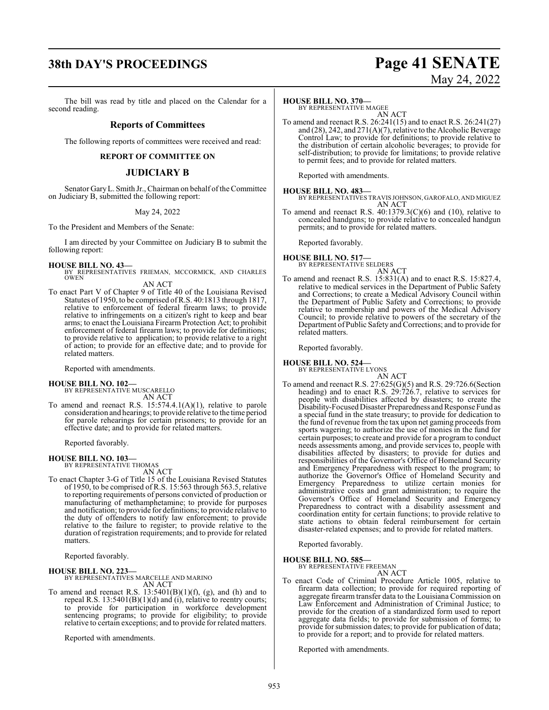## **38th DAY'S PROCEEDINGS Page 41 SENATE**

The bill was read by title and placed on the Calendar for a second reading.

## **Reports of Committees**

The following reports of committees were received and read:

## **REPORT OF COMMITTEE ON**

## **JUDICIARY B**

Senator Gary L. Smith Jr., Chairman on behalf of the Committee on Judiciary B, submitted the following report:

May 24, 2022

To the President and Members of the Senate:

I am directed by your Committee on Judiciary B to submit the following report:

**HOUSE BILL NO. 43—** BY REPRESENTATIVES FRIEMAN, MCCORMICK, AND CHARLES OWEN AN ACT

To enact Part V of Chapter 9 of Title 40 of the Louisiana Revised Statutes of 1950, to be comprised ofR.S. 40:1813 through 1817, relative to enforcement of federal firearm laws; to provide relative to infringements on a citizen's right to keep and bear arms; to enact the Louisiana Firearm Protection Act; to prohibit enforcement of federal firearm laws; to provide for definitions; to provide relative to application; to provide relative to a right of action; to provide for an effective date; and to provide for related matters.

Reported with amendments.

## **HOUSE BILL NO. 102—** BY REPRESENTATIVE MUSCARELLO

AN ACT

To amend and reenact R.S. 15:574.4.1(A)(1), relative to parole consideration and hearings; to provide relative to the time period for parole rehearings for certain prisoners; to provide for an effective date; and to provide for related matters.

Reported favorably.

## **HOUSE BILL NO. 103—** BY REPRESENTATIVE THOMAS

AN ACT

To enact Chapter 3-G of Title 15 of the Louisiana Revised Statutes of 1950, to be comprised of R.S. 15:563 through 563.5, relative to reporting requirements of persons convicted of production or manufacturing of methamphetamine; to provide for purposes and notification; to provide for definitions; to provide relative to the duty of offenders to notify law enforcement; to provide relative to the failure to register; to provide relative to the duration of registration requirements; and to provide for related matters.

Reported favorably.

## **HOUSE BILL NO. 223—**

BY REPRESENTATIVES MARCELLE AND MARINO AN ACT

To amend and reenact R.S.  $13:5401(B)(1)(f)$ , (g), and (h) and to repeal R.S. 13:5401(B)(1)(d) and (i), relative to reentry courts; to provide for participation in workforce development sentencing programs; to provide for eligibility; to provide relative to certain exceptions; and to provide for related matters.

Reported with amendments.

# May 24, 2022

## **HOUSE BILL NO. 370—**

BY REPRESENTATIVE MAGEE AN ACT

To amend and reenact R.S. 26:241(15) and to enact R.S. 26:241(27) and (28), 242, and 271(A)(7), relative to the Alcoholic Beverage Control Law; to provide for definitions; to provide relative to the distribution of certain alcoholic beverages; to provide for self-distribution; to provide for limitations; to provide relative to permit fees; and to provide for related matters.

Reported with amendments.

**HOUSE BILL NO. 483—** BY REPRESENTATIVES TRAVIS JOHNSON, GAROFALO, AND MIGUEZ AN ACT

To amend and reenact R.S.  $40:1379.3(C)(6)$  and  $(10)$ , relative to concealed handguns; to provide relative to concealed handgun permits; and to provide for related matters.

Reported favorably.

#### **HOUSE BILL NO. 517—** BY REPRESENTATIVE SELDERS

- AN ACT
- To amend and reenact R.S. 15:831(A) and to enact R.S. 15:827.4, relative to medical services in the Department of Public Safety and Corrections; to create a Medical Advisory Council within the Department of Public Safety and Corrections; to provide relative to membership and powers of the Medical Advisory Council; to provide relative to powers of the secretary of the Department of Public Safety and Corrections; and to provide for related matters.

Reported favorably.

## **HOUSE BILL NO. 524—** BY REPRESENTATIVE LYONS

AN ACT

To amend and reenact R.S. 27:625(G)(5) and R.S. 29:726.6(Section heading) and to enact R.S. 29:726.7, relative to services for people with disabilities affected by disasters; to create the Disability-Focused Disaster Preparedness and Response Fund as a special fund in the state treasury; to provide for dedication to the fund of revenue fromthe tax upon net gaming proceeds from sports wagering; to authorize the use of monies in the fund for certain purposes; to create and provide for a program to conduct needs assessments among, and provide services to, people with disabilities affected by disasters; to provide for duties and responsibilities of the Governor's Office of Homeland Security and Emergency Preparedness with respect to the program; to authorize the Governor's Office of Homeland Security and Emergency Preparedness to utilize certain monies for administrative costs and grant administration; to require the Governor's Office of Homeland Security and Emergency Preparedness to contract with a disability assessment and coordination entity for certain functions; to provide relative to state actions to obtain federal reimbursement for certain disaster-related expenses; and to provide for related matters.

Reported favorably.

## **HOUSE BILL NO. 585—**

BY REPRESENTATIVE FREEMAN AN ACT

To enact Code of Criminal Procedure Article 1005, relative to firearm data collection; to provide for required reporting of aggregate firearm transfer data to the Louisiana Commission on Law Enforcement and Administration of Criminal Justice; to provide for the creation of a standardized form used to report aggregate data fields; to provide for submission of forms; to provide for submission dates; to provide for publication of data; to provide for a report; and to provide for related matters.

Reported with amendments.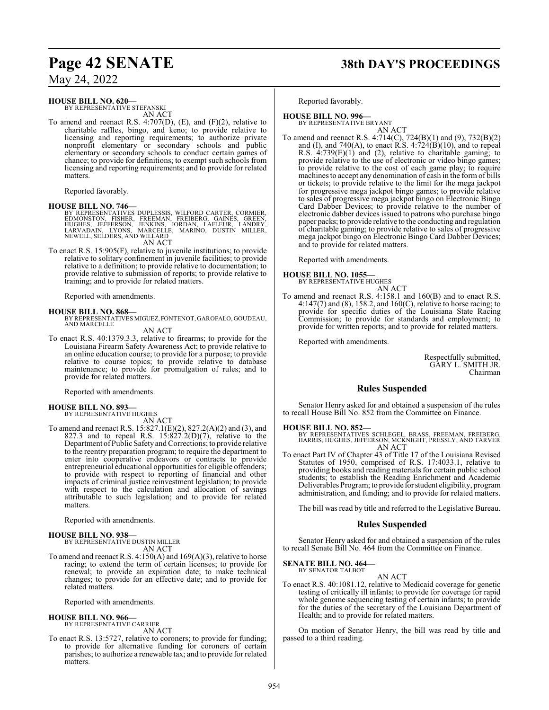## **HOUSE BILL NO. 620—**

BY REPRESENTATIVE STEFANSKI AN ACT

To amend and reenact R.S. 4:707(D), (E), and (F)(2), relative to charitable raffles, bingo, and keno; to provide relative to licensing and reporting requirements; to authorize private nonprofit elementary or secondary schools and public elementary or secondary schools to conduct certain games of chance; to provide for definitions; to exempt such schools from licensing and reporting requirements; and to provide for related matters.

Reported favorably.

## **HOUSE BILL NO. 746—**

BY REPRESENTATIVES DUPLESSIS, WILFORD CARTER, CORMIER,<br>EDMONSTON, FISHER, FREEMAN, FREIBERG, GAINES, GREEN,<br>HUGHES, JEFFERSON, JENKINS, JORDAN, LAFLEUR, LANDRY,<br>LARVADAIN, LYONS, MARCELLE, MARINO, DUSTIN MILLER,<br>NEWELL, SE AN ACT

To enact R.S. 15:905(F), relative to juvenile institutions; to provide relative to solitary confinement in juvenile facilities; to provide relative to a definition; to provide relative to documentation; to provide relative to submission of reports; to provide relative to training; and to provide for related matters.

Reported with amendments.

### **HOUSE BILL NO. 868—**

BY REPRESENTATIVES MIGUEZ, FONTENOT, GAROFALO, GOUDEAU, AND MARCELLE

AN ACT

To enact R.S. 40:1379.3.3, relative to firearms; to provide for the Louisiana Firearm Safety Awareness Act; to provide relative to an online education course; to provide for a purpose; to provide relative to course topics; to provide relative to database maintenance; to provide for promulgation of rules; and to provide for related matters.

Reported with amendments.

## **HOUSE BILL NO. 893—**

BY REPRESENTATIVE HUGHES AN ACT

To amend and reenact R.S. 15:827.1(E)(2), 827.2(A)(2) and (3), and 827.3 and to repeal R.S.  $15:827.2(D)(7)$ , relative to the Department of Public Safety and Corrections; to provide relative to the reentry preparation program; to require the department to enter into cooperative endeavors or contracts to provide entrepreneurial educational opportunities for eligible offenders; to provide with respect to reporting of financial and other impacts of criminal justice reinvestment legislation; to provide with respect to the calculation and allocation of savings attributable to such legislation; and to provide for related matters.

Reported with amendments.

## **HOUSE BILL NO. 938—**

BY REPRESENTATIVE DUSTIN MILLER AN ACT

To amend and reenact R.S. 4:150(A) and 169(A)(3), relative to horse racing; to extend the term of certain licenses; to provide for renewal; to provide an expiration date; to make technical changes; to provide for an effective date; and to provide for related matters.

Reported with amendments.

## **HOUSE BILL NO. 966—**

BY REPRESENTATIVE CARRIER AN ACT

To enact R.S. 13:5727, relative to coroners; to provide for funding; to provide for alternative funding for coroners of certain parishes; to authorize a renewable tax; and to provide for related matters.

## **Page 42 SENATE 38th DAY'S PROCEEDINGS**

Reported favorably.

### **HOUSE BILL NO. 996—** BY REPRESENTATIVE BRYANT

AN ACT

To amend and reenact R.S. 4:714(C), 724(B)(1) and (9), 732(B)(2) and (I), and 740(A), to enact R.S.  $4:724(B)(10)$ , and to repeal R.S. 4:739(E)(1) and (2), relative to charitable gaming; to provide relative to the use of electronic or video bingo games; to provide relative to the cost of each game play; to require machines to accept any denomination of cash in the form of bills or tickets; to provide relative to the limit for the mega jackpot for progressive mega jackpot bingo games; to provide relative to sales of progressive mega jackpot bingo on Electronic Bingo Card Dabber Devices; to provide relative to the number of electronic dabber devices issued to patrons who purchase bingo paper packs; to provide relative to the conducting and regulation of charitable gaming; to provide relative to sales of progressive mega jackpot bingo on Electronic Bingo Card Dabber Devices; and to provide for related matters.

Reported with amendments.

## **HOUSE BILL NO. 1055**

BY REPRESENTATIVE HUGHES AN ACT

To amend and reenact R.S. 4:158.1 and 160(B) and to enact R.S. 4:147(7) and (8), 158.2, and 160(C), relative to horse racing; to provide for specific duties of the Louisiana State Racing Commission; to provide for standards and employment; to provide for written reports; and to provide for related matters.

Reported with amendments.

Respectfully submitted, GARY L. SMITH JR. Chairman

## **Rules Suspended**

Senator Henry asked for and obtained a suspension of the rules to recall House Bill No. 852 from the Committee on Finance.

## **HOUSE BILL NO. 852—**

BY REPRESENTATIVES SCHLEGEL, BRASS, FREEMAN, FREIBERG, HARRIS, HUGHES, JEFFERSON, MCKNIGHT, PRESSLY, AND TARVER AN ACT

To enact Part IV of Chapter 43 of Title 17 of the Louisiana Revised Statutes of 1950, comprised of R.S. 17:4033.1, relative to providing books and reading materials for certain public school students; to establish the Reading Enrichment and Academic Deliverables Program; to provide forstudent eligibility, program administration, and funding; and to provide for related matters.

The bill was read by title and referred to the Legislative Bureau.

## **Rules Suspended**

Senator Henry asked for and obtained a suspension of the rules to recall Senate Bill No. 464 from the Committee on Finance.

**SENATE BILL NO. 464—** BY SENATOR TALBOT

AN ACT

To enact R.S. 40:1081.12, relative to Medicaid coverage for genetic testing of critically ill infants; to provide for coverage for rapid whole genome sequencing testing of certain infants; to provide for the duties of the secretary of the Louisiana Department of Health; and to provide for related matters.

On motion of Senator Henry, the bill was read by title and passed to a third reading.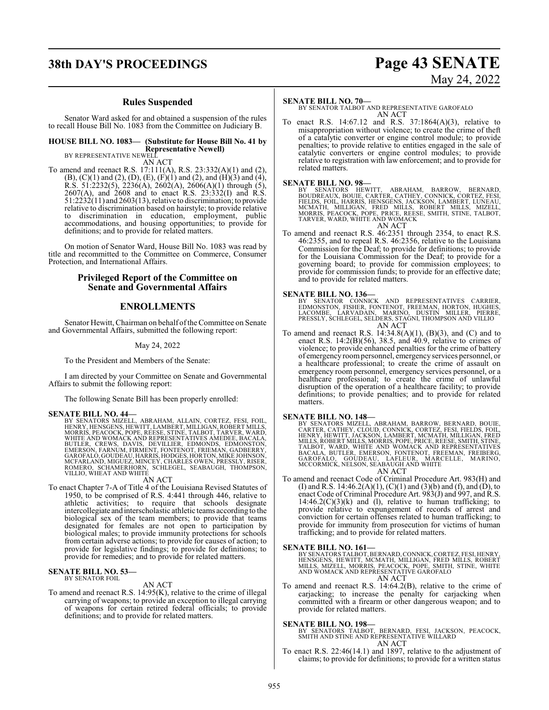## **Rules Suspended**

Senator Ward asked for and obtained a suspension of the rules to recall House Bill No. 1083 from the Committee on Judiciary B.

**HOUSE BILL NO. 1083— (Substitute for House Bill No. 41 by Representative Newell)** BY REPRESENTATIVE NEWELL

AN ACT

To amend and reenact R.S. 17:111(A), R.S. 23:332(A)(1) and (2),  $(B)$ ,  $(C)(1)$  and  $(2)$ ,  $(D)$ ,  $(E)$ ,  $(F)(1)$  and  $(2)$ , and  $(H)(3)$  and  $(4)$ , R.S. 51:2232(5), 2236(A), 2602(A), 2606(A)(1) through (5), 2607(A), and 2608 and to enact R.S. 23:332(I) and R.S.  $51:2232(11)$  and  $2603(13)$ , relative to discrimination; to provide relative to discrimination based on hairstyle; to provide relative to discrimination in education, employment, public accommodations, and housing opportunities; to provide for definitions; and to provide for related matters.

On motion of Senator Ward, House Bill No. 1083 was read by title and recommitted to the Committee on Commerce, Consumer Protection, and International Affairs.

## **Privileged Report of the Committee on Senate and Governmental Affairs**

## **ENROLLMENTS**

Senator Hewitt, Chairman on behalf of the Committee on Senate and Governmental Affairs, submitted the following report:

## May 24, 2022

To the President and Members of the Senate:

I am directed by your Committee on Senate and Governmental Affairs to submit the following report:

The following Senate Bill has been properly enrolled:

## **SENATE BILL NO. 44—**

BY SENATORS MIZELL, ABRAHAM, ALLAIN, CORTEZ, FESI, FOIL,<br>HENRY, HENSGENS, HEWITT,LAMBERT,MILLIGAN,ROBERT MILLS,<br>MORRIS, PEACOCK,POPE,RÉESE, STINE, TALBOT,TARVER,WARD,<br>WHITE AND WOMACK AND REPRESENTATIVES AMEDEE, BACALA, BUTLER, CREWS, DAVIS, DEVILLIER, EDMONDS, EDMONSTON,<br>EMERSON, FARNÚM, FIRMENT, FONTENOT, FRIEMÁN, GADBERRY,<br>GAROFALO,GOUDEAU,HARRIS,HODGES,HORTON,MIKEJOHNSON,<br>MCFARLAND,MIGUEZ,MINCEY,CHARLES OWEN,PRESSLY,RISER,<br>ROMERO, SCH

### AN ACT

To enact Chapter 7-A of Title 4 of the Louisiana Revised Statutes of 1950, to be comprised of R.S. 4:441 through 446, relative to athletic activities; to require that schools designate intercollegiate and interscholastic athletic teams according to the biological sex of the team members; to provide that teams designated for females are not open to participation by biological males; to provide immunity protections for schools from certain adverse actions; to provide for causes of action; to provide for legislative findings; to provide for definitions; to provide for remedies; and to provide for related matters.

## **SENATE BILL NO. 53—**<br>BY SENATOR FOIL

AN ACT

To amend and reenact R.S. 14:95(K), relative to the crime of illegal carrying of weapons; to provide an exception to illegal carrying of weapons for certain retired federal officials; to provide definitions; and to provide for related matters.

## **SENATE BILL NO. 70—**

BY SENATOR TALBOT AND REPRESENTATIVE GAROFALO AN ACT

To enact R.S. 14:67.12 and R.S. 37:1864(A)(3), relative to misappropriation without violence; to create the crime of theft of a catalytic converter or engine control module; to provide penalties; to provide relative to entities engaged in the sale of catalytic converters or engine control modules; to provide relative to registration with law enforcement; and to provide for related matters.

**SENATE BILL NO. 98—**<br>BY SENATORS HEWITT, ABRAHAM, BARROW, BERNARD,<br>BOUDREAUX, BOUIE, CARTER, CATHEY, CONNICK, CORTEZ, FESI,<br>FIELDS, FOIL, HARRIS, HENSGENS, JACKSON, LAMBERT, LUNEAU, MCMATH, MILLIGAN, FRED MILLS, ROBERT MILLS, MIZELL,<br>MORRIS, PEACOCK, POPE, PRICE, REESE, SMITH, STINE, TALBOT,<br>TARVER,WARD,WHITE AND WOMACK<br>AN ACT

To amend and reenact R.S. 46:2351 through 2354, to enact R.S. 46:2355, and to repeal R.S. 46:2356, relative to the Louisiana Commission for the Deaf; to provide for definitions; to provide

for the Louisiana Commission for the Deaf; to provide for a governing board; to provide for commission employees; to provide for commission funds; to provide for an effective date; and to provide for related matters.

**SENATE BILL NO. 136—**<br>BY SENATOR CONNICK AND REPRESENTATIVES CARRIER,<br>EDMONSTON, FISHER, FONTENOT, FREEMAN, HORTON, HUGHES,<br>LACOMBE, LARVADAIN, MARINO, DUSTIN MILLER, PIERRE,<br>PRESSLY, SCHLEGEL, SELDERS, STAGNI, THOMPSON A AN ACT

To amend and reenact R.S.  $14:34.8(A)(1)$ ,  $(B)(3)$ , and  $(C)$  and to enact R.S.  $14:2(B)(56)$ ,  $38.5$ , and  $40.9$ , relative to crimes of violence; to provide enhanced penalties for the crime of battery of emergency roompersonnel, emergency services personnel, or a healthcare professional; to create the crime of assault on emergency room personnel, emergency services personnel, or a healthcare professional; to create the crime of unlawful disruption of the operation of a healthcare facility; to provide definitions; to provide penalties; and to provide for related matters.

**SENATE BILL NO. 148—**<br>BY SENATORS MIZELL, ABRAHAM, BARROW, BERNARD, BOUIE,<br>CARTER, CATHEY, CLOUD, CONNICK, CORTEZ, FESI, FIELDS, FOIL,<br>HENRY, HEWITT, JACKSON, LAMBERT, MCMATH, MILLIGAN, FRED<br>MILLS, ROBERT MILLS, MORRIS, P AN ACT

To amend and reenact Code of Criminal Procedure Art. 983(H) and (I) and R.S.  $14:46.2(A)(1)$ ,  $(C)(1)$  and  $(3)(b)$  and  $(f)$ , and  $(D)$ , to enact Code of Criminal Procedure Art. 983(J) and 997, and R.S.  $14:46.2(C)(3)(k)$  and (l), relative to human trafficking; to provide relative to expungement of records of arrest and conviction for certain offenses related to human trafficking; to provide for immunity from prosecution for victims of human trafficking; and to provide for related matters.

### **SENATE BILL NO. 161—**

BY SENATORS TALBOT, BERNARD, CONNICK, CORTEZ, FESI, HENRY,<br>HENSGENS, HEWITT, MCMATH, MILLIGAN, FRED MILLS, ROBERT<br>MILLS, MIZELL, MORRIS, PEACOCK, POPE, SMITH, STINE, WHITE<br>AND WOMACK AND REPRESENTATIVE GAROFALO AN ACT

To amend and reenact R.S. 14:64.2(B), relative to the crime of carjacking; to increase the penalty for carjacking when committed with a firearm or other dangerous weapon; and to provide for related matters.

### **SENATE BILL NO. 198—**

- BY SENATORS TALBOT, BERNARD, FESI, JACKSON, PEACOCK, SMITH AND STINE AND REPRESENTATIVE WILLARD AN ACT
- To enact R.S. 22:46(14.1) and 1897, relative to the adjustment of claims; to provide for definitions; to provide for a written status

## **38th DAY'S PROCEEDINGS Page 43 SENATE** May 24, 2022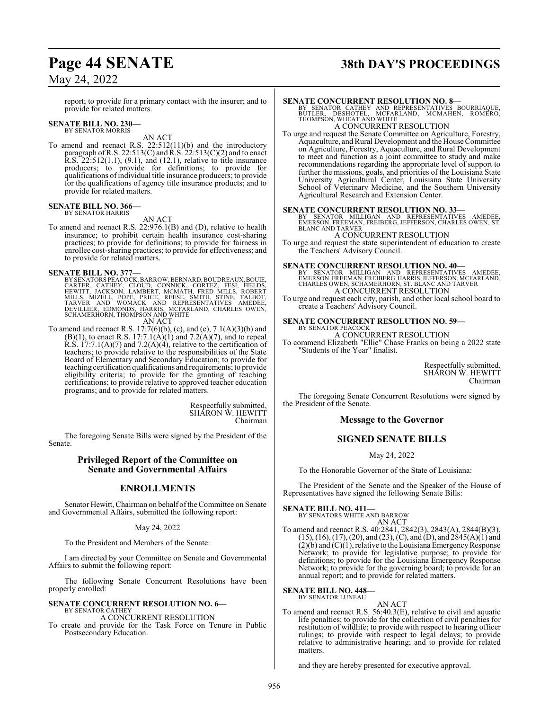report; to provide for a primary contact with the insurer; and to provide for related matters.

#### **SENATE BILL NO. 230—** BY SENATOR MORRIS

AN ACT

To amend and reenact R.S. 22:512(11)(b) and the introductory paragraph of R.S. 22:513(C) and R.S. 22:513(C)(2) and to enact R.S. 22:512(1.1), (9.1), and (12.1), relative to title insurance producers; to provide for definitions; to provide for qualifications ofindividual title insurance producers; to provide for the qualifications of agency title insurance products; and to provide for related matters.

#### **SENATE BILL NO. 366—** BY SENATOR HARRIS

AN ACT

To amend and reenact R.S. 22:976.1(B) and (D), relative to health insurance; to prohibit certain health insurance cost-sharing practices; to provide for definitions; to provide for fairness in enrollee cost-sharing practices; to provide for effectiveness; and to provide for related matters.

**SENATE BILL NO. 377—**<br>BY SENATORS PEACOCK, BARROW, BERNARD, BOUDREAUX, BOUJE<br>CARTER, CATHEY, CLOUD, CONNICK, CORTEZ, FESI, FIELDS,<br>HEWITT, JACKSON, LAMBERT, MCMATH, FRED MILLS, ROBERT<br>MILLS, MIZELL, POPE, PRICE, REESE, SM AN ACT

To amend and reenact R.S. 17:7(6)(b), (c), and (e), 7.1(A)(3)(b) and (B)(1), to enact R.S. 17:7.1( $\widehat{A}$ )(1) and 7.2( $\widehat{A}$ )(7), and to repeal R.S.  $17:7.1(A)(7)$  and  $7.2(A)(4)$ , relative to the certification of teachers; to provide relative to the responsibilities of the State Board of Elementary and Secondary Education; to provide for teaching certification qualifications and requirements; to provide eligibility criteria; to provide for the granting of teaching certifications; to provide relative to approved teacher education programs; and to provide for related matters.

> Respectfully submitted, SHARON W. HEWITT Chairman

The foregoing Senate Bills were signed by the President of the Senate.

## **Privileged Report of the Committee on Senate and Governmental Affairs**

## **ENROLLMENTS**

Senator Hewitt, Chairman on behalf of the Committee on Senate and Governmental Affairs, submitted the following report:

## May 24, 2022

To the President and Members of the Senate:

I am directed by your Committee on Senate and Governmental Affairs to submit the following report:

The following Senate Concurrent Resolutions have been properly enrolled:

#### **SENATE CONCURRENT RESOLUTION NO. 6—** BY SENATOR CATHEY

A CONCURRENT RESOLUTION

To create and provide for the Task Force on Tenure in Public Postsecondary Education.

## **Page 44 SENATE 38th DAY'S PROCEEDINGS**

### **SENATE CONCURRENT RESOLUTION NO. 8—**

BY SENATOR CATHEY AND REPRESENTATIVES BOURRIAQUE,<br>BUTLER, DESHOTEL, MCFARLAND, MCMAHEN, ROMERO,<br>THOMPSON,WHEATANDWHITE A CONCURRENT RESOLUTION

To urge and request the Senate Committee on Agriculture, Forestry, Aquaculture, and Rural Development and the House Committee on Agriculture, Forestry, Aquaculture, and Rural Development to meet and function as a joint committee to study and make recommendations regarding the appropriate level of support to further the missions, goals, and priorities of the Louisiana State University Agricultural Center, Louisiana State University School of Veterinary Medicine, and the Southern University Agricultural Research and Extension Center.

## **SENATE CONCURRENT RESOLUTION NO. 33—**

BY SENATOR MILLIGAN AND REPRESENTATIVES AMEDEE,<br>EMERSON, FREEMAN, FREIBERG, JEFFERSON, CHARLES OWEN, ST.<br>BLANC AND TARVER

A CONCURRENT RESOLUTION

To urge and request the state superintendent of education to create the Teachers' Advisory Council.

**SENATE CONCURRENT RESOLUTION NO. 40—**<br>BY SENATOR MILLIGAN AND REPRESENTATIVES AMEDEE,<br>EMERSON, FREEMAN, FREIBERG, HARRIS, JEFFERSON, MCFARLAND,<br>CHARLES OWEN, SCHAMERHORN, ST. BLANC AND TARVER A CONCURRENT RESOLUTION

To urge and request each city, parish, and other local school board to create a Teachers' Advisory Council.

## **SENATE CONCURRENT RESOLUTION NO. 59—**

BY SENATOR PEACOCK A CONCURRENT RESOLUTION To commend Elizabeth "Ellie" Chase Franks on being a 2022 state "Students of the Year" finalist.

> Respectfully submitted, SHARON W. HEWITT Chairman

The foregoing Senate Concurrent Resolutions were signed by the President of the Senate.

## **Message to the Governor**

## **SIGNED SENATE BILLS**

May 24, 2022

To the Honorable Governor of the State of Louisiana:

The President of the Senate and the Speaker of the House of Representatives have signed the following Senate Bills:

## **SENATE BILL NO. 411—**

BY SENATORS WHITE AND BARROW

AN ACT To amend and reenact R.S. 40:2841, 2842(3), 2843(A), 2844(B)(3), (15), (16), (17), (20), and (23), (C), and (D), and 2845(A)(1) and  $(2)(b)$  and  $(C)(1)$ , relative to the Louisiana Emergency Response Network; to provide for legislative purpose; to provide for definitions; to provide for the Louisiana Emergency Response Network; to provide for the governing board; to provide for an annual report; and to provide for related matters.

## **SENATE BILL NO. 448—**

BY SENATOR LUNEAU

AN ACT To amend and reenact R.S. 56:40.3(E), relative to civil and aquatic life penalties; to provide for the collection of civil penalties for restitution of wildlife; to provide with respect to hearing officer rulings; to provide with respect to legal delays; to provide relative to administrative hearing; and to provide for related matters.

and they are hereby presented for executive approval.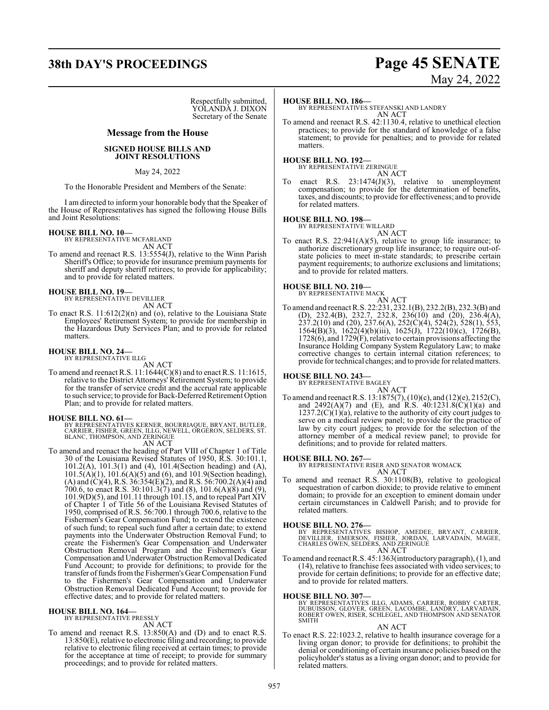## **38th DAY'S PROCEEDINGS Page 45 SENATE** May 24, 2022

Respectfully submitted, YOLANDA J. DIXON Secretary of the Senate

## **Message from the House**

## **SIGNED HOUSE BILLS AND JOINT RESOLUTIONS**

## May 24, 2022

To the Honorable President and Members of the Senate:

I am directed to inform your honorable body that the Speaker of the House of Representatives has signed the following House Bills and Joint Resolutions:

## **HOUSE BILL NO. 10—**

BY REPRESENTATIVE MCFARLAND AN ACT

To amend and reenact R.S. 13:5554(J), relative to the Winn Parish Sheriff's Office; to provide for insurance premium payments for sheriff and deputy sheriff retirees; to provide for applicability; and to provide for related matters.

## **HOUSE BILL NO. 19—** BY REPRESENTATIVE DEVILLIER

AN ACT

To enact R.S. 11:612(2)(n) and (o), relative to the Louisiana State Employees' Retirement System; to provide for membership in the Hazardous Duty Services Plan; and to provide for related matters.

## **HOUSE BILL NO. 24—** BY REPRESENTATIVE ILLG

AN ACT

To amend and reenact R.S. 11:1644(C)(8) and to enact R.S. 11:1615, relative to the District Attorneys' Retirement System; to provide for the transfer of service credit and the accrual rate applicable to such service; to provide for Back-Deferred Retirement Option Plan; and to provide for related matters.

## **HOUSE BILL NO. 61—**

BY REPRESENTATIVES KERNER, BOURRIAQUE, BRYANT, BUTLER,<br>CARRIER, FISHER, GREEN, ILLG, NEWELL, ORGERON, SELDERS, ST.<br>BLANC, THOMPSON, AND ZERINGUE

AN ACT

To amend and reenact the heading of Part VIII of Chapter 1 of Title 30 of the Louisiana Revised Statutes of 1950, R.S. 30:101.1, 101.2(A), 101.3(1) and (4), 101.4(Section heading) and (A), 101.5(A)(1), 101.6(A)(5) and (6), and 101.9(Section heading), (A) and (C)(4), R.S. 36:354(E)(2), and R.S. 56:700.2(A)(4) and 700.6, to enact R.S. 30:101.3(7) and (8), 101.6(A)(8) and (9), 101.9(D)(5), and 101.11 through 101.15, and to repeal Part XIV of Chapter 1 of Title 56 of the Louisiana Revised Statutes of 1950, comprised of R.S. 56:700.1 through 700.6, relative to the Fishermen's Gear Compensation Fund; to extend the existence of such fund; to repeal such fund after a certain date; to extend payments into the Underwater Obstruction Removal Fund; to create the Fishermen's Gear Compensation and Underwater Obstruction Removal Program and the Fishermen's Gear Compensation and Underwater Obstruction Removal Dedicated Fund Account; to provide for definitions; to provide for the transfer offunds fromthe Fishermen's Gear Compensation Fund to the Fishermen's Gear Compensation and Underwater Obstruction Removal Dedicated Fund Account; to provide for effective dates; and to provide for related matters.

# **HOUSE BILL NO. 164—** BY REPRESENTATIVE PRESSLY AN ACT

To amend and reenact R.S. 13:850(A) and (D) and to enact R.S. 13:850(E), relative to electronic filing and recording; to provide relative to electronic filing received at certain times; to provide for the acceptance at time of receipt; to provide for summary proceedings; and to provide for related matters.

### **HOUSE BILL NO. 186—**

BY REPRESENTATIVES STEFANSKI AND LANDRY AN ACT

To amend and reenact R.S. 42:1130.4, relative to unethical election practices; to provide for the standard of knowledge of a false statement; to provide for penalties; and to provide for related matters.

## **HOUSE BILL NO. 192—**

BY REPRESENTATIVE ZERINGUE AN ACT

To enact R.S. 23:1474(J)(3), relative to unemployment compensation; to provide for the determination of benefits, taxes, and discounts; to provide for effectiveness; and to provide for related matters.

## **HOUSE BILL NO. 198—**

BY REPRESENTATIVE WILLARD

AN ACT To enact R.S.  $22:941(A)(5)$ , relative to group life insurance; to authorize discretionary group life insurance; to require out-ofstate policies to meet in-state standards; to prescribe certain payment requirements; to authorize exclusions and limitations; and to provide for related matters.

## **HOUSE BILL NO. 210—**

BY REPRESENTATIVE MACK

AN ACT To amend and reenact R.S. 22:231, 232.1(B), 232.2(B), 232.3(B) and (D), 232.4(B), 232.7, 232.8, 236(10) and (20), 236.4(A),  $237.2(10)$  and  $(20)$ ,  $237.6(A)$ ,  $252(\dot{C})(4)$ ,  $524(\dot{2})$ ,  $528(1)$ ,  $553$ , 1564(B)(3), 1622(4)(b)(iii), 1625(J), 1722(10)(c), 1726(B), 1728(6), and 1729(F), relative to certain provisions affecting the Insurance Holding Company System Regulatory Law; to make corrective changes to certain internal citation references; to provide for technical changes; and to provide for related matters.

## **HOUSE BILL NO. 243—**

BY REPRESENTATIVE BAGLEY

## AN ACT

To amend and reenact R.S. 13:1875(7), (10)(c), and (12)(e), 2152(C), and 2492(A)(7) and (E), and R.S. 40:1231.8(C)(1)(a) and  $1237.2(C)(1)(a)$ , relative to the authority of city court judges to serve on a medical review panel; to provide for the practice of law by city court judges; to provide for the selection of the attorney member of a medical review panel; to provide for definitions; and to provide for related matters.

**HOUSE BILL NO. 267—** BY REPRESENTATIVE RISER AND SENATOR WOMACK AN ACT

To amend and reenact R.S. 30:1108(B), relative to geological sequestration of carbon dioxide; to provide relative to eminent domain; to provide for an exception to eminent domain under certain circumstances in Caldwell Parish; and to provide for related matters.

## **HOUSE BILL NO. 276—**

BY REPRESENTATIVES BISHOP, AMEDEE, BRYANT, CARRIER,<br>DEVILLIER, EMERSON, FISHER, JORDAN, LARVADAIN, MAGEE,<br>CHARLES OWEN,SELDERS,AND ZERINGUE AN ACT

## To amend and reenact R.S. 45:1363(introductory paragraph), (1), and (14), relative to franchise fees associated with video services; to provide for certain definitions; to provide for an effective date; and to provide for related matters.

## **HOUSE BILL NO. 307—**

BY REPRESENTATIVES ILLG, ADAMS, CARRIER, ROBBY CARTER,<br>DUBUISSON, GLOVER, GREEN, LACOMBE, LANDRY, LARVADAIN,<br>ROBERT OWEN, RISER, SCHLEGEL, AND THOMPSON AND SENATOR **SMITH** 

## AN ACT

To enact R.S. 22:1023.2, relative to health insurance coverage for a living organ donor; to provide for definitions; to prohibit the denial or conditioning of certain insurance policies based on the policyholder's status as a living organ donor; and to provide for related matters.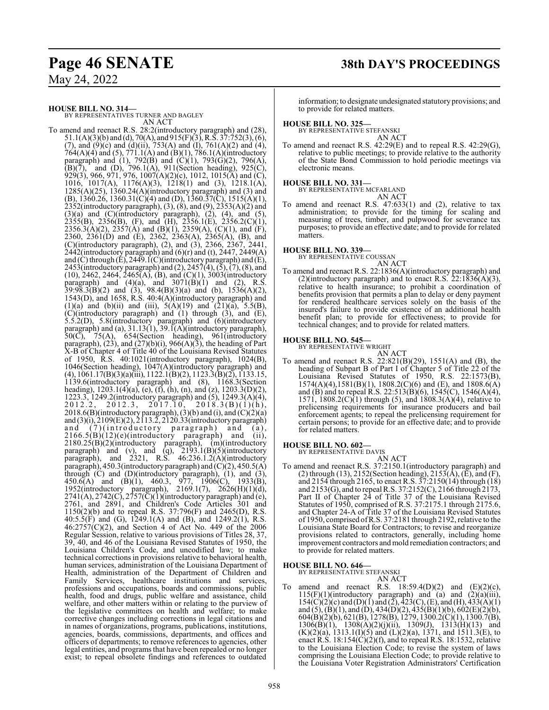## **Page 46 SENATE 38th DAY'S PROCEEDINGS**

May 24, 2022

**HOUSE BILL NO. 314—** BY REPRESENTATIVES TURNER AND BAGLEY AN ACT

To amend and reenact R.S. 28:2(introductory paragraph) and (28), 51.1(A)(3)(b) and (d), 70(A), and 915(F)(3), R.S. 37:752(3), (6), (7), and (9)(c) and (d)(ii),  $753(A)$  and (I),  $761(A)(2)$  and (4), 764(A)(4) and (5), 771.1(A) and (B)(1), 786.1(A)(introductory paragraph) and (1), 792(B) and (C)(1), 793(G)(2), 796(A),  $(B)(\bar{7})$ , and  $(D)$ , 796.1(A), 911(Section heading), 925(C), 929(3), 966, 971, 976, 1007(A)(2)(c), 1012, 1015(A) and (C), 1016, 1017(A), 1176(A)(3), 1218(1) and (3), 1218.1(A),  $1285(A)(25)$ ,  $1360.24(A)(introductory paragraph)$  and  $(3)$  and (B), 1360.26, 1360.31(C)(4) and (D), 1360.37(C), 1515(A)(1),  $2352$ (introductory paragraph), (3), (8), and (9),  $2353(A)(2)$  and  $(3)(a)$  and  $(C)(introducing paragram), (2), (4), and (5),$  $2355(B)$ ,  $2356(B)$ , (F), and (H),  $2356.1(E)$ ,  $2356.2(C)(1)$ , 2356.3(A)(2), 2357(A) and (B)(1), 2359(A), (C)(1), and (F), 2360, 2361(D) and (E), 2362, 2363(A), 2365(A), (B), and (C)(introductory paragraph), (2), and (3), 2366, 2367, 2441, 2442(introductory paragraph) and (6)(r) and (t), 2447, 2449(A) and (C) through (E), 2449.1(C)(introductory paragraph) and (E), 2453(introductory paragraph) and (2), 2457(4), (5), (7), (8), and  $(10)$ , 2462, 2464, 2465(A), (B), and  $(C)(1)$ , 3003(introductory paragraph) and  $(4)(a)$ , and  $3071(B)(1)$  and  $(2)$ , R.S.  $39:98.3(B)(2)$  and  $(3)$ ,  $98.4(B)(3)(a)$  and  $(b)$ ,  $1536(A)(2)$ , 1543(D), and 1658, R.S. 40:4(A)(introductory paragraph) and (1)(a) and (b)(ii) and (iii),  $5(A)(19)$  and  $(21)(a)$ ,  $5.5(B)$ , (C)(introductory paragraph) and (1) through (3), and (E),  $5.5.2(D)$ ,  $5.8$ (introductory paragraph) and  $(6)$ (introductory paragraph) and (a), 31.13(1), 39.1(A)(introductory paragraph), 50(C), 75(A), 654(Section heading), 961(introductory paragraph),  $(23)$ , and  $(27)(b)(i)$ ,  $966(A)(3)$ , the heading of Part X-B of Chapter 4 of Title 40 of the Louisiana Revised Statutes of 1950, R.S. 40:1021(introductory paragraph), 1024(B), 1046(Section heading), 1047(A)(introductory paragraph) and (4), 1061.17(B)(3)(a)(iii), 1122.1(B)(2), 1123.3(B)(2), 1133.15, 1139.6(introductory paragraph) and (8), 1168.3(Section heading), 1203.1(4)(a), (e), (f), (h), (n), and (z), 1203.3(D)(2), 1223.3, 1249.2(introductory paragraph) and (5), 1249.3(A)(4),  $2012.2, 2012.3, 2017.10, 2018.3(B)(1)(h),$  $2018.6(B)$ (introductory paragraph), (3)(b) and (i), and (C)(2)(a) and (3)(i), 2109(E)(2), 2113.2, 2120.33(introductory paragraph) and  $(7)(\text{introducing the equation})$  and  $(a)$ ,  $2166.5(B)(12)(e)$ (introductory paragraph) and (ii), 2180.25(B)(2)(introductory paragraph), (m)(introductory paragraph) and (v), and (q), 2193.1(B)(5)(introductory paragraph), and 2321, R.S. 46:236.1.2(A)(introductory paragraph), 450.3(introductory paragraph) and  $(C)(2)$ , 450.5(A) through (C) and (D)(introductory paragraph), (1), and (3), 450.6(A) and (B)(1), 460.3, 977, 1906(C), 1933(B), 1952(introductory paragraph), 2169.1(7), 2626(H)(1)(d),  $2741(A), 2742(C), 2757(\overline{C})(1)$ (introductory paragraph) and (e), 2761, and 2891, and Children's Code Articles 301 and 1150(2)(b) and to repeal R.S. 37:796(F) and 2465(D), R.S. 40:5.5(F) and (G), 1249.1(A) and (B), and 1249.2(1), R.S.  $46:2757(C)(2)$ , and Section 4 of Act No. 449 of the 2006 Regular Session, relative to various provisions of Titles 28, 37, 39, 40, and 46 of the Louisiana Revised Statutes of 1950, the Louisiana Children's Code, and uncodified law; to make technical corrections in provisions relative to behavioral health, human services, administration of the Louisiana Department of Health, administration of the Department of Children and Family Services, healthcare institutions and services, professions and occupations, boards and commissions, public health, food and drugs, public welfare and assistance, child welfare, and other matters within or relating to the purview of the legislative committees on health and welfare; to make corrective changes including corrections in legal citations and in names of organizations, programs, publications, institutions, agencies, boards, commissions, departments, and offices and officers of departments; to remove references to agencies, other legal entities, and programs that have been repealed or no longer exist; to repeal obsolete findings and references to outdated

information; to designate undesignated statutory provisions; and to provide for related matters.

## **HOUSE BILL NO. 325—**

BY REPRESENTATIVE STEFANSKI

## AN ACT

To amend and reenact R.S. 42:29(E) and to repeal R.S. 42:29(G), relative to public meetings; to provide relative to the authority of the State Bond Commission to hold periodic meetings via electronic means.

## **HOUSE BILL NO. 331—** BY REPRESENTATIVE MCFARLAND

AN ACT To amend and reenact R.S. 47:633(1) and (2), relative to tax administration; to provide for the timing for scaling and measuring of trees, timber, and pulpwood for severance tax purposes; to provide an effective date; and to provide for related matters.

## **HOUSE BILL NO. 339—**

BY REPRESENTATIVE COUSSAN AN ACT

To amend and reenact R.S. 22:1836(A)(introductory paragraph) and (2)(introductory paragraph) and to enact R.S.  $22:1836(A)(3)$ , relative to health insurance; to prohibit a coordination of benefits provision that permits a plan to delay or deny payment for rendered healthcare services solely on the basis of the insured's failure to provide existence of an additional health benefit plan; to provide for effectiveness; to provide for technical changes; and to provide for related matters.

## **HOUSE BILL NO. 545—**

BY REPRESENTATIVE WRIGHT

- AN ACT
- To amend and reenact R.S. 22:821(B)(29), 1551(A) and (B), the heading of Subpart B of Part I of Chapter 5 of Title 22 of the Louisiana Revised Statutes of 1950, R.S. 22:1573(B),  $1574(A)(4)$ ,  $1581(B)(1)$ ,  $1808.2(C)(6)$  and  $(E)$ , and  $1808.6(A)$ and (B) and to repeal R.S. 22:513(B)(6), 1545(C), 1546(A)(4), 1571, 1808.2(C)(1) through (5), and 1808.3(A)(4), relative to prelicensing requirements for insurance producers and bail enforcement agents; to repeal the prelicensing requirement for certain persons; to provide for an effective date; and to provide for related matters.

## **HOUSE BILL NO. 602—**

BY REPRESENTATIVE DAVIS

AN ACT To amend and reenact R.S. 37:2150.1(introductory paragraph) and (2) through (13), 2152(Section heading), 2153( $\tilde{A}$ ), ( $\tilde{E}$ ), and (F), and 2154 through 2165, to enact R.S. 37:2150(14) through (18) and 2153(G), and to repeal R.S. 37:2152(C), 2166 through 2173, Part II of Chapter 24 of Title 37 of the Louisiana Revised Statutes of 1950, comprised of R.S. 37:2175.1 through 2175.6, and Chapter 24-A of Title 37 of the Louisiana Revised Statutes of 1950, comprised ofR.S. 37:2181 through 2192, relative to the Louisiana State Board for Contractors; to revise and reorganize provisions related to contractors, generally, including home improvement contractors andmold remediation contractors; and to provide for related matters.

## **HOUSE BILL NO. 646—**

BY REPRESENTATIVE STEFANSKI

## AN ACT

amend and reenact R.S.  $18:59.4(D)(2)$  and  $(E)(2)(c)$ ,  $115(F)(1)$ (introductory paragraph) and (a) and  $(2)(a)(iii)$ ,  $154(C)(2)(c)$  and  $(D)(1)$  and  $(2), 423(C), (E),$  and  $(H), 433(A)(1)$ and (5), (B)(1), and (D), 434(D)(2), 435(B)(1)(b), 602(E)(2)(b), 604(B)(2)(b), 621(B), 1278(B), 1279, 1300.2(C)(1), 1300.7(B),  $1306(B)(1)$ ,  $1308(A)(2)(j)(ii)$ ,  $1309(J)$ ,  $1313(H)(13)$  and  $(K)(2)(a)$ , 1313.1(I)(5) and (L)(2)(a), 1371, and 1511.3(E), to enact R.S. 18:154(C)(2)(f), and to repeal R.S. 18:1532, relative to the Louisiana Election Code; to revise the system of laws comprising the Louisiana Election Code; to provide relative to the Louisiana Voter Registration Administrators' Certification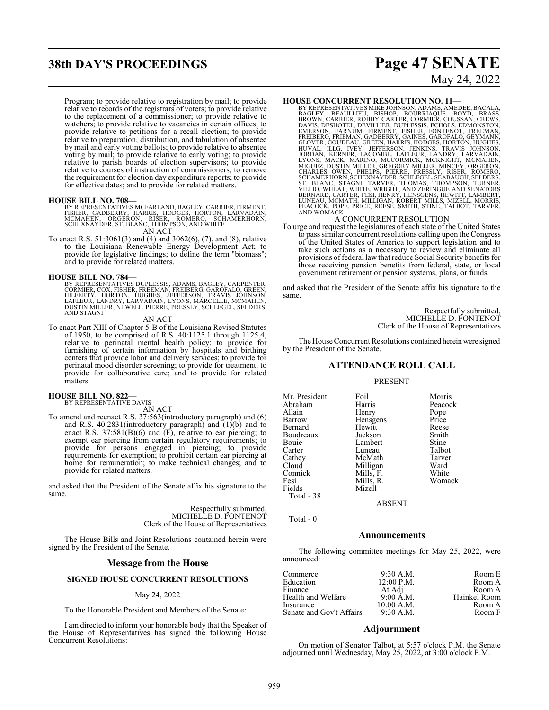## **38th DAY'S PROCEEDINGS Page 47 SENATE**

#### Program; to provide relative to registration by mail; to provide relative to records of the registrars of voters; to provide relative to the replacement of a commissioner; to provide relative to watchers; to provide relative to vacancies in certain offices; to provide relative to petitions for a recall election; to provide relative to preparation, distribution, and tabulation of absentee by mail and early voting ballots; to provide relative to absentee voting by mail; to provide relative to early voting; to provide relative to parish boards of election supervisors; to provide relative to courses of instruction of commissioners; to remove the requirement for election day expenditure reports; to provide for effective dates; and to provide for related matters.

**HOUSE BILL NO. 708—**<br>BY REPRESENTATIVES MCFARLAND, BAGLEY, CARRIER, FIRMENT, FISHER, GADBERRY, HARRIS, HODGES, HORTON, LARVADAIN,<br>MCMAHEN, ORGERON, RISER, ROMERO, SCHAMERHORN,<br>SCHEXNAYDER, ST. BLANC, THOMPSON, AND WHITE AN ACT

To enact R.S. 51:3061(3) and (4) and 3062(6), (7), and (8), relative to the Louisiana Renewable Energy Development Act; to provide for legislative findings; to define the term "biomass"; and to provide for related matters.

**HOUSE BILL NO. 784—**<br>BY REPRESENTATIVES DUPLESSIS, ADAMS, BAGLEY, CARPENTER, COX, FISHER, FREEMAN, FREIBERG, GAROFALO, GREEN,<br>HILFERTY, HORTON, HUGHES, JEFFERSON, TRAVIS JOHNSON,<br>LAFLEUR, LANDRY, LARVADAIN, LYONS, MARCELL DUSTIN MILLER, NEWELL, PIERRE, PRESSLY, SCHLEGEL, SELDERS, AND STAGNI

AN ACT

To enact Part XIII of Chapter 5-B of the Louisiana Revised Statutes of 1950, to be comprised of R.S. 40:1125.1 through 1125.4, relative to perinatal mental health policy; to provide for furnishing of certain information by hospitals and birthing centers that provide labor and delivery services; to provide for perinatal mood disorder screening; to provide for treatment; to provide for collaborative care; and to provide for related matters.

#### **HOUSE BILL NO. 822—** BY REPRESENTATIVE DAVIS

AN ACT

To amend and reenact R.S. 37:563(introductory paragraph) and (6) and R.S. 40:2831(introductory paragraph) and (1)(b) and to enact R.S. 37:581(B)(6) and (F), relative to ear piercing; to exempt ear piercing from certain regulatory requirements; to provide for persons engaged in piercing; to provide requirements for exemption; to prohibit certain ear piercing at home for remuneration; to make technical changes; and to provide for related matters.

and asked that the President of the Senate affix his signature to the same.

> Respectfully submitted, MICHELLE D. FONTENOT Clerk of the House of Representatives

The House Bills and Joint Resolutions contained herein were signed by the President of the Senate.

## **Message from the House**

## **SIGNED HOUSE CONCURRENT RESOLUTIONS**

## May 24, 2022

To the Honorable President and Members of the Senate:

I am directed to inform your honorable body that the Speaker of the House of Representatives has signed the following House Concurrent Resolutions:

# May 24, 2022

HOUSE CONCURRENT RESOLUTION NO. 11—<br>BY REPRESENTATIVES MIKE JOHNSON, ADAMS, AMEDEE, BACALA,<br>BAGLEY, BEAULIEU, BISHOP, BOURRIAQUE, BOYD, BRASS,<br>BROWN, CARRIER, ROBBY CARTER, CORMIER, COUSSAN, CREWS,<br>DAVIS, DESHOTEL, DEVILLI AND WOMACK<br>A CONCURRENT RESOLUTION

To urge and request the legislatures of each state of the United States to pass similar concurrent resolutions calling upon the Congress of the United States of America to support legislation and to take such actions as a necessary to review and eliminate all provisions of federal law that reduce Social Security benefits for those receiving pension benefits from federal, state, or local government retirement or pension systems, plans, or funds.

and asked that the President of the Senate affix his signature to the same.

> Respectfully submitted, MICHELLE D. FONTENOT Clerk of the House of Representatives

The House Concurrent Resolutions contained herein were signed by the President of the Senate.

## **ATTENDANCE ROLL CALL**

### PRESENT

| Mr. President | Foil      | Morris  |
|---------------|-----------|---------|
| Abraham       | Harris    | Peacock |
| Allain        | Henry     | Pope    |
| Barrow        | Hensgens  | Price   |
| Bernard       | Hewitt    | Reese   |
| Boudreaux     | Jackson   | Smith   |
| Bouie         | Lambert   | Stine   |
| Carter        | Luneau    | Talbot  |
| Cathey        | McMath    | Tarver  |
| Cloud         | Milligan  | Ward    |
| Connick       | Mills, F. | White   |
| Fesi          | Mills, R. | Womack  |
| Fields        | Mizell    |         |
| Total - 38    |           |         |

ABSENT

Total - 0

## **Announcements**

The following committee meetings for May 25, 2022, were announced:

| $9:30$ A.M. | Room E       |
|-------------|--------------|
| 12:00 P.M.  | Room A       |
| At Adj      | Room A       |
| 9:00 A.M.   | Hainkel Room |
| 10:00 A.M.  | Room A       |
| $9:30$ A.M. | Room F       |
|             |              |

## **Adjournment**

On motion of Senator Talbot, at 5:57 o'clock P.M. the Senate adjourned until Wednesday, May 25, 2022, at 3:00 o'clock P.M.